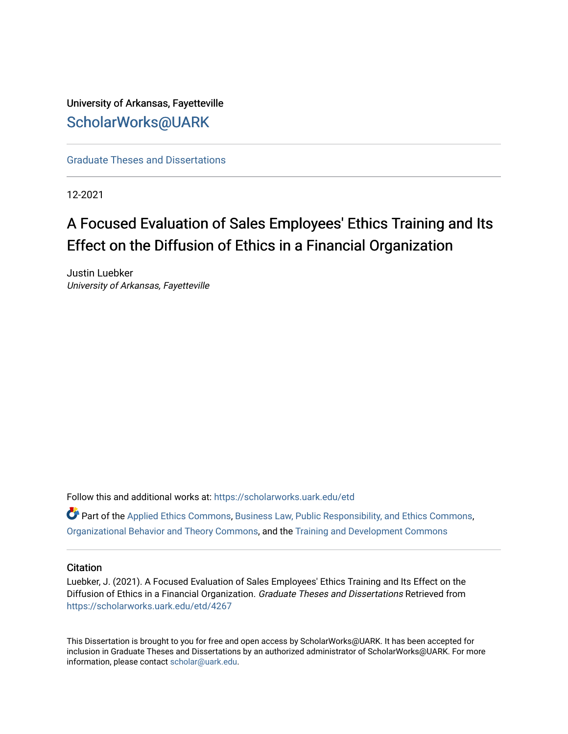University of Arkansas, Fayetteville [ScholarWorks@UARK](https://scholarworks.uark.edu/) 

[Graduate Theses and Dissertations](https://scholarworks.uark.edu/etd) 

12-2021

# A Focused Evaluation of Sales Employees' Ethics Training and Its Effect on the Diffusion of Ethics in a Financial Organization

Justin Luebker University of Arkansas, Fayetteville

Follow this and additional works at: [https://scholarworks.uark.edu/etd](https://scholarworks.uark.edu/etd?utm_source=scholarworks.uark.edu%2Fetd%2F4267&utm_medium=PDF&utm_campaign=PDFCoverPages)

 $\bullet$  Part of the [Applied Ethics Commons](http://network.bepress.com/hgg/discipline/1392?utm_source=scholarworks.uark.edu%2Fetd%2F4267&utm_medium=PDF&utm_campaign=PDFCoverPages), [Business Law, Public Responsibility, and Ethics Commons](http://network.bepress.com/hgg/discipline/628?utm_source=scholarworks.uark.edu%2Fetd%2F4267&utm_medium=PDF&utm_campaign=PDFCoverPages), [Organizational Behavior and Theory Commons](http://network.bepress.com/hgg/discipline/639?utm_source=scholarworks.uark.edu%2Fetd%2F4267&utm_medium=PDF&utm_campaign=PDFCoverPages), and the [Training and Development Commons](http://network.bepress.com/hgg/discipline/1257?utm_source=scholarworks.uark.edu%2Fetd%2F4267&utm_medium=PDF&utm_campaign=PDFCoverPages) 

# **Citation**

Luebker, J. (2021). A Focused Evaluation of Sales Employees' Ethics Training and Its Effect on the Diffusion of Ethics in a Financial Organization. Graduate Theses and Dissertations Retrieved from [https://scholarworks.uark.edu/etd/4267](https://scholarworks.uark.edu/etd/4267?utm_source=scholarworks.uark.edu%2Fetd%2F4267&utm_medium=PDF&utm_campaign=PDFCoverPages)

This Dissertation is brought to you for free and open access by ScholarWorks@UARK. It has been accepted for inclusion in Graduate Theses and Dissertations by an authorized administrator of ScholarWorks@UARK. For more information, please contact [scholar@uark.edu.](mailto:scholar@uark.edu)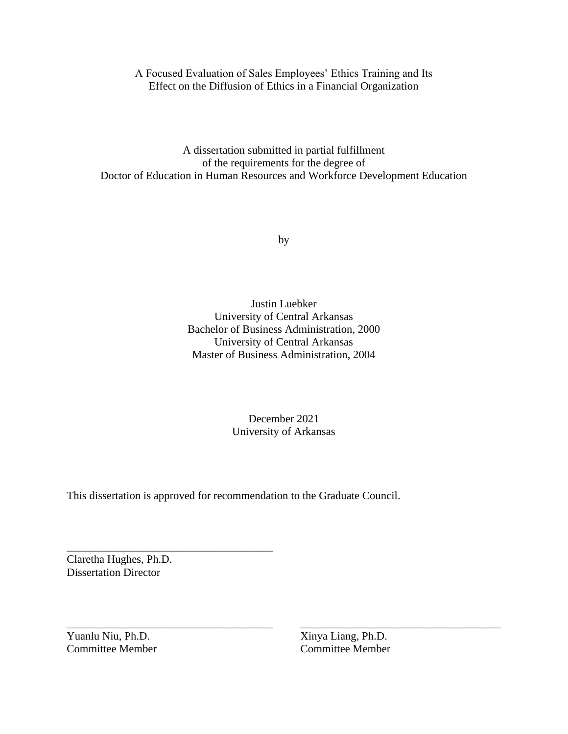# A Focused Evaluation of Sales Employees' Ethics Training and Its Effect on the Diffusion of Ethics in a Financial Organization

A dissertation submitted in partial fulfillment of the requirements for the degree of Doctor of Education in Human Resources and Workforce Development Education

by

Justin Luebker University of Central Arkansas Bachelor of Business Administration, 2000 University of Central Arkansas Master of Business Administration, 2004

> December 2021 University of Arkansas

\_\_\_\_\_\_\_\_\_\_\_\_\_\_\_\_\_\_\_\_\_\_\_\_\_\_\_\_\_\_\_\_\_\_\_\_\_ \_\_\_\_\_\_\_\_\_\_\_\_\_\_\_\_\_\_\_\_\_\_\_\_\_\_\_\_\_\_\_\_\_\_\_\_

This dissertation is approved for recommendation to the Graduate Council.

Claretha Hughes, Ph.D. Dissertation Director

\_\_\_\_\_\_\_\_\_\_\_\_\_\_\_\_\_\_\_\_\_\_\_\_\_\_\_\_\_\_\_\_\_\_\_\_\_

Yuanlu Niu, Ph.D. Xinya Liang, Ph.D.

Committee Member Committee Member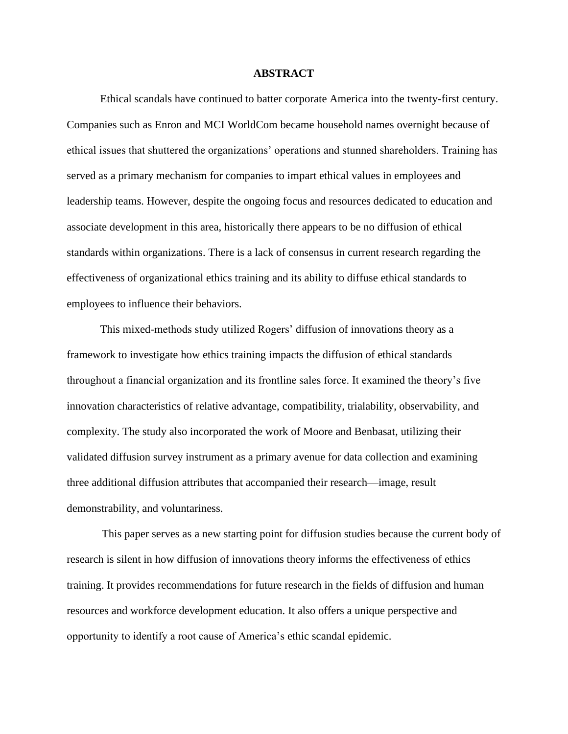# **ABSTRACT**

Ethical scandals have continued to batter corporate America into the twenty-first century. Companies such as Enron and MCI WorldCom became household names overnight because of ethical issues that shuttered the organizations' operations and stunned shareholders. Training has served as a primary mechanism for companies to impart ethical values in employees and leadership teams. However, despite the ongoing focus and resources dedicated to education and associate development in this area, historically there appears to be no diffusion of ethical standards within organizations. There is a lack of consensus in current research regarding the effectiveness of organizational ethics training and its ability to diffuse ethical standards to employees to influence their behaviors.

This mixed-methods study utilized Rogers' diffusion of innovations theory as a framework to investigate how ethics training impacts the diffusion of ethical standards throughout a financial organization and its frontline sales force. It examined the theory's five innovation characteristics of relative advantage, compatibility, trialability, observability, and complexity. The study also incorporated the work of Moore and Benbasat, utilizing their validated diffusion survey instrument as a primary avenue for data collection and examining three additional diffusion attributes that accompanied their research—image, result demonstrability, and voluntariness.

This paper serves as a new starting point for diffusion studies because the current body of research is silent in how diffusion of innovations theory informs the effectiveness of ethics training. It provides recommendations for future research in the fields of diffusion and human resources and workforce development education. It also offers a unique perspective and opportunity to identify a root cause of America's ethic scandal epidemic.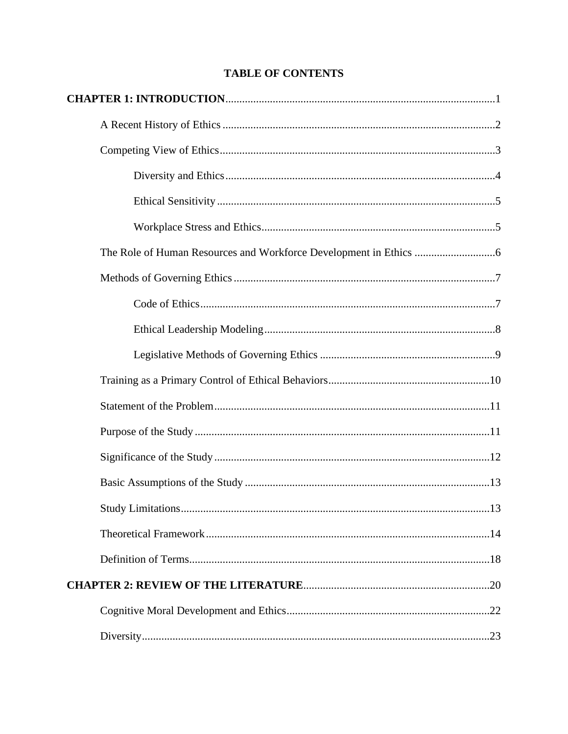# **TABLE OF CONTENTS**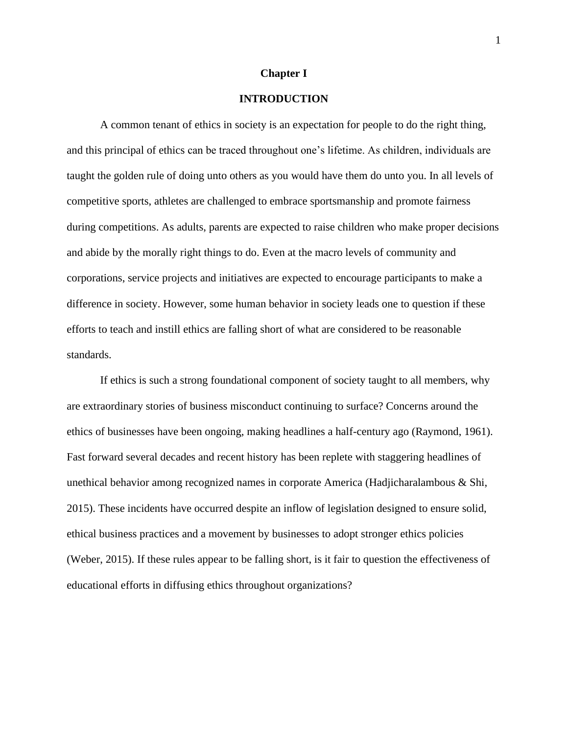#### **Chapter I**

# **INTRODUCTION**

A common tenant of ethics in society is an expectation for people to do the right thing, and this principal of ethics can be traced throughout one's lifetime. As children, individuals are taught the golden rule of doing unto others as you would have them do unto you. In all levels of competitive sports, athletes are challenged to embrace sportsmanship and promote fairness during competitions. As adults, parents are expected to raise children who make proper decisions and abide by the morally right things to do. Even at the macro levels of community and corporations, service projects and initiatives are expected to encourage participants to make a difference in society. However, some human behavior in society leads one to question if these efforts to teach and instill ethics are falling short of what are considered to be reasonable standards.

If ethics is such a strong foundational component of society taught to all members, why are extraordinary stories of business misconduct continuing to surface? Concerns around the ethics of businesses have been ongoing, making headlines a half-century ago (Raymond, 1961). Fast forward several decades and recent history has been replete with staggering headlines of unethical behavior among recognized names in corporate America (Hadjicharalambous & Shi, 2015). These incidents have occurred despite an inflow of legislation designed to ensure solid, ethical business practices and a movement by businesses to adopt stronger ethics policies (Weber, 2015). If these rules appear to be falling short, is it fair to question the effectiveness of educational efforts in diffusing ethics throughout organizations?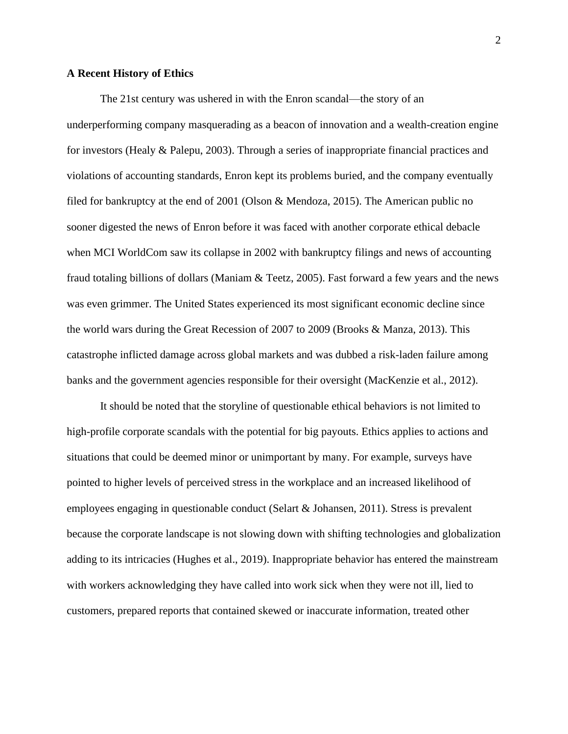#### **A Recent History of Ethics**

The 21st century was ushered in with the Enron scandal—the story of an underperforming company masquerading as a beacon of innovation and a wealth-creation engine for investors (Healy & Palepu, 2003). Through a series of inappropriate financial practices and violations of accounting standards, Enron kept its problems buried, and the company eventually filed for bankruptcy at the end of 2001 (Olson & Mendoza, 2015). The American public no sooner digested the news of Enron before it was faced with another corporate ethical debacle when MCI WorldCom saw its collapse in 2002 with bankruptcy filings and news of accounting fraud totaling billions of dollars (Maniam & Teetz, 2005). Fast forward a few years and the news was even grimmer. The United States experienced its most significant economic decline since the world wars during the Great Recession of 2007 to 2009 (Brooks & Manza, 2013). This catastrophe inflicted damage across global markets and was dubbed a risk-laden failure among banks and the government agencies responsible for their oversight (MacKenzie et al., 2012).

It should be noted that the storyline of questionable ethical behaviors is not limited to high-profile corporate scandals with the potential for big payouts. Ethics applies to actions and situations that could be deemed minor or unimportant by many. For example, surveys have pointed to higher levels of perceived stress in the workplace and an increased likelihood of employees engaging in questionable conduct (Selart & Johansen, 2011). Stress is prevalent because the corporate landscape is not slowing down with shifting technologies and globalization adding to its intricacies (Hughes et al., 2019). Inappropriate behavior has entered the mainstream with workers acknowledging they have called into work sick when they were not ill, lied to customers, prepared reports that contained skewed or inaccurate information, treated other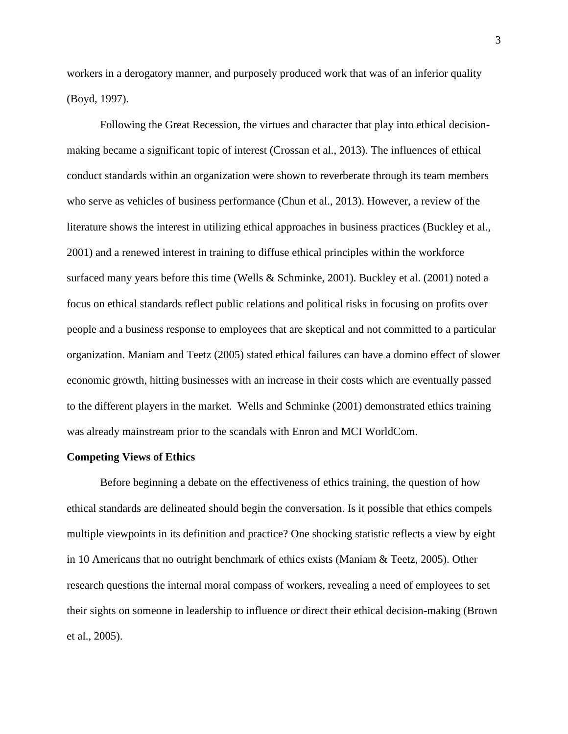workers in a derogatory manner, and purposely produced work that was of an inferior quality (Boyd, 1997).

Following the Great Recession, the virtues and character that play into ethical decisionmaking became a significant topic of interest (Crossan et al., 2013). The influences of ethical conduct standards within an organization were shown to reverberate through its team members who serve as vehicles of business performance (Chun et al., 2013). However, a review of the literature shows the interest in utilizing ethical approaches in business practices (Buckley et al., 2001) and a renewed interest in training to diffuse ethical principles within the workforce surfaced many years before this time (Wells & Schminke, 2001). Buckley et al. (2001) noted a focus on ethical standards reflect public relations and political risks in focusing on profits over people and a business response to employees that are skeptical and not committed to a particular organization. Maniam and Teetz (2005) stated ethical failures can have a domino effect of slower economic growth, hitting businesses with an increase in their costs which are eventually passed to the different players in the market. Wells and Schminke (2001) demonstrated ethics training was already mainstream prior to the scandals with Enron and MCI WorldCom.

#### **Competing Views of Ethics**

Before beginning a debate on the effectiveness of ethics training, the question of how ethical standards are delineated should begin the conversation. Is it possible that ethics compels multiple viewpoints in its definition and practice? One shocking statistic reflects a view by eight in 10 Americans that no outright benchmark of ethics exists (Maniam & Teetz, 2005). Other research questions the internal moral compass of workers, revealing a need of employees to set their sights on someone in leadership to influence or direct their ethical decision-making (Brown et al., 2005).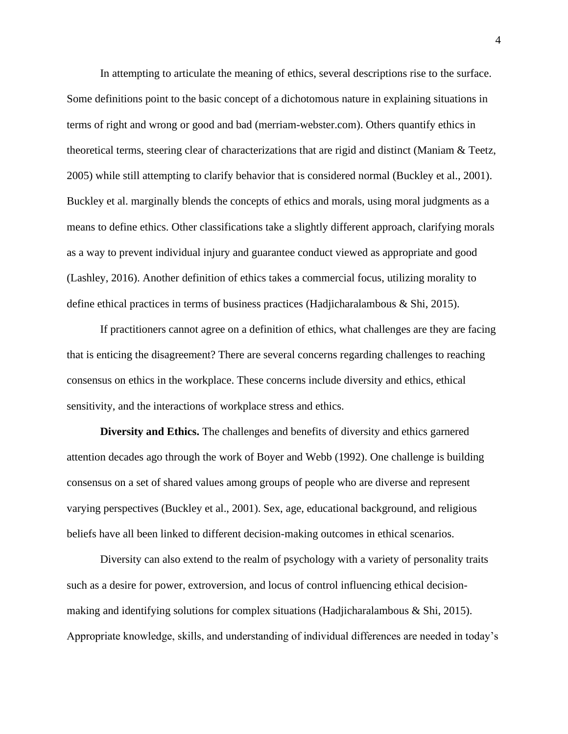In attempting to articulate the meaning of ethics, several descriptions rise to the surface. Some definitions point to the basic concept of a dichotomous nature in explaining situations in terms of right and wrong or good and bad (merriam-webster.com). Others quantify ethics in theoretical terms, steering clear of characterizations that are rigid and distinct (Maniam & Teetz, 2005) while still attempting to clarify behavior that is considered normal (Buckley et al., 2001). Buckley et al. marginally blends the concepts of ethics and morals, using moral judgments as a means to define ethics. Other classifications take a slightly different approach, clarifying morals as a way to prevent individual injury and guarantee conduct viewed as appropriate and good (Lashley, 2016). Another definition of ethics takes a commercial focus, utilizing morality to define ethical practices in terms of business practices (Hadjicharalambous & Shi, 2015).

If practitioners cannot agree on a definition of ethics, what challenges are they are facing that is enticing the disagreement? There are several concerns regarding challenges to reaching consensus on ethics in the workplace. These concerns include diversity and ethics, ethical sensitivity, and the interactions of workplace stress and ethics.

**Diversity and Ethics.** The challenges and benefits of diversity and ethics garnered attention decades ago through the work of Boyer and Webb (1992). One challenge is building consensus on a set of shared values among groups of people who are diverse and represent varying perspectives (Buckley et al., 2001). Sex, age, educational background, and religious beliefs have all been linked to different decision-making outcomes in ethical scenarios.

Diversity can also extend to the realm of psychology with a variety of personality traits such as a desire for power, extroversion, and locus of control influencing ethical decisionmaking and identifying solutions for complex situations (Hadjicharalambous & Shi, 2015). Appropriate knowledge, skills, and understanding of individual differences are needed in today's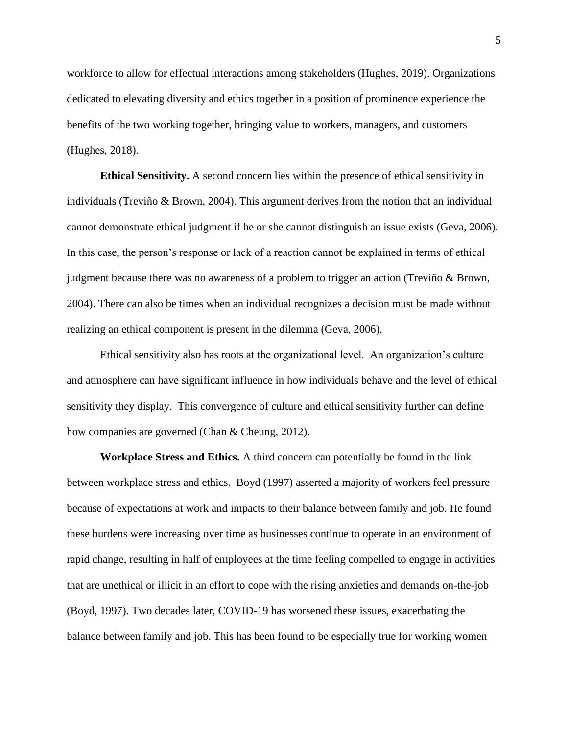workforce to allow for effectual interactions among stakeholders (Hughes, 2019). Organizations dedicated to elevating diversity and ethics together in a position of prominence experience the benefits of the two working together, bringing value to workers, managers, and customers (Hughes, 2018).

**Ethical Sensitivity.** A second concern lies within the presence of ethical sensitivity in individuals (Treviño & Brown, 2004). This argument derives from the notion that an individual cannot demonstrate ethical judgment if he or she cannot distinguish an issue exists (Geva, 2006). In this case, the person's response or lack of a reaction cannot be explained in terms of ethical judgment because there was no awareness of a problem to trigger an action (Treviño & Brown, 2004). There can also be times when an individual recognizes a decision must be made without realizing an ethical component is present in the dilemma (Geva, 2006).

Ethical sensitivity also has roots at the organizational level. An organization's culture and atmosphere can have significant influence in how individuals behave and the level of ethical sensitivity they display. This convergence of culture and ethical sensitivity further can define how companies are governed (Chan & Cheung, 2012).

**Workplace Stress and Ethics.** A third concern can potentially be found in the link between workplace stress and ethics. Boyd (1997) asserted a majority of workers feel pressure because of expectations at work and impacts to their balance between family and job. He found these burdens were increasing over time as businesses continue to operate in an environment of rapid change, resulting in half of employees at the time feeling compelled to engage in activities that are unethical or illicit in an effort to cope with the rising anxieties and demands on-the-job (Boyd, 1997). Two decades later, COVID-19 has worsened these issues, exacerbating the balance between family and job. This has been found to be especially true for working women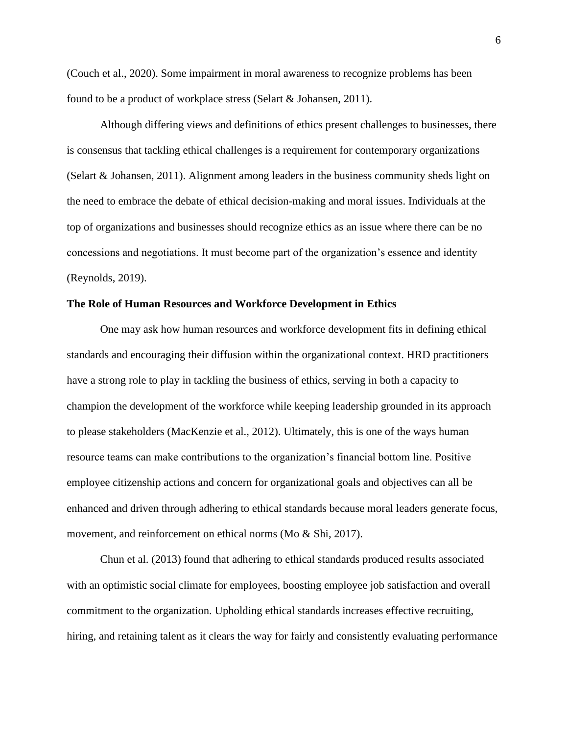(Couch et al., 2020). Some impairment in moral awareness to recognize problems has been found to be a product of workplace stress (Selart & Johansen, 2011).

Although differing views and definitions of ethics present challenges to businesses, there is consensus that tackling ethical challenges is a requirement for contemporary organizations (Selart & Johansen, 2011). Alignment among leaders in the business community sheds light on the need to embrace the debate of ethical decision-making and moral issues. Individuals at the top of organizations and businesses should recognize ethics as an issue where there can be no concessions and negotiations. It must become part of the organization's essence and identity (Reynolds, 2019).

#### **The Role of Human Resources and Workforce Development in Ethics**

One may ask how human resources and workforce development fits in defining ethical standards and encouraging their diffusion within the organizational context. HRD practitioners have a strong role to play in tackling the business of ethics, serving in both a capacity to champion the development of the workforce while keeping leadership grounded in its approach to please stakeholders (MacKenzie et al., 2012). Ultimately, this is one of the ways human resource teams can make contributions to the organization's financial bottom line. Positive employee citizenship actions and concern for organizational goals and objectives can all be enhanced and driven through adhering to ethical standards because moral leaders generate focus, movement, and reinforcement on ethical norms (Mo & Shi, 2017).

Chun et al. (2013) found that adhering to ethical standards produced results associated with an optimistic social climate for employees, boosting employee job satisfaction and overall commitment to the organization. Upholding ethical standards increases effective recruiting, hiring, and retaining talent as it clears the way for fairly and consistently evaluating performance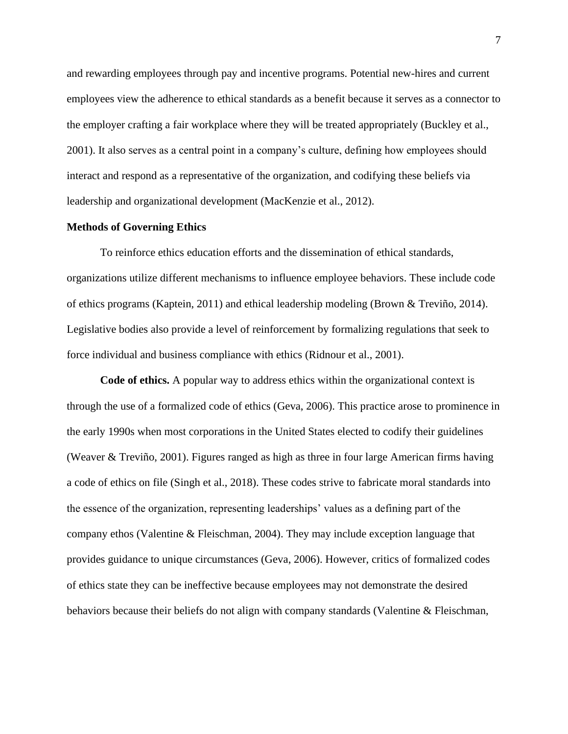and rewarding employees through pay and incentive programs. Potential new-hires and current employees view the adherence to ethical standards as a benefit because it serves as a connector to the employer crafting a fair workplace where they will be treated appropriately (Buckley et al., 2001). It also serves as a central point in a company's culture, defining how employees should interact and respond as a representative of the organization, and codifying these beliefs via leadership and organizational development (MacKenzie et al., 2012).

#### **Methods of Governing Ethics**

To reinforce ethics education efforts and the dissemination of ethical standards, organizations utilize different mechanisms to influence employee behaviors. These include code of ethics programs (Kaptein, 2011) and ethical leadership modeling (Brown & Treviño, 2014). Legislative bodies also provide a level of reinforcement by formalizing regulations that seek to force individual and business compliance with ethics (Ridnour et al., 2001).

**Code of ethics.** A popular way to address ethics within the organizational context is through the use of a formalized code of ethics (Geva, 2006). This practice arose to prominence in the early 1990s when most corporations in the United States elected to codify their guidelines (Weaver & Treviño, 2001). Figures ranged as high as three in four large American firms having a code of ethics on file (Singh et al., 2018). These codes strive to fabricate moral standards into the essence of the organization, representing leaderships' values as a defining part of the company ethos (Valentine & Fleischman, 2004). They may include exception language that provides guidance to unique circumstances (Geva, 2006). However, critics of formalized codes of ethics state they can be ineffective because employees may not demonstrate the desired behaviors because their beliefs do not align with company standards (Valentine & Fleischman,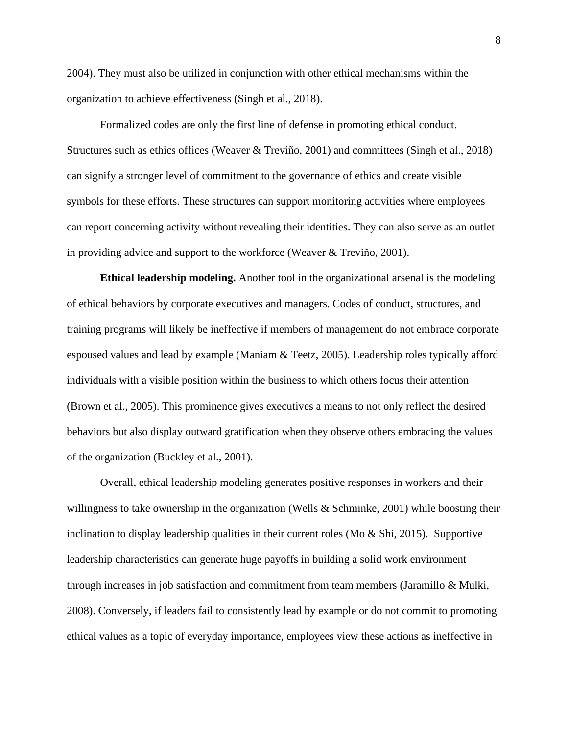2004). They must also be utilized in conjunction with other ethical mechanisms within the organization to achieve effectiveness (Singh et al., 2018).

Formalized codes are only the first line of defense in promoting ethical conduct. Structures such as ethics offices (Weaver & Treviño, 2001) and committees (Singh et al., 2018) can signify a stronger level of commitment to the governance of ethics and create visible symbols for these efforts. These structures can support monitoring activities where employees can report concerning activity without revealing their identities. They can also serve as an outlet in providing advice and support to the workforce (Weaver & Treviño, 2001).

**Ethical leadership modeling.** Another tool in the organizational arsenal is the modeling of ethical behaviors by corporate executives and managers. Codes of conduct, structures, and training programs will likely be ineffective if members of management do not embrace corporate espoused values and lead by example (Maniam & Teetz, 2005). Leadership roles typically afford individuals with a visible position within the business to which others focus their attention (Brown et al., 2005). This prominence gives executives a means to not only reflect the desired behaviors but also display outward gratification when they observe others embracing the values of the organization (Buckley et al., 2001).

Overall, ethical leadership modeling generates positive responses in workers and their willingness to take ownership in the organization (Wells  $\&$  Schminke, 2001) while boosting their inclination to display leadership qualities in their current roles (Mo  $\&$  Shi, 2015). Supportive leadership characteristics can generate huge payoffs in building a solid work environment through increases in job satisfaction and commitment from team members (Jaramillo & Mulki, 2008). Conversely, if leaders fail to consistently lead by example or do not commit to promoting ethical values as a topic of everyday importance, employees view these actions as ineffective in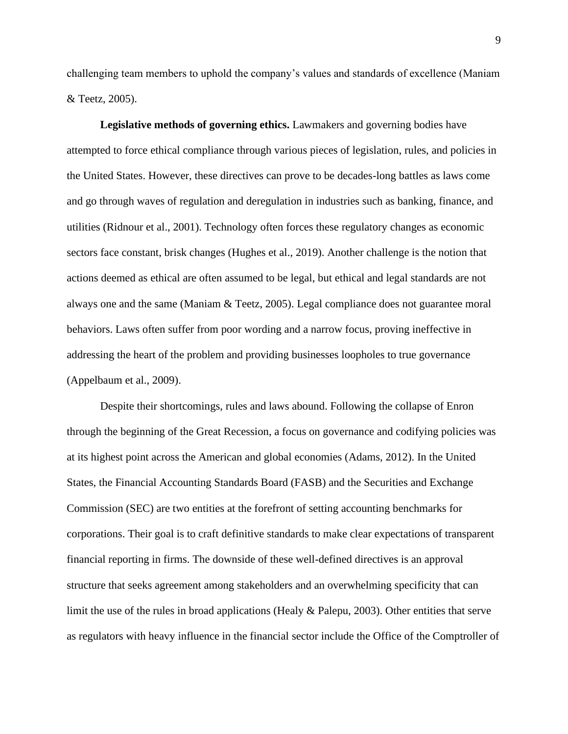challenging team members to uphold the company's values and standards of excellence (Maniam & Teetz, 2005).

**Legislative methods of governing ethics.** Lawmakers and governing bodies have attempted to force ethical compliance through various pieces of legislation, rules, and policies in the United States. However, these directives can prove to be decades-long battles as laws come and go through waves of regulation and deregulation in industries such as banking, finance, and utilities (Ridnour et al., 2001). Technology often forces these regulatory changes as economic sectors face constant, brisk changes (Hughes et al., 2019). Another challenge is the notion that actions deemed as ethical are often assumed to be legal, but ethical and legal standards are not always one and the same (Maniam & Teetz, 2005). Legal compliance does not guarantee moral behaviors. Laws often suffer from poor wording and a narrow focus, proving ineffective in addressing the heart of the problem and providing businesses loopholes to true governance (Appelbaum et al., 2009).

Despite their shortcomings, rules and laws abound. Following the collapse of Enron through the beginning of the Great Recession, a focus on governance and codifying policies was at its highest point across the American and global economies (Adams, 2012). In the United States, the Financial Accounting Standards Board (FASB) and the Securities and Exchange Commission (SEC) are two entities at the forefront of setting accounting benchmarks for corporations. Their goal is to craft definitive standards to make clear expectations of transparent financial reporting in firms. The downside of these well-defined directives is an approval structure that seeks agreement among stakeholders and an overwhelming specificity that can limit the use of the rules in broad applications (Healy & Palepu, 2003). Other entities that serve as regulators with heavy influence in the financial sector include the Office of the Comptroller of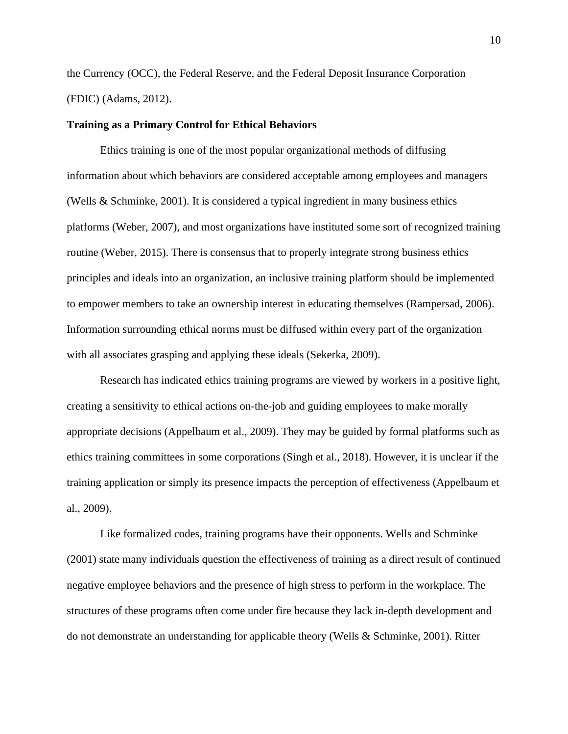the Currency (OCC), the Federal Reserve, and the Federal Deposit Insurance Corporation (FDIC) (Adams, 2012).

#### **Training as a Primary Control for Ethical Behaviors**

Ethics training is one of the most popular organizational methods of diffusing information about which behaviors are considered acceptable among employees and managers (Wells & Schminke, 2001). It is considered a typical ingredient in many business ethics platforms (Weber, 2007), and most organizations have instituted some sort of recognized training routine (Weber, 2015). There is consensus that to properly integrate strong business ethics principles and ideals into an organization, an inclusive training platform should be implemented to empower members to take an ownership interest in educating themselves (Rampersad, 2006). Information surrounding ethical norms must be diffused within every part of the organization with all associates grasping and applying these ideals (Sekerka, 2009).

Research has indicated ethics training programs are viewed by workers in a positive light, creating a sensitivity to ethical actions on-the-job and guiding employees to make morally appropriate decisions (Appelbaum et al., 2009). They may be guided by formal platforms such as ethics training committees in some corporations (Singh et al., 2018). However, it is unclear if the training application or simply its presence impacts the perception of effectiveness (Appelbaum et al., 2009).

Like formalized codes, training programs have their opponents. Wells and Schminke (2001) state many individuals question the effectiveness of training as a direct result of continued negative employee behaviors and the presence of high stress to perform in the workplace. The structures of these programs often come under fire because they lack in-depth development and do not demonstrate an understanding for applicable theory (Wells & Schminke, 2001). Ritter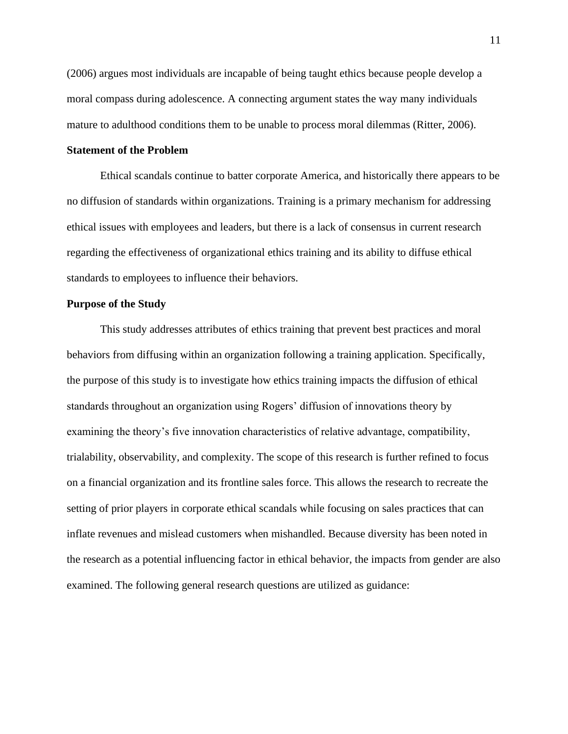(2006) argues most individuals are incapable of being taught ethics because people develop a moral compass during adolescence. A connecting argument states the way many individuals mature to adulthood conditions them to be unable to process moral dilemmas (Ritter, 2006).

# **Statement of the Problem**

Ethical scandals continue to batter corporate America, and historically there appears to be no diffusion of standards within organizations. Training is a primary mechanism for addressing ethical issues with employees and leaders, but there is a lack of consensus in current research regarding the effectiveness of organizational ethics training and its ability to diffuse ethical standards to employees to influence their behaviors.

#### **Purpose of the Study**

This study addresses attributes of ethics training that prevent best practices and moral behaviors from diffusing within an organization following a training application. Specifically, the purpose of this study is to investigate how ethics training impacts the diffusion of ethical standards throughout an organization using Rogers' diffusion of innovations theory by examining the theory's five innovation characteristics of relative advantage, compatibility, trialability, observability, and complexity. The scope of this research is further refined to focus on a financial organization and its frontline sales force. This allows the research to recreate the setting of prior players in corporate ethical scandals while focusing on sales practices that can inflate revenues and mislead customers when mishandled. Because diversity has been noted in the research as a potential influencing factor in ethical behavior, the impacts from gender are also examined. The following general research questions are utilized as guidance: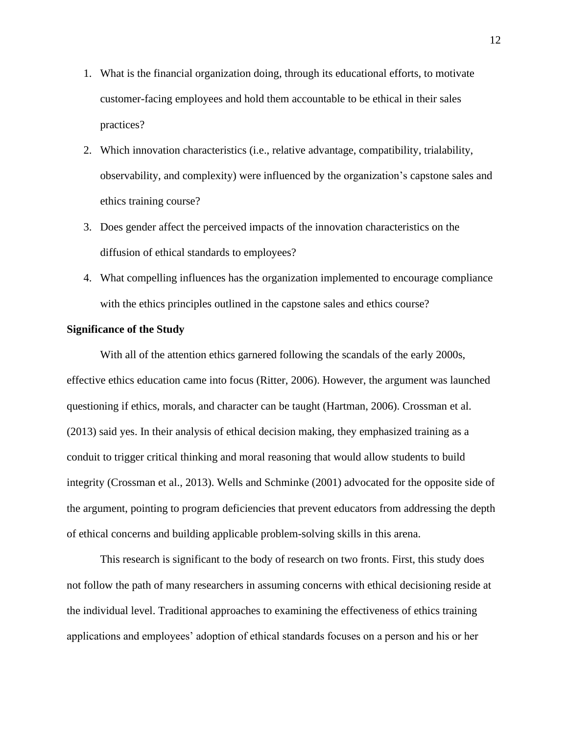- 1. What is the financial organization doing, through its educational efforts, to motivate customer-facing employees and hold them accountable to be ethical in their sales practices?
- 2. Which innovation characteristics (i.e., relative advantage, compatibility, trialability, observability, and complexity) were influenced by the organization's capstone sales and ethics training course?
- 3. Does gender affect the perceived impacts of the innovation characteristics on the diffusion of ethical standards to employees?
- 4. What compelling influences has the organization implemented to encourage compliance with the ethics principles outlined in the capstone sales and ethics course?

# **Significance of the Study**

With all of the attention ethics garnered following the scandals of the early 2000s, effective ethics education came into focus (Ritter, 2006). However, the argument was launched questioning if ethics, morals, and character can be taught (Hartman, 2006). Crossman et al. (2013) said yes. In their analysis of ethical decision making, they emphasized training as a conduit to trigger critical thinking and moral reasoning that would allow students to build integrity (Crossman et al., 2013). Wells and Schminke (2001) advocated for the opposite side of the argument, pointing to program deficiencies that prevent educators from addressing the depth of ethical concerns and building applicable problem-solving skills in this arena.

This research is significant to the body of research on two fronts. First, this study does not follow the path of many researchers in assuming concerns with ethical decisioning reside at the individual level. Traditional approaches to examining the effectiveness of ethics training applications and employees' adoption of ethical standards focuses on a person and his or her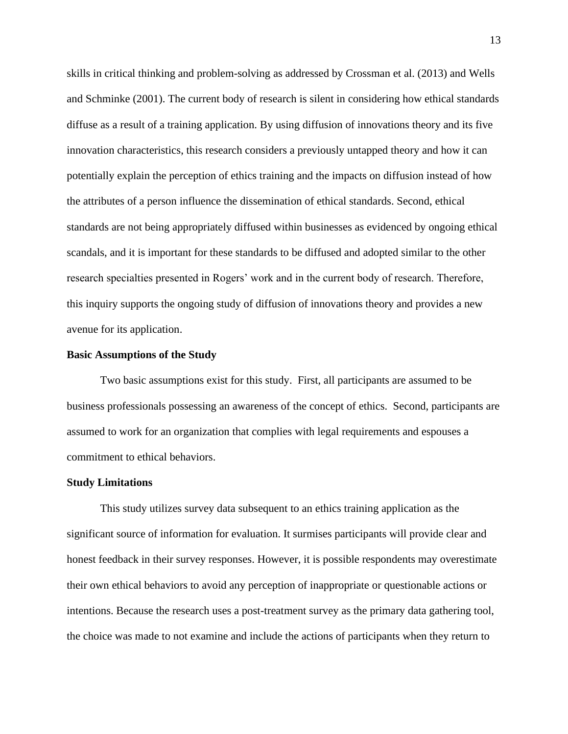skills in critical thinking and problem-solving as addressed by Crossman et al. (2013) and Wells and Schminke (2001). The current body of research is silent in considering how ethical standards diffuse as a result of a training application. By using diffusion of innovations theory and its five innovation characteristics, this research considers a previously untapped theory and how it can potentially explain the perception of ethics training and the impacts on diffusion instead of how the attributes of a person influence the dissemination of ethical standards. Second, ethical standards are not being appropriately diffused within businesses as evidenced by ongoing ethical scandals, and it is important for these standards to be diffused and adopted similar to the other research specialties presented in Rogers' work and in the current body of research. Therefore, this inquiry supports the ongoing study of diffusion of innovations theory and provides a new avenue for its application.

# **Basic Assumptions of the Study**

Two basic assumptions exist for this study. First, all participants are assumed to be business professionals possessing an awareness of the concept of ethics. Second, participants are assumed to work for an organization that complies with legal requirements and espouses a commitment to ethical behaviors.

#### **Study Limitations**

This study utilizes survey data subsequent to an ethics training application as the significant source of information for evaluation. It surmises participants will provide clear and honest feedback in their survey responses. However, it is possible respondents may overestimate their own ethical behaviors to avoid any perception of inappropriate or questionable actions or intentions. Because the research uses a post-treatment survey as the primary data gathering tool, the choice was made to not examine and include the actions of participants when they return to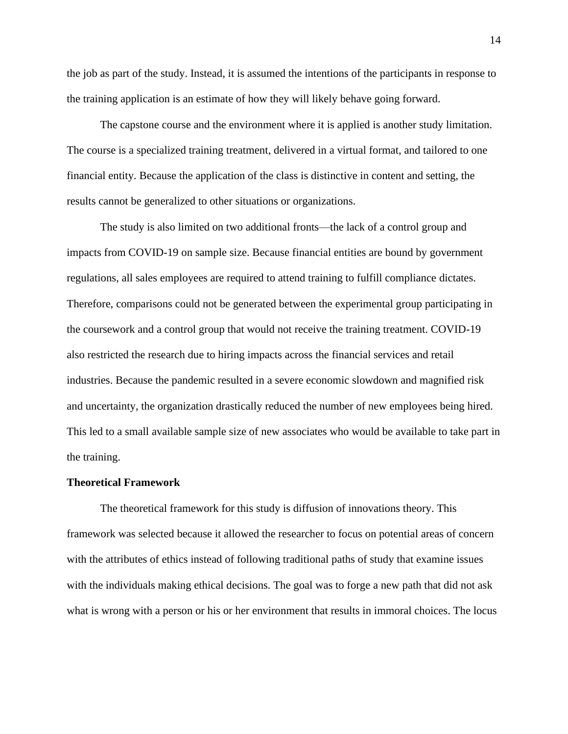the job as part of the study. Instead, it is assumed the intentions of the participants in response to the training application is an estimate of how they will likely behave going forward.

The capstone course and the environment where it is applied is another study limitation. The course is a specialized training treatment, delivered in a virtual format, and tailored to one financial entity. Because the application of the class is distinctive in content and setting, the results cannot be generalized to other situations or organizations.

The study is also limited on two additional fronts—the lack of a control group and impacts from COVID-19 on sample size. Because financial entities are bound by government regulations, all sales employees are required to attend training to fulfill compliance dictates. Therefore, comparisons could not be generated between the experimental group participating in the coursework and a control group that would not receive the training treatment. COVID-19 also restricted the research due to hiring impacts across the financial services and retail industries. Because the pandemic resulted in a severe economic slowdown and magnified risk and uncertainty, the organization drastically reduced the number of new employees being hired. This led to a small available sample size of new associates who would be available to take part in the training.

#### **Theoretical Framework**

The theoretical framework for this study is diffusion of innovations theory. This framework was selected because it allowed the researcher to focus on potential areas of concern with the attributes of ethics instead of following traditional paths of study that examine issues with the individuals making ethical decisions. The goal was to forge a new path that did not ask what is wrong with a person or his or her environment that results in immoral choices. The locus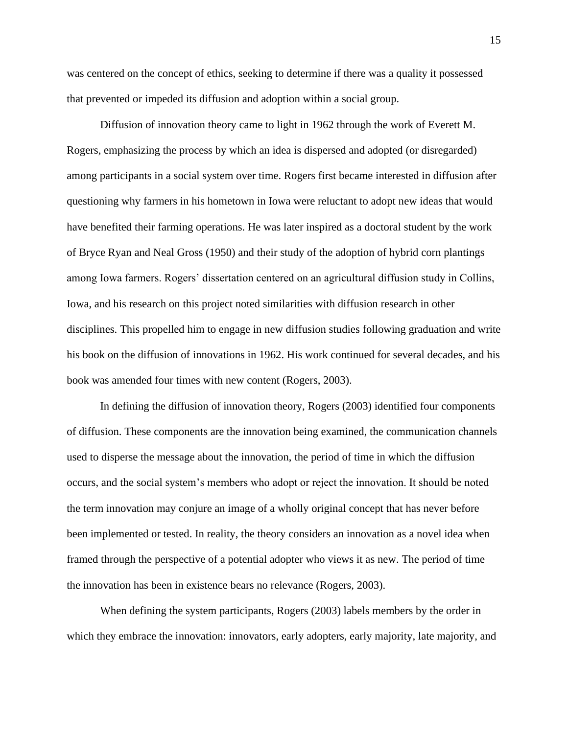was centered on the concept of ethics, seeking to determine if there was a quality it possessed that prevented or impeded its diffusion and adoption within a social group.

Diffusion of innovation theory came to light in 1962 through the work of Everett M. Rogers, emphasizing the process by which an idea is dispersed and adopted (or disregarded) among participants in a social system over time. Rogers first became interested in diffusion after questioning why farmers in his hometown in Iowa were reluctant to adopt new ideas that would have benefited their farming operations. He was later inspired as a doctoral student by the work of Bryce Ryan and Neal Gross (1950) and their study of the adoption of hybrid corn plantings among Iowa farmers. Rogers' dissertation centered on an agricultural diffusion study in Collins, Iowa, and his research on this project noted similarities with diffusion research in other disciplines. This propelled him to engage in new diffusion studies following graduation and write his book on the diffusion of innovations in 1962. His work continued for several decades, and his book was amended four times with new content (Rogers, 2003).

In defining the diffusion of innovation theory, Rogers (2003) identified four components of diffusion. These components are the innovation being examined, the communication channels used to disperse the message about the innovation, the period of time in which the diffusion occurs, and the social system's members who adopt or reject the innovation. It should be noted the term innovation may conjure an image of a wholly original concept that has never before been implemented or tested. In reality, the theory considers an innovation as a novel idea when framed through the perspective of a potential adopter who views it as new. The period of time the innovation has been in existence bears no relevance (Rogers, 2003).

When defining the system participants, Rogers (2003) labels members by the order in which they embrace the innovation: innovators, early adopters, early majority, late majority, and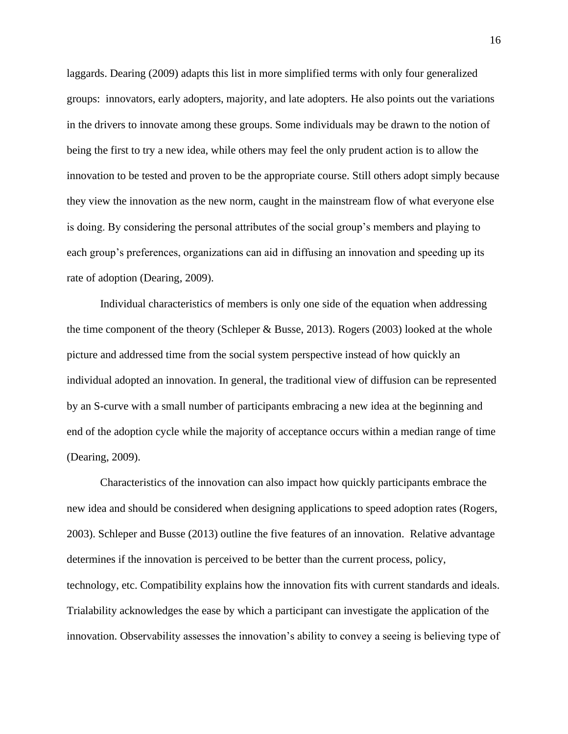laggards. Dearing (2009) adapts this list in more simplified terms with only four generalized groups: innovators, early adopters, majority, and late adopters. He also points out the variations in the drivers to innovate among these groups. Some individuals may be drawn to the notion of being the first to try a new idea, while others may feel the only prudent action is to allow the innovation to be tested and proven to be the appropriate course. Still others adopt simply because they view the innovation as the new norm, caught in the mainstream flow of what everyone else is doing. By considering the personal attributes of the social group's members and playing to each group's preferences, organizations can aid in diffusing an innovation and speeding up its rate of adoption (Dearing, 2009).

Individual characteristics of members is only one side of the equation when addressing the time component of the theory (Schleper & Busse, 2013). Rogers (2003) looked at the whole picture and addressed time from the social system perspective instead of how quickly an individual adopted an innovation. In general, the traditional view of diffusion can be represented by an S-curve with a small number of participants embracing a new idea at the beginning and end of the adoption cycle while the majority of acceptance occurs within a median range of time (Dearing, 2009).

Characteristics of the innovation can also impact how quickly participants embrace the new idea and should be considered when designing applications to speed adoption rates (Rogers, 2003). Schleper and Busse (2013) outline the five features of an innovation. Relative advantage determines if the innovation is perceived to be better than the current process, policy, technology, etc. Compatibility explains how the innovation fits with current standards and ideals. Trialability acknowledges the ease by which a participant can investigate the application of the innovation. Observability assesses the innovation's ability to convey a seeing is believing type of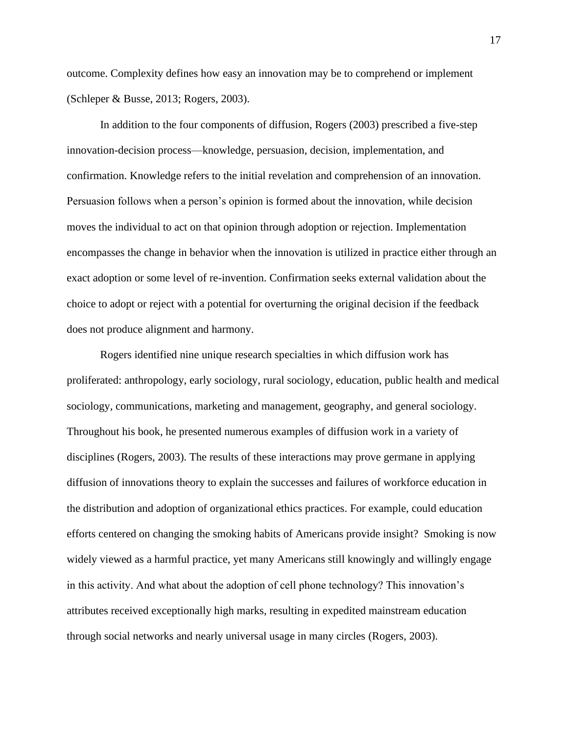outcome. Complexity defines how easy an innovation may be to comprehend or implement (Schleper & Busse, 2013; Rogers, 2003).

In addition to the four components of diffusion, Rogers (2003) prescribed a five-step innovation-decision process—knowledge, persuasion, decision, implementation, and confirmation. Knowledge refers to the initial revelation and comprehension of an innovation. Persuasion follows when a person's opinion is formed about the innovation, while decision moves the individual to act on that opinion through adoption or rejection. Implementation encompasses the change in behavior when the innovation is utilized in practice either through an exact adoption or some level of re-invention. Confirmation seeks external validation about the choice to adopt or reject with a potential for overturning the original decision if the feedback does not produce alignment and harmony.

Rogers identified nine unique research specialties in which diffusion work has proliferated: anthropology, early sociology, rural sociology, education, public health and medical sociology, communications, marketing and management, geography, and general sociology. Throughout his book, he presented numerous examples of diffusion work in a variety of disciplines (Rogers, 2003). The results of these interactions may prove germane in applying diffusion of innovations theory to explain the successes and failures of workforce education in the distribution and adoption of organizational ethics practices. For example, could education efforts centered on changing the smoking habits of Americans provide insight? Smoking is now widely viewed as a harmful practice, yet many Americans still knowingly and willingly engage in this activity. And what about the adoption of cell phone technology? This innovation's attributes received exceptionally high marks, resulting in expedited mainstream education through social networks and nearly universal usage in many circles (Rogers, 2003).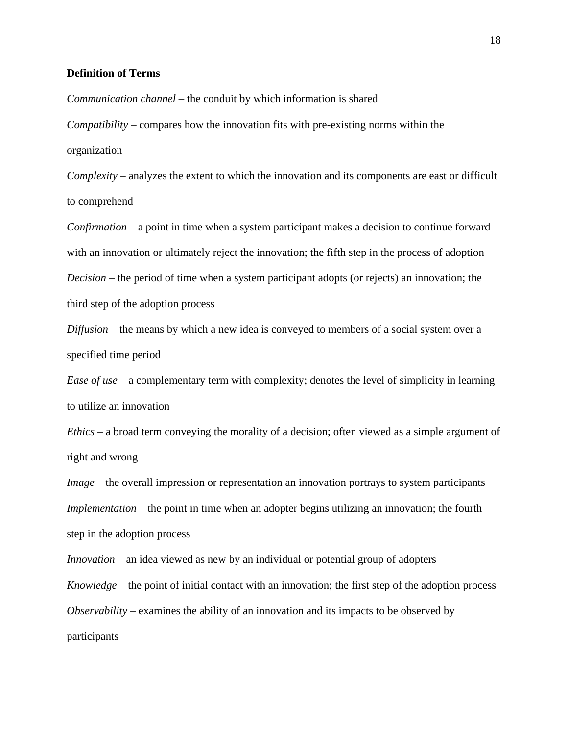#### **Definition of Terms**

*Communication channel* – the conduit by which information is shared

*Compatibility* – compares how the innovation fits with pre-existing norms within the organization

*Complexity* – analyzes the extent to which the innovation and its components are east or difficult to comprehend

*Confirmation* – a point in time when a system participant makes a decision to continue forward with an innovation or ultimately reject the innovation; the fifth step in the process of adoption *Decision* – the period of time when a system participant adopts (or rejects) an innovation; the third step of the adoption process

*Diffusion* – the means by which a new idea is conveyed to members of a social system over a specified time period

*Ease of use* – a complementary term with complexity; denotes the level of simplicity in learning to utilize an innovation

*Ethics* – a broad term conveying the morality of a decision; often viewed as a simple argument of right and wrong

*Image* – the overall impression or representation an innovation portrays to system participants *Implementation* – the point in time when an adopter begins utilizing an innovation; the fourth step in the adoption process

*Innovation* – an idea viewed as new by an individual or potential group of adopters *Knowledge* – the point of initial contact with an innovation; the first step of the adoption process *Observability* – examines the ability of an innovation and its impacts to be observed by participants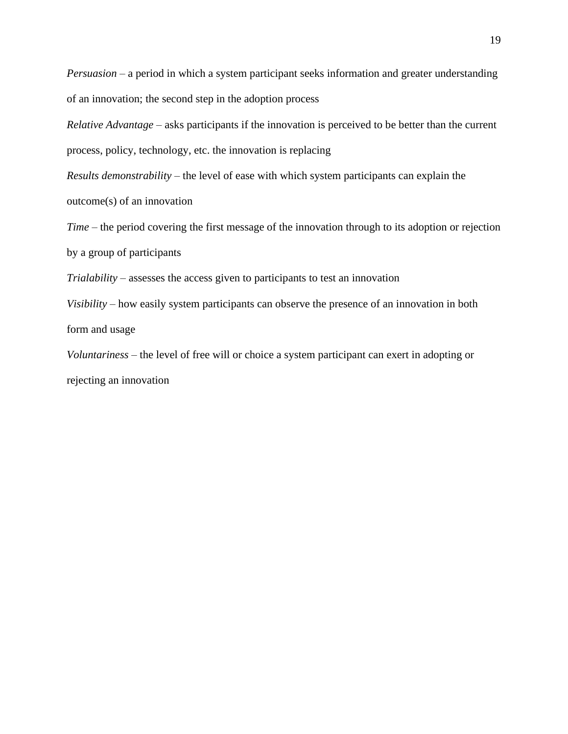*Persuasion* – a period in which a system participant seeks information and greater understanding of an innovation; the second step in the adoption process

*Relative Advantage* – asks participants if the innovation is perceived to be better than the current process, policy, technology, etc. the innovation is replacing

*Results demonstrability* – the level of ease with which system participants can explain the outcome(s) of an innovation

*Time* – the period covering the first message of the innovation through to its adoption or rejection by a group of participants

*Trialability* – assesses the access given to participants to test an innovation

*Visibility* – how easily system participants can observe the presence of an innovation in both form and usage

*Voluntariness* – the level of free will or choice a system participant can exert in adopting or rejecting an innovation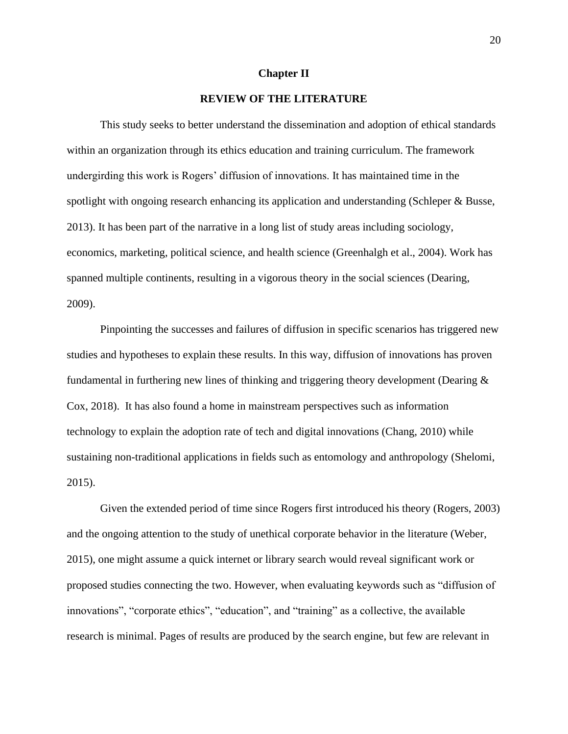#### **Chapter II**

# **REVIEW OF THE LITERATURE**

This study seeks to better understand the dissemination and adoption of ethical standards within an organization through its ethics education and training curriculum. The framework undergirding this work is Rogers' diffusion of innovations. It has maintained time in the spotlight with ongoing research enhancing its application and understanding (Schleper & Busse, 2013). It has been part of the narrative in a long list of study areas including sociology, economics, marketing, political science, and health science (Greenhalgh et al., 2004). Work has spanned multiple continents, resulting in a vigorous theory in the social sciences (Dearing, 2009).

Pinpointing the successes and failures of diffusion in specific scenarios has triggered new studies and hypotheses to explain these results. In this way, diffusion of innovations has proven fundamental in furthering new lines of thinking and triggering theory development (Dearing & Cox, 2018). It has also found a home in mainstream perspectives such as information technology to explain the adoption rate of tech and digital innovations (Chang, 2010) while sustaining non-traditional applications in fields such as entomology and anthropology (Shelomi, 2015).

Given the extended period of time since Rogers first introduced his theory (Rogers, 2003) and the ongoing attention to the study of unethical corporate behavior in the literature (Weber, 2015), one might assume a quick internet or library search would reveal significant work or proposed studies connecting the two. However, when evaluating keywords such as "diffusion of innovations", "corporate ethics", "education", and "training" as a collective, the available research is minimal. Pages of results are produced by the search engine, but few are relevant in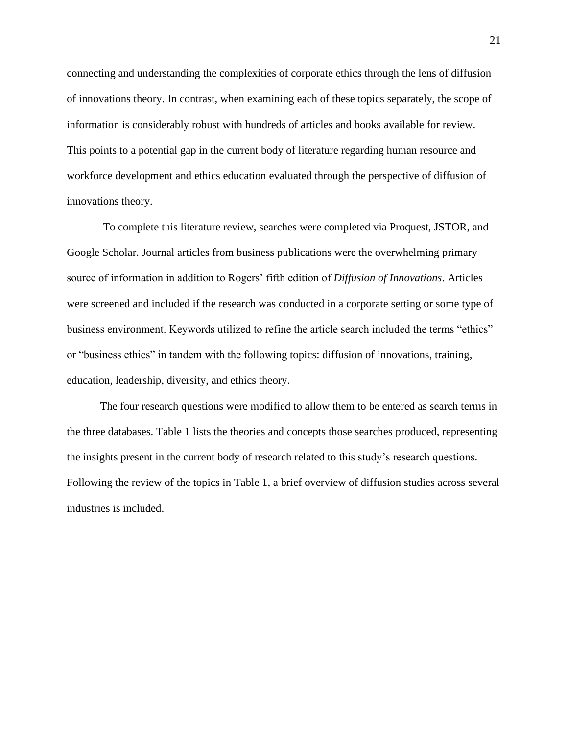connecting and understanding the complexities of corporate ethics through the lens of diffusion of innovations theory. In contrast, when examining each of these topics separately, the scope of information is considerably robust with hundreds of articles and books available for review. This points to a potential gap in the current body of literature regarding human resource and workforce development and ethics education evaluated through the perspective of diffusion of innovations theory.

To complete this literature review, searches were completed via Proquest, JSTOR, and Google Scholar. Journal articles from business publications were the overwhelming primary source of information in addition to Rogers' fifth edition of *Diffusion of Innovations*. Articles were screened and included if the research was conducted in a corporate setting or some type of business environment. Keywords utilized to refine the article search included the terms "ethics" or "business ethics" in tandem with the following topics: diffusion of innovations, training, education, leadership, diversity, and ethics theory.

The four research questions were modified to allow them to be entered as search terms in the three databases. Table 1 lists the theories and concepts those searches produced, representing the insights present in the current body of research related to this study's research questions. Following the review of the topics in Table 1, a brief overview of diffusion studies across several industries is included.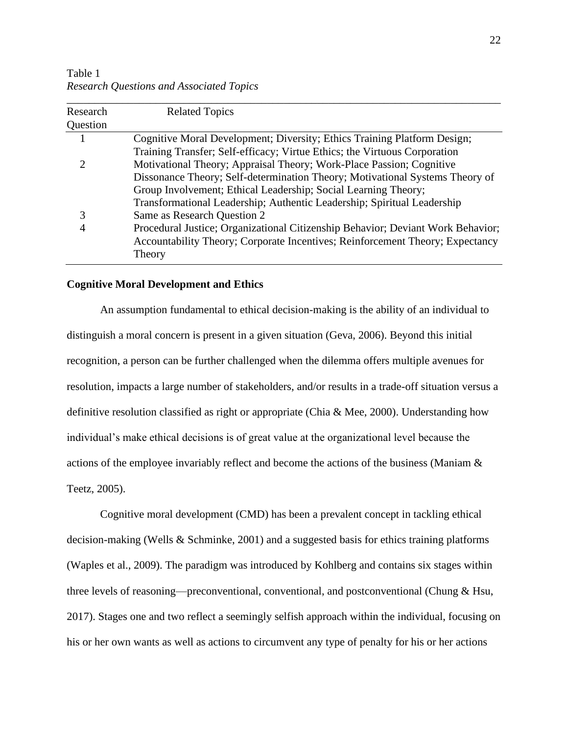| Research<br>Question | <b>Related Topics</b>                                                           |
|----------------------|---------------------------------------------------------------------------------|
|                      | Cognitive Moral Development; Diversity; Ethics Training Platform Design;        |
|                      | Training Transfer; Self-efficacy; Virtue Ethics; the Virtuous Corporation       |
| 2                    | Motivational Theory; Appraisal Theory; Work-Place Passion; Cognitive            |
|                      | Dissonance Theory; Self-determination Theory; Motivational Systems Theory of    |
|                      | Group Involvement; Ethical Leadership; Social Learning Theory;                  |
|                      | Transformational Leadership; Authentic Leadership; Spiritual Leadership         |
| 3                    | Same as Research Question 2                                                     |
| 4                    | Procedural Justice; Organizational Citizenship Behavior; Deviant Work Behavior; |
|                      | Accountability Theory; Corporate Incentives; Reinforcement Theory; Expectancy   |
|                      | Theory                                                                          |

Table 1 *Research Questions and Associated Topics*

#### **Cognitive Moral Development and Ethics**

An assumption fundamental to ethical decision-making is the ability of an individual to distinguish a moral concern is present in a given situation (Geva, 2006). Beyond this initial recognition, a person can be further challenged when the dilemma offers multiple avenues for resolution, impacts a large number of stakeholders, and/or results in a trade-off situation versus a definitive resolution classified as right or appropriate (Chia & Mee, 2000). Understanding how individual's make ethical decisions is of great value at the organizational level because the actions of the employee invariably reflect and become the actions of the business (Maniam & Teetz, 2005).

Cognitive moral development (CMD) has been a prevalent concept in tackling ethical decision-making (Wells & Schminke, 2001) and a suggested basis for ethics training platforms (Waples et al., 2009). The paradigm was introduced by Kohlberg and contains six stages within three levels of reasoning—preconventional, conventional, and postconventional (Chung & Hsu, 2017). Stages one and two reflect a seemingly selfish approach within the individual, focusing on his or her own wants as well as actions to circumvent any type of penalty for his or her actions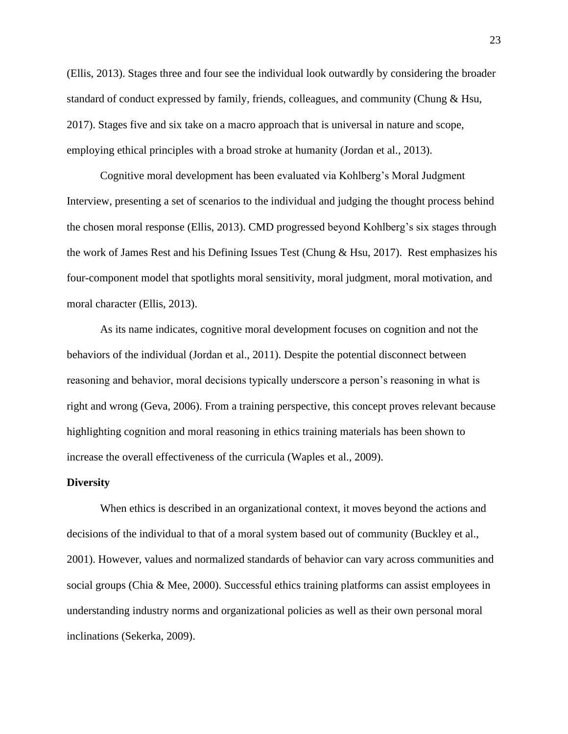(Ellis, 2013). Stages three and four see the individual look outwardly by considering the broader standard of conduct expressed by family, friends, colleagues, and community (Chung & Hsu, 2017). Stages five and six take on a macro approach that is universal in nature and scope, employing ethical principles with a broad stroke at humanity (Jordan et al., 2013).

Cognitive moral development has been evaluated via Kohlberg's Moral Judgment Interview, presenting a set of scenarios to the individual and judging the thought process behind the chosen moral response (Ellis, 2013). CMD progressed beyond Kohlberg's six stages through the work of James Rest and his Defining Issues Test (Chung  $\&$  Hsu, 2017). Rest emphasizes his four-component model that spotlights moral sensitivity, moral judgment, moral motivation, and moral character (Ellis, 2013).

As its name indicates, cognitive moral development focuses on cognition and not the behaviors of the individual (Jordan et al., 2011). Despite the potential disconnect between reasoning and behavior, moral decisions typically underscore a person's reasoning in what is right and wrong (Geva, 2006). From a training perspective, this concept proves relevant because highlighting cognition and moral reasoning in ethics training materials has been shown to increase the overall effectiveness of the curricula (Waples et al., 2009).

#### **Diversity**

When ethics is described in an organizational context, it moves beyond the actions and decisions of the individual to that of a moral system based out of community (Buckley et al., 2001). However, values and normalized standards of behavior can vary across communities and social groups (Chia & Mee, 2000). Successful ethics training platforms can assist employees in understanding industry norms and organizational policies as well as their own personal moral inclinations (Sekerka, 2009).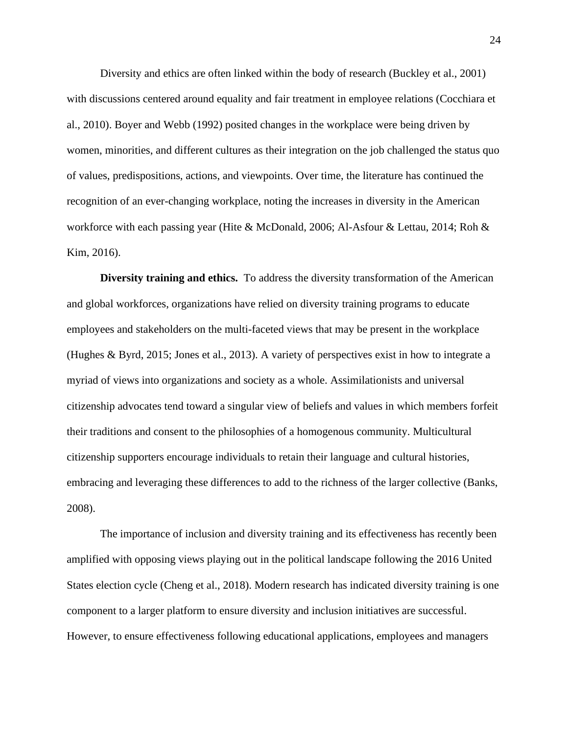Diversity and ethics are often linked within the body of research (Buckley et al., 2001) with discussions centered around equality and fair treatment in employee relations (Cocchiara et al., 2010). Boyer and Webb (1992) posited changes in the workplace were being driven by women, minorities, and different cultures as their integration on the job challenged the status quo of values, predispositions, actions, and viewpoints. Over time, the literature has continued the recognition of an ever-changing workplace, noting the increases in diversity in the American workforce with each passing year (Hite & McDonald, 2006; Al-Asfour & Lettau, 2014; Roh & Kim, 2016).

**Diversity training and ethics.** To address the diversity transformation of the American and global workforces, organizations have relied on diversity training programs to educate employees and stakeholders on the multi-faceted views that may be present in the workplace (Hughes & Byrd, 2015; Jones et al., 2013). A variety of perspectives exist in how to integrate a myriad of views into organizations and society as a whole. Assimilationists and universal citizenship advocates tend toward a singular view of beliefs and values in which members forfeit their traditions and consent to the philosophies of a homogenous community. Multicultural citizenship supporters encourage individuals to retain their language and cultural histories, embracing and leveraging these differences to add to the richness of the larger collective (Banks, 2008).

The importance of inclusion and diversity training and its effectiveness has recently been amplified with opposing views playing out in the political landscape following the 2016 United States election cycle (Cheng et al., 2018). Modern research has indicated diversity training is one component to a larger platform to ensure diversity and inclusion initiatives are successful. However, to ensure effectiveness following educational applications, employees and managers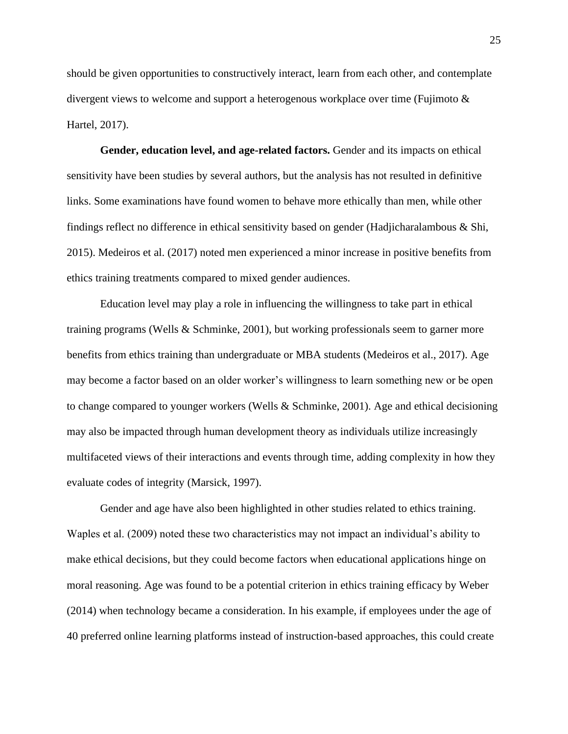should be given opportunities to constructively interact, learn from each other, and contemplate divergent views to welcome and support a heterogenous workplace over time (Fujimoto & Hartel, 2017).

**Gender, education level, and age-related factors.** Gender and its impacts on ethical sensitivity have been studies by several authors, but the analysis has not resulted in definitive links. Some examinations have found women to behave more ethically than men, while other findings reflect no difference in ethical sensitivity based on gender (Hadjicharalambous & Shi, 2015). Medeiros et al. (2017) noted men experienced a minor increase in positive benefits from ethics training treatments compared to mixed gender audiences.

Education level may play a role in influencing the willingness to take part in ethical training programs (Wells & Schminke, 2001), but working professionals seem to garner more benefits from ethics training than undergraduate or MBA students (Medeiros et al., 2017). Age may become a factor based on an older worker's willingness to learn something new or be open to change compared to younger workers (Wells & Schminke, 2001). Age and ethical decisioning may also be impacted through human development theory as individuals utilize increasingly multifaceted views of their interactions and events through time, adding complexity in how they evaluate codes of integrity (Marsick, 1997).

Gender and age have also been highlighted in other studies related to ethics training. Waples et al. (2009) noted these two characteristics may not impact an individual's ability to make ethical decisions, but they could become factors when educational applications hinge on moral reasoning. Age was found to be a potential criterion in ethics training efficacy by Weber (2014) when technology became a consideration. In his example, if employees under the age of 40 preferred online learning platforms instead of instruction-based approaches, this could create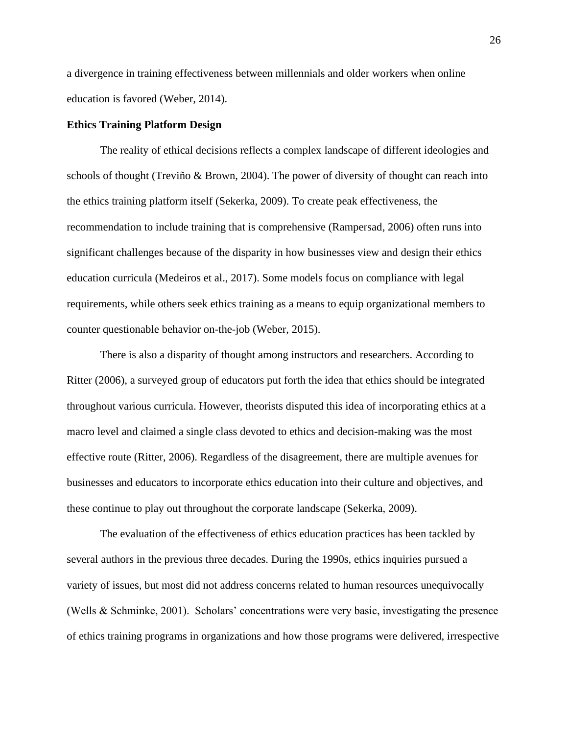a divergence in training effectiveness between millennials and older workers when online education is favored (Weber, 2014).

#### **Ethics Training Platform Design**

The reality of ethical decisions reflects a complex landscape of different ideologies and schools of thought (Treviño & Brown, 2004). The power of diversity of thought can reach into the ethics training platform itself (Sekerka, 2009). To create peak effectiveness, the recommendation to include training that is comprehensive (Rampersad, 2006) often runs into significant challenges because of the disparity in how businesses view and design their ethics education curricula (Medeiros et al., 2017). Some models focus on compliance with legal requirements, while others seek ethics training as a means to equip organizational members to counter questionable behavior on-the-job (Weber, 2015).

There is also a disparity of thought among instructors and researchers. According to Ritter (2006), a surveyed group of educators put forth the idea that ethics should be integrated throughout various curricula. However, theorists disputed this idea of incorporating ethics at a macro level and claimed a single class devoted to ethics and decision-making was the most effective route (Ritter, 2006). Regardless of the disagreement, there are multiple avenues for businesses and educators to incorporate ethics education into their culture and objectives, and these continue to play out throughout the corporate landscape (Sekerka, 2009).

The evaluation of the effectiveness of ethics education practices has been tackled by several authors in the previous three decades. During the 1990s, ethics inquiries pursued a variety of issues, but most did not address concerns related to human resources unequivocally (Wells & Schminke, 2001). Scholars' concentrations were very basic, investigating the presence of ethics training programs in organizations and how those programs were delivered, irrespective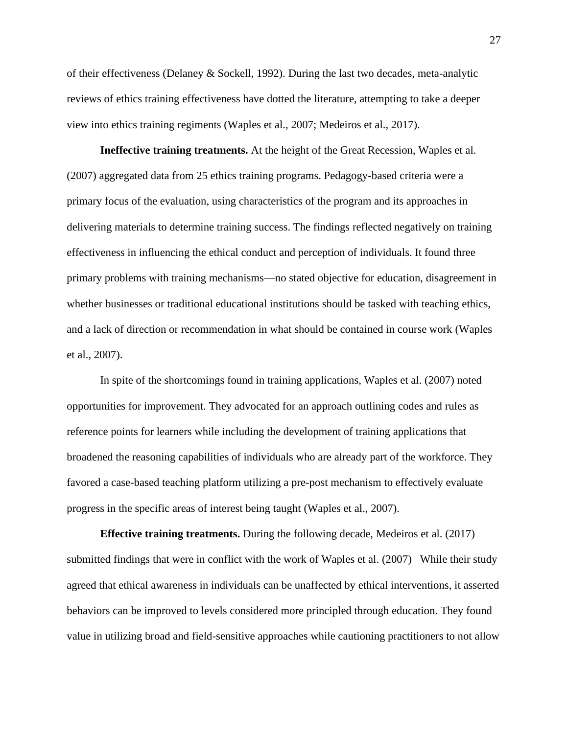of their effectiveness (Delaney & Sockell, 1992). During the last two decades, meta-analytic reviews of ethics training effectiveness have dotted the literature, attempting to take a deeper view into ethics training regiments (Waples et al., 2007; Medeiros et al., 2017).

**Ineffective training treatments.** At the height of the Great Recession, Waples et al. (2007) aggregated data from 25 ethics training programs. Pedagogy-based criteria were a primary focus of the evaluation, using characteristics of the program and its approaches in delivering materials to determine training success. The findings reflected negatively on training effectiveness in influencing the ethical conduct and perception of individuals. It found three primary problems with training mechanisms—no stated objective for education, disagreement in whether businesses or traditional educational institutions should be tasked with teaching ethics, and a lack of direction or recommendation in what should be contained in course work (Waples et al., 2007).

In spite of the shortcomings found in training applications, Waples et al. (2007) noted opportunities for improvement. They advocated for an approach outlining codes and rules as reference points for learners while including the development of training applications that broadened the reasoning capabilities of individuals who are already part of the workforce. They favored a case-based teaching platform utilizing a pre-post mechanism to effectively evaluate progress in the specific areas of interest being taught (Waples et al., 2007).

**Effective training treatments.** During the following decade, Medeiros et al. (2017) submitted findings that were in conflict with the work of Waples et al. (2007) While their study agreed that ethical awareness in individuals can be unaffected by ethical interventions, it asserted behaviors can be improved to levels considered more principled through education. They found value in utilizing broad and field-sensitive approaches while cautioning practitioners to not allow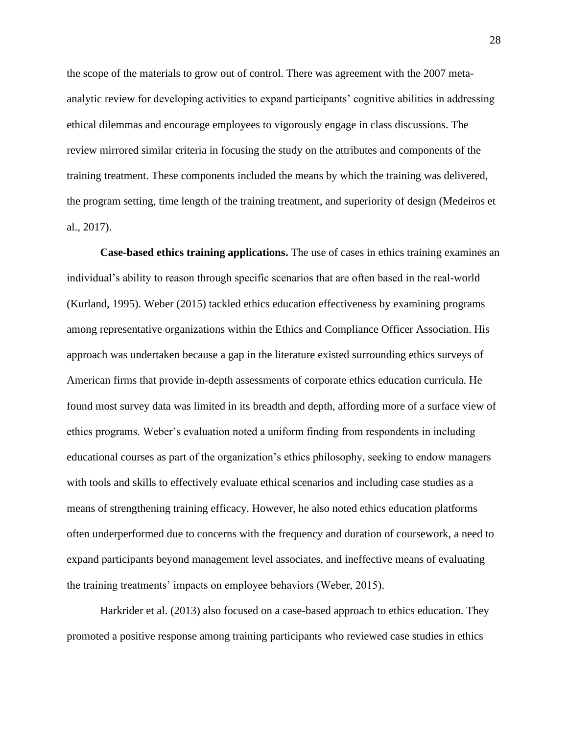the scope of the materials to grow out of control. There was agreement with the 2007 metaanalytic review for developing activities to expand participants' cognitive abilities in addressing ethical dilemmas and encourage employees to vigorously engage in class discussions. The review mirrored similar criteria in focusing the study on the attributes and components of the training treatment. These components included the means by which the training was delivered, the program setting, time length of the training treatment, and superiority of design (Medeiros et al., 2017).

**Case-based ethics training applications.** The use of cases in ethics training examines an individual's ability to reason through specific scenarios that are often based in the real-world (Kurland, 1995). Weber (2015) tackled ethics education effectiveness by examining programs among representative organizations within the Ethics and Compliance Officer Association. His approach was undertaken because a gap in the literature existed surrounding ethics surveys of American firms that provide in-depth assessments of corporate ethics education curricula. He found most survey data was limited in its breadth and depth, affording more of a surface view of ethics programs. Weber's evaluation noted a uniform finding from respondents in including educational courses as part of the organization's ethics philosophy, seeking to endow managers with tools and skills to effectively evaluate ethical scenarios and including case studies as a means of strengthening training efficacy. However, he also noted ethics education platforms often underperformed due to concerns with the frequency and duration of coursework, a need to expand participants beyond management level associates, and ineffective means of evaluating the training treatments' impacts on employee behaviors (Weber, 2015).

Harkrider et al. (2013) also focused on a case-based approach to ethics education. They promoted a positive response among training participants who reviewed case studies in ethics

28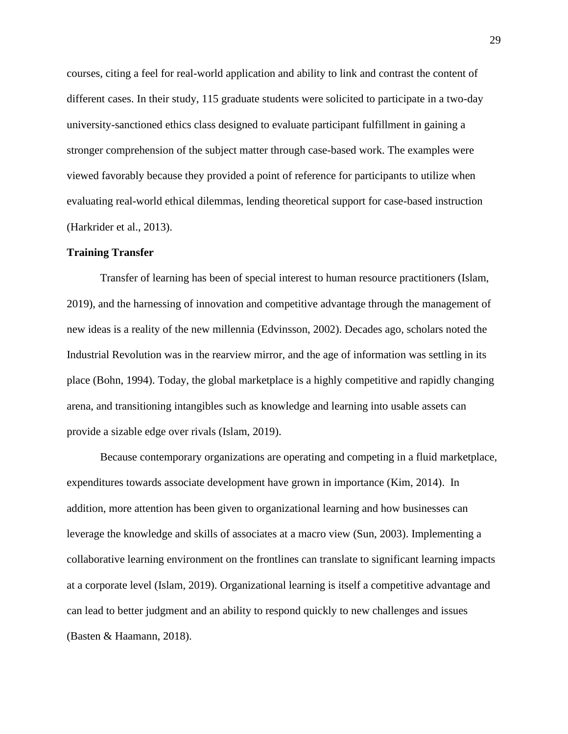courses, citing a feel for real-world application and ability to link and contrast the content of different cases. In their study, 115 graduate students were solicited to participate in a two-day university-sanctioned ethics class designed to evaluate participant fulfillment in gaining a stronger comprehension of the subject matter through case-based work. The examples were viewed favorably because they provided a point of reference for participants to utilize when evaluating real-world ethical dilemmas, lending theoretical support for case-based instruction (Harkrider et al., 2013).

#### **Training Transfer**

Transfer of learning has been of special interest to human resource practitioners (Islam, 2019), and the harnessing of innovation and competitive advantage through the management of new ideas is a reality of the new millennia (Edvinsson, 2002). Decades ago, scholars noted the Industrial Revolution was in the rearview mirror, and the age of information was settling in its place (Bohn, 1994). Today, the global marketplace is a highly competitive and rapidly changing arena, and transitioning intangibles such as knowledge and learning into usable assets can provide a sizable edge over rivals (Islam, 2019).

Because contemporary organizations are operating and competing in a fluid marketplace, expenditures towards associate development have grown in importance (Kim, 2014). In addition, more attention has been given to organizational learning and how businesses can leverage the knowledge and skills of associates at a macro view (Sun, 2003). Implementing a collaborative learning environment on the frontlines can translate to significant learning impacts at a corporate level (Islam, 2019). Organizational learning is itself a competitive advantage and can lead to better judgment and an ability to respond quickly to new challenges and issues (Basten & Haamann, 2018).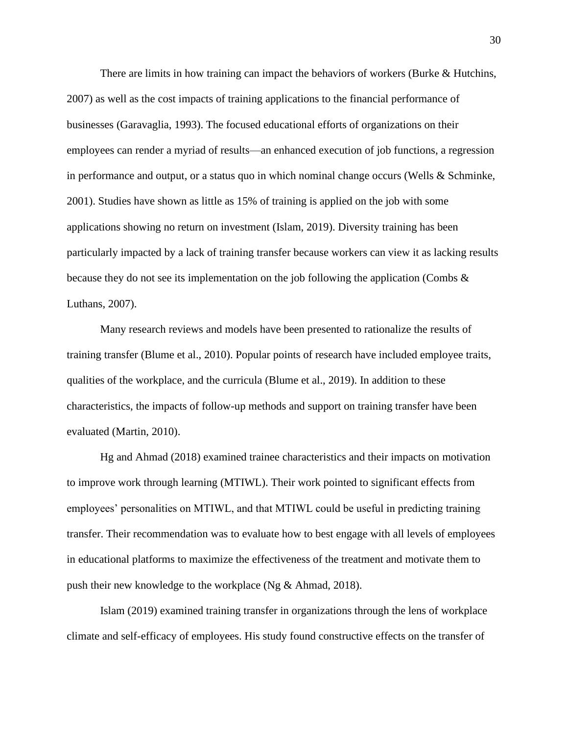There are limits in how training can impact the behaviors of workers (Burke & Hutchins, 2007) as well as the cost impacts of training applications to the financial performance of businesses (Garavaglia, 1993). The focused educational efforts of organizations on their employees can render a myriad of results—an enhanced execution of job functions, a regression in performance and output, or a status quo in which nominal change occurs (Wells & Schminke, 2001). Studies have shown as little as 15% of training is applied on the job with some applications showing no return on investment (Islam, 2019). Diversity training has been particularly impacted by a lack of training transfer because workers can view it as lacking results because they do not see its implementation on the job following the application (Combs & Luthans, 2007).

Many research reviews and models have been presented to rationalize the results of training transfer (Blume et al., 2010). Popular points of research have included employee traits, qualities of the workplace, and the curricula (Blume et al., 2019). In addition to these characteristics, the impacts of follow-up methods and support on training transfer have been evaluated (Martin, 2010).

Hg and Ahmad (2018) examined trainee characteristics and their impacts on motivation to improve work through learning (MTIWL). Their work pointed to significant effects from employees' personalities on MTIWL, and that MTIWL could be useful in predicting training transfer. Their recommendation was to evaluate how to best engage with all levels of employees in educational platforms to maximize the effectiveness of the treatment and motivate them to push their new knowledge to the workplace (Ng & Ahmad, 2018).

Islam (2019) examined training transfer in organizations through the lens of workplace climate and self-efficacy of employees. His study found constructive effects on the transfer of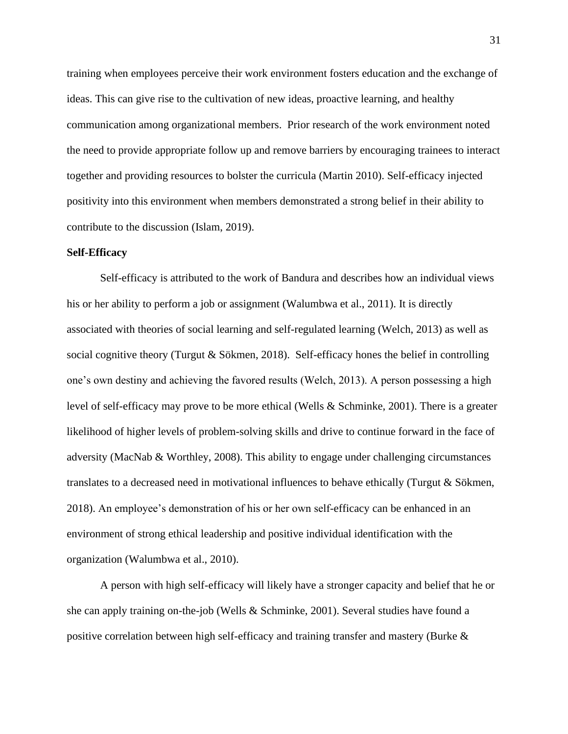training when employees perceive their work environment fosters education and the exchange of ideas. This can give rise to the cultivation of new ideas, proactive learning, and healthy communication among organizational members. Prior research of the work environment noted the need to provide appropriate follow up and remove barriers by encouraging trainees to interact together and providing resources to bolster the curricula (Martin 2010). Self-efficacy injected positivity into this environment when members demonstrated a strong belief in their ability to contribute to the discussion (Islam, 2019).

### **Self-Efficacy**

Self-efficacy is attributed to the work of Bandura and describes how an individual views his or her ability to perform a job or assignment (Walumbwa et al., 2011). It is directly associated with theories of social learning and self-regulated learning (Welch, 2013) as well as social cognitive theory (Turgut & Sökmen, 2018). Self-efficacy hones the belief in controlling one's own destiny and achieving the favored results (Welch, 2013). A person possessing a high level of self-efficacy may prove to be more ethical (Wells & Schminke, 2001). There is a greater likelihood of higher levels of problem-solving skills and drive to continue forward in the face of adversity (MacNab & Worthley, 2008). This ability to engage under challenging circumstances translates to a decreased need in motivational influences to behave ethically (Turgut & Sökmen, 2018). An employee's demonstration of his or her own self-efficacy can be enhanced in an environment of strong ethical leadership and positive individual identification with the organization (Walumbwa et al., 2010).

A person with high self-efficacy will likely have a stronger capacity and belief that he or she can apply training on-the-job (Wells & Schminke, 2001). Several studies have found a positive correlation between high self-efficacy and training transfer and mastery (Burke &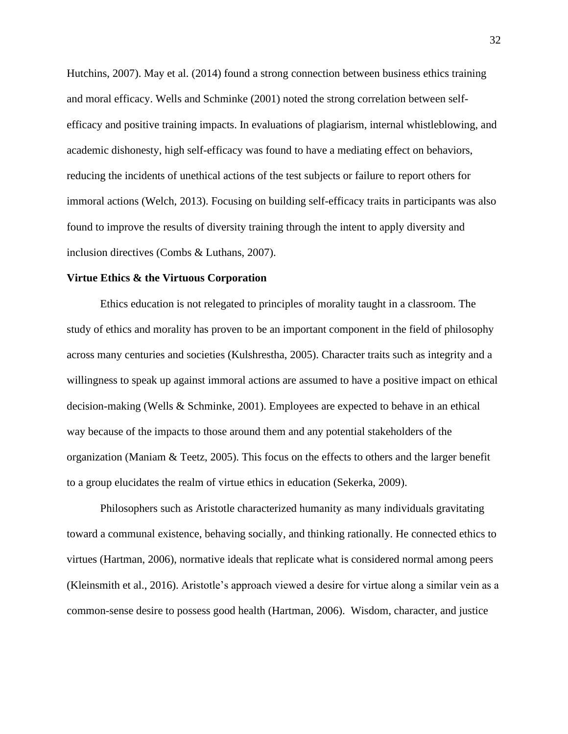Hutchins, 2007). May et al. (2014) found a strong connection between business ethics training and moral efficacy. Wells and Schminke (2001) noted the strong correlation between selfefficacy and positive training impacts. In evaluations of plagiarism, internal whistleblowing, and academic dishonesty, high self-efficacy was found to have a mediating effect on behaviors, reducing the incidents of unethical actions of the test subjects or failure to report others for immoral actions (Welch, 2013). Focusing on building self-efficacy traits in participants was also found to improve the results of diversity training through the intent to apply diversity and inclusion directives (Combs & Luthans, 2007).

## **Virtue Ethics & the Virtuous Corporation**

Ethics education is not relegated to principles of morality taught in a classroom. The study of ethics and morality has proven to be an important component in the field of philosophy across many centuries and societies (Kulshrestha, 2005). Character traits such as integrity and a willingness to speak up against immoral actions are assumed to have a positive impact on ethical decision-making (Wells & Schminke, 2001). Employees are expected to behave in an ethical way because of the impacts to those around them and any potential stakeholders of the organization (Maniam & Teetz, 2005). This focus on the effects to others and the larger benefit to a group elucidates the realm of virtue ethics in education (Sekerka, 2009).

Philosophers such as Aristotle characterized humanity as many individuals gravitating toward a communal existence, behaving socially, and thinking rationally. He connected ethics to virtues (Hartman, 2006), normative ideals that replicate what is considered normal among peers (Kleinsmith et al., 2016). Aristotle's approach viewed a desire for virtue along a similar vein as a common-sense desire to possess good health (Hartman, 2006). Wisdom, character, and justice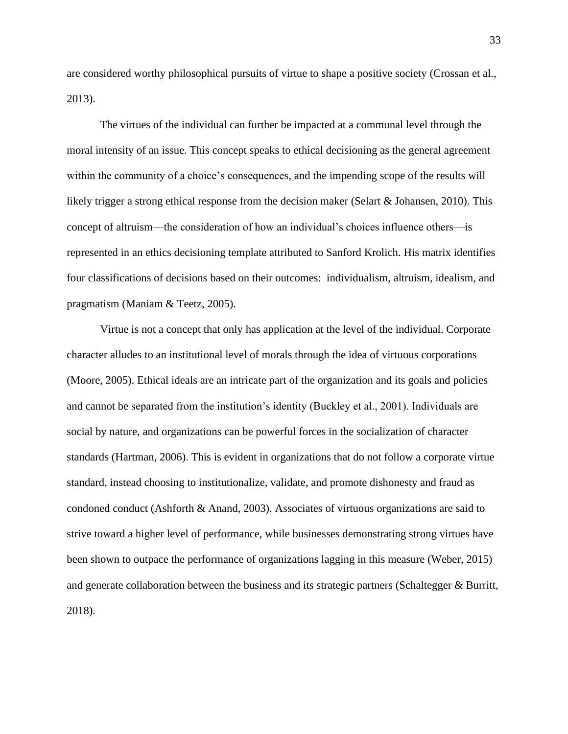are considered worthy philosophical pursuits of virtue to shape a positive society (Crossan et al., 2013).

The virtues of the individual can further be impacted at a communal level through the moral intensity of an issue. This concept speaks to ethical decisioning as the general agreement within the community of a choice's consequences, and the impending scope of the results will likely trigger a strong ethical response from the decision maker (Selart & Johansen, 2010). This concept of altruism—the consideration of how an individual's choices influence others—is represented in an ethics decisioning template attributed to Sanford Krolich. His matrix identifies four classifications of decisions based on their outcomes: individualism, altruism, idealism, and pragmatism (Maniam & Teetz, 2005).

Virtue is not a concept that only has application at the level of the individual. Corporate character alludes to an institutional level of morals through the idea of virtuous corporations (Moore, 2005). Ethical ideals are an intricate part of the organization and its goals and policies and cannot be separated from the institution's identity (Buckley et al., 2001). Individuals are social by nature, and organizations can be powerful forces in the socialization of character standards (Hartman, 2006). This is evident in organizations that do not follow a corporate virtue standard, instead choosing to institutionalize, validate, and promote dishonesty and fraud as condoned conduct (Ashforth & Anand, 2003). Associates of virtuous organizations are said to strive toward a higher level of performance, while businesses demonstrating strong virtues have been shown to outpace the performance of organizations lagging in this measure (Weber, 2015) and generate collaboration between the business and its strategic partners (Schaltegger & Burritt, 2018).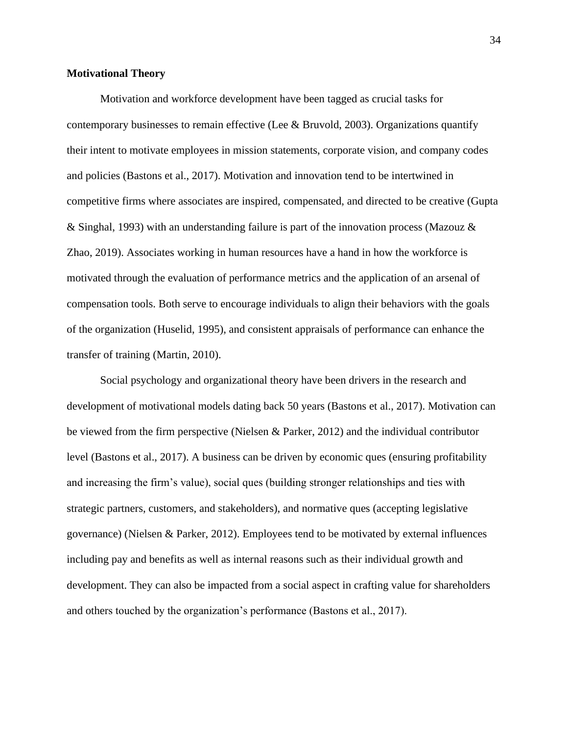#### **Motivational Theory**

Motivation and workforce development have been tagged as crucial tasks for contemporary businesses to remain effective (Lee & Bruvold, 2003). Organizations quantify their intent to motivate employees in mission statements, corporate vision, and company codes and policies (Bastons et al., 2017). Motivation and innovation tend to be intertwined in competitive firms where associates are inspired, compensated, and directed to be creative (Gupta & Singhal, 1993) with an understanding failure is part of the innovation process (Mazouz & Zhao, 2019). Associates working in human resources have a hand in how the workforce is motivated through the evaluation of performance metrics and the application of an arsenal of compensation tools. Both serve to encourage individuals to align their behaviors with the goals of the organization (Huselid, 1995), and consistent appraisals of performance can enhance the transfer of training (Martin, 2010).

Social psychology and organizational theory have been drivers in the research and development of motivational models dating back 50 years (Bastons et al., 2017). Motivation can be viewed from the firm perspective (Nielsen & Parker, 2012) and the individual contributor level (Bastons et al., 2017). A business can be driven by economic ques (ensuring profitability and increasing the firm's value), social ques (building stronger relationships and ties with strategic partners, customers, and stakeholders), and normative ques (accepting legislative governance) (Nielsen & Parker, 2012). Employees tend to be motivated by external influences including pay and benefits as well as internal reasons such as their individual growth and development. They can also be impacted from a social aspect in crafting value for shareholders and others touched by the organization's performance (Bastons et al., 2017).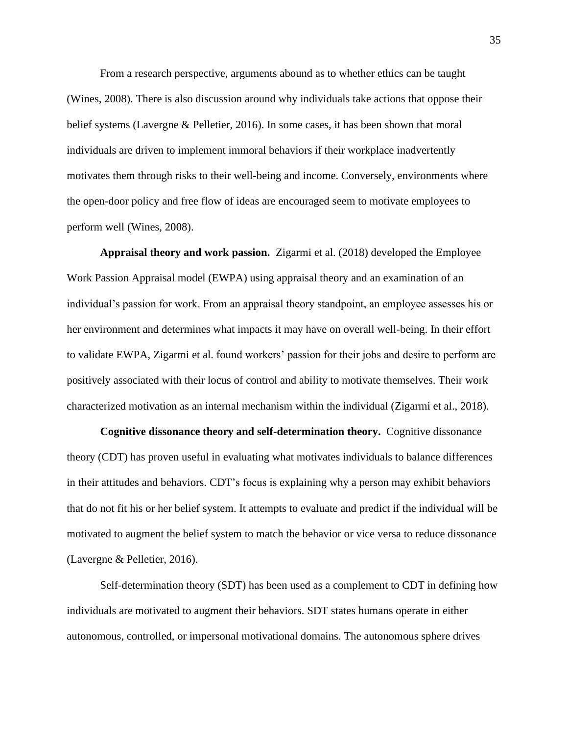From a research perspective, arguments abound as to whether ethics can be taught (Wines, 2008). There is also discussion around why individuals take actions that oppose their belief systems (Lavergne & Pelletier, 2016). In some cases, it has been shown that moral individuals are driven to implement immoral behaviors if their workplace inadvertently motivates them through risks to their well-being and income. Conversely, environments where the open-door policy and free flow of ideas are encouraged seem to motivate employees to perform well (Wines, 2008).

**Appraisal theory and work passion.** Zigarmi et al. (2018) developed the Employee Work Passion Appraisal model (EWPA) using appraisal theory and an examination of an individual's passion for work. From an appraisal theory standpoint, an employee assesses his or her environment and determines what impacts it may have on overall well-being. In their effort to validate EWPA, Zigarmi et al. found workers' passion for their jobs and desire to perform are positively associated with their locus of control and ability to motivate themselves. Their work characterized motivation as an internal mechanism within the individual (Zigarmi et al., 2018).

**Cognitive dissonance theory and self-determination theory.**Cognitive dissonance theory (CDT) has proven useful in evaluating what motivates individuals to balance differences in their attitudes and behaviors. CDT's focus is explaining why a person may exhibit behaviors that do not fit his or her belief system. It attempts to evaluate and predict if the individual will be motivated to augment the belief system to match the behavior or vice versa to reduce dissonance (Lavergne & Pelletier, 2016).

Self-determination theory (SDT) has been used as a complement to CDT in defining how individuals are motivated to augment their behaviors. SDT states humans operate in either autonomous, controlled, or impersonal motivational domains. The autonomous sphere drives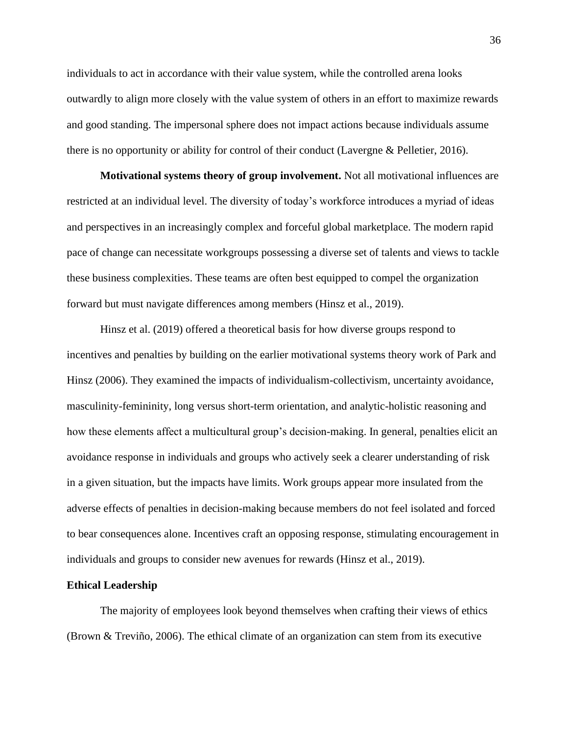individuals to act in accordance with their value system, while the controlled arena looks outwardly to align more closely with the value system of others in an effort to maximize rewards and good standing. The impersonal sphere does not impact actions because individuals assume there is no opportunity or ability for control of their conduct (Lavergne & Pelletier, 2016).

**Motivational systems theory of group involvement.** Not all motivational influences are restricted at an individual level. The diversity of today's workforce introduces a myriad of ideas and perspectives in an increasingly complex and forceful global marketplace. The modern rapid pace of change can necessitate workgroups possessing a diverse set of talents and views to tackle these business complexities. These teams are often best equipped to compel the organization forward but must navigate differences among members (Hinsz et al., 2019).

Hinsz et al. (2019) offered a theoretical basis for how diverse groups respond to incentives and penalties by building on the earlier motivational systems theory work of Park and Hinsz (2006). They examined the impacts of individualism-collectivism, uncertainty avoidance, masculinity-femininity, long versus short-term orientation, and analytic-holistic reasoning and how these elements affect a multicultural group's decision-making. In general, penalties elicit an avoidance response in individuals and groups who actively seek a clearer understanding of risk in a given situation, but the impacts have limits. Work groups appear more insulated from the adverse effects of penalties in decision-making because members do not feel isolated and forced to bear consequences alone. Incentives craft an opposing response, stimulating encouragement in individuals and groups to consider new avenues for rewards (Hinsz et al., 2019).

### **Ethical Leadership**

The majority of employees look beyond themselves when crafting their views of ethics (Brown & Treviño, 2006). The ethical climate of an organization can stem from its executive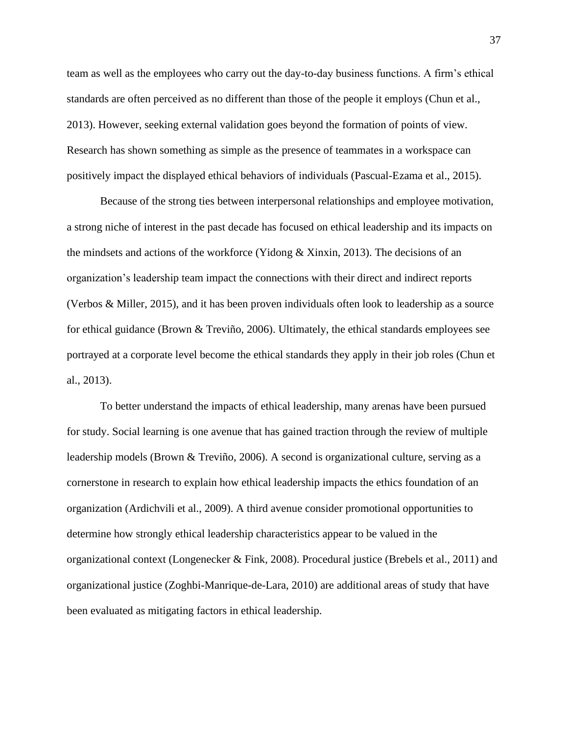team as well as the employees who carry out the day-to-day business functions. A firm's ethical standards are often perceived as no different than those of the people it employs (Chun et al., 2013). However, seeking external validation goes beyond the formation of points of view. Research has shown something as simple as the presence of teammates in a workspace can positively impact the displayed ethical behaviors of individuals (Pascual-Ezama et al., 2015).

Because of the strong ties between interpersonal relationships and employee motivation, a strong niche of interest in the past decade has focused on ethical leadership and its impacts on the mindsets and actions of the workforce (Yidong & Xinxin, 2013). The decisions of an organization's leadership team impact the connections with their direct and indirect reports (Verbos & Miller, 2015), and it has been proven individuals often look to leadership as a source for ethical guidance (Brown  $&$  Treviño, 2006). Ultimately, the ethical standards employees see portrayed at a corporate level become the ethical standards they apply in their job roles (Chun et al., 2013).

To better understand the impacts of ethical leadership, many arenas have been pursued for study. Social learning is one avenue that has gained traction through the review of multiple leadership models (Brown & Treviño, 2006). A second is organizational culture, serving as a cornerstone in research to explain how ethical leadership impacts the ethics foundation of an organization (Ardichvili et al., 2009). A third avenue consider promotional opportunities to determine how strongly ethical leadership characteristics appear to be valued in the organizational context (Longenecker & Fink, 2008). Procedural justice (Brebels et al., 2011) and organizational justice (Zoghbi-Manrique-de-Lara, 2010) are additional areas of study that have been evaluated as mitigating factors in ethical leadership.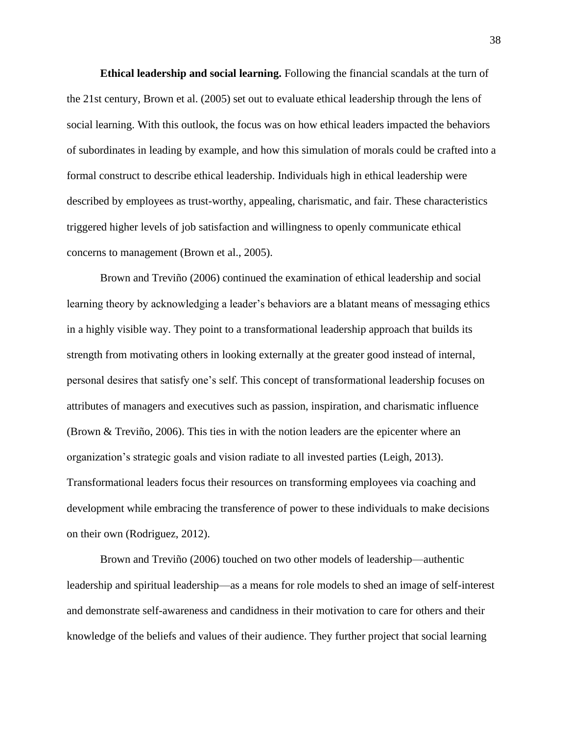**Ethical leadership and social learning.** Following the financial scandals at the turn of the 21st century, Brown et al. (2005) set out to evaluate ethical leadership through the lens of social learning. With this outlook, the focus was on how ethical leaders impacted the behaviors of subordinates in leading by example, and how this simulation of morals could be crafted into a formal construct to describe ethical leadership. Individuals high in ethical leadership were described by employees as trust-worthy, appealing, charismatic, and fair. These characteristics triggered higher levels of job satisfaction and willingness to openly communicate ethical concerns to management (Brown et al., 2005).

Brown and Treviño (2006) continued the examination of ethical leadership and social learning theory by acknowledging a leader's behaviors are a blatant means of messaging ethics in a highly visible way. They point to a transformational leadership approach that builds its strength from motivating others in looking externally at the greater good instead of internal, personal desires that satisfy one's self. This concept of transformational leadership focuses on attributes of managers and executives such as passion, inspiration, and charismatic influence (Brown & Treviño, 2006). This ties in with the notion leaders are the epicenter where an organization's strategic goals and vision radiate to all invested parties (Leigh, 2013). Transformational leaders focus their resources on transforming employees via coaching and development while embracing the transference of power to these individuals to make decisions on their own (Rodriguez, 2012).

Brown and Treviño (2006) touched on two other models of leadership—authentic leadership and spiritual leadership—as a means for role models to shed an image of self-interest and demonstrate self-awareness and candidness in their motivation to care for others and their knowledge of the beliefs and values of their audience. They further project that social learning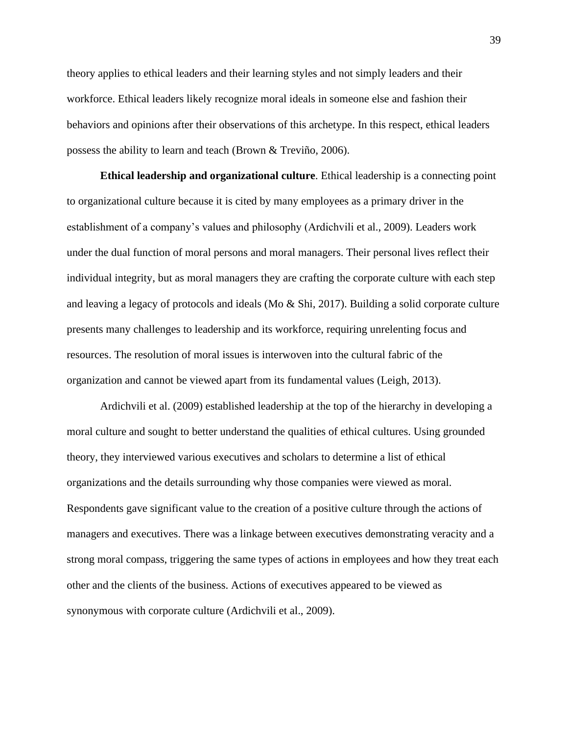theory applies to ethical leaders and their learning styles and not simply leaders and their workforce. Ethical leaders likely recognize moral ideals in someone else and fashion their behaviors and opinions after their observations of this archetype. In this respect, ethical leaders possess the ability to learn and teach (Brown & Treviño, 2006).

**Ethical leadership and organizational culture**. Ethical leadership is a connecting point to organizational culture because it is cited by many employees as a primary driver in the establishment of a company's values and philosophy (Ardichvili et al., 2009). Leaders work under the dual function of moral persons and moral managers. Their personal lives reflect their individual integrity, but as moral managers they are crafting the corporate culture with each step and leaving a legacy of protocols and ideals (Mo & Shi, 2017). Building a solid corporate culture presents many challenges to leadership and its workforce, requiring unrelenting focus and resources. The resolution of moral issues is interwoven into the cultural fabric of the organization and cannot be viewed apart from its fundamental values (Leigh, 2013).

Ardichvili et al. (2009) established leadership at the top of the hierarchy in developing a moral culture and sought to better understand the qualities of ethical cultures. Using grounded theory, they interviewed various executives and scholars to determine a list of ethical organizations and the details surrounding why those companies were viewed as moral. Respondents gave significant value to the creation of a positive culture through the actions of managers and executives. There was a linkage between executives demonstrating veracity and a strong moral compass, triggering the same types of actions in employees and how they treat each other and the clients of the business. Actions of executives appeared to be viewed as synonymous with corporate culture (Ardichvili et al., 2009).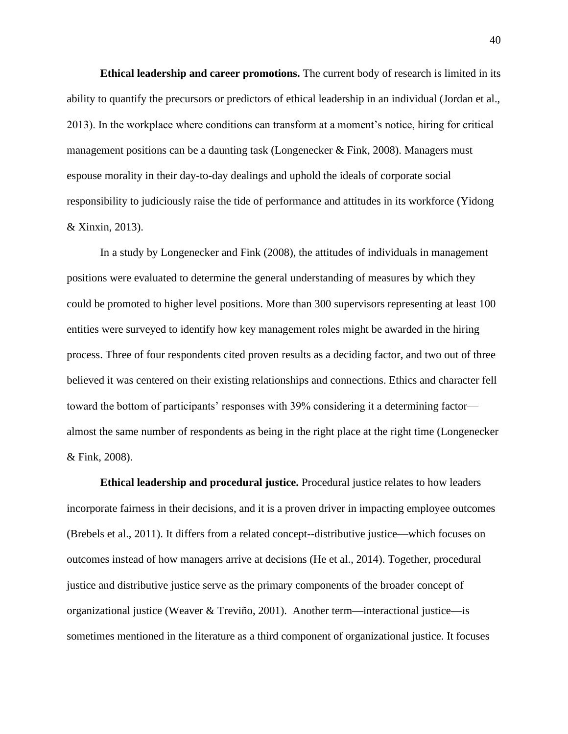**Ethical leadership and career promotions.** The current body of research is limited in its ability to quantify the precursors or predictors of ethical leadership in an individual (Jordan et al., 2013). In the workplace where conditions can transform at a moment's notice, hiring for critical management positions can be a daunting task (Longenecker  $\&$  Fink, 2008). Managers must espouse morality in their day-to-day dealings and uphold the ideals of corporate social responsibility to judiciously raise the tide of performance and attitudes in its workforce (Yidong & Xinxin, 2013).

In a study by Longenecker and Fink (2008), the attitudes of individuals in management positions were evaluated to determine the general understanding of measures by which they could be promoted to higher level positions. More than 300 supervisors representing at least 100 entities were surveyed to identify how key management roles might be awarded in the hiring process. Three of four respondents cited proven results as a deciding factor, and two out of three believed it was centered on their existing relationships and connections. Ethics and character fell toward the bottom of participants' responses with 39% considering it a determining factor almost the same number of respondents as being in the right place at the right time (Longenecker & Fink, 2008).

**Ethical leadership and procedural justice.** Procedural justice relates to how leaders incorporate fairness in their decisions, and it is a proven driver in impacting employee outcomes (Brebels et al., 2011). It differs from a related concept--distributive justice—which focuses on outcomes instead of how managers arrive at decisions (He et al., 2014). Together, procedural justice and distributive justice serve as the primary components of the broader concept of organizational justice (Weaver & Treviño, 2001). Another term—interactional justice—is sometimes mentioned in the literature as a third component of organizational justice. It focuses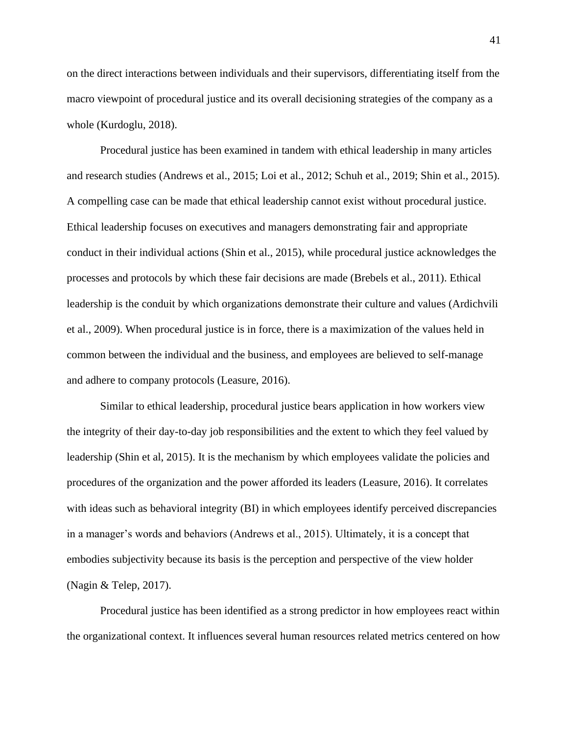on the direct interactions between individuals and their supervisors, differentiating itself from the macro viewpoint of procedural justice and its overall decisioning strategies of the company as a whole (Kurdoglu, 2018).

Procedural justice has been examined in tandem with ethical leadership in many articles and research studies (Andrews et al., 2015; Loi et al., 2012; Schuh et al., 2019; Shin et al., 2015). A compelling case can be made that ethical leadership cannot exist without procedural justice. Ethical leadership focuses on executives and managers demonstrating fair and appropriate conduct in their individual actions (Shin et al., 2015), while procedural justice acknowledges the processes and protocols by which these fair decisions are made (Brebels et al., 2011). Ethical leadership is the conduit by which organizations demonstrate their culture and values (Ardichvili et al., 2009). When procedural justice is in force, there is a maximization of the values held in common between the individual and the business, and employees are believed to self-manage and adhere to company protocols (Leasure, 2016).

Similar to ethical leadership, procedural justice bears application in how workers view the integrity of their day-to-day job responsibilities and the extent to which they feel valued by leadership (Shin et al, 2015). It is the mechanism by which employees validate the policies and procedures of the organization and the power afforded its leaders (Leasure, 2016). It correlates with ideas such as behavioral integrity (BI) in which employees identify perceived discrepancies in a manager's words and behaviors (Andrews et al., 2015). Ultimately, it is a concept that embodies subjectivity because its basis is the perception and perspective of the view holder (Nagin & Telep, 2017).

Procedural justice has been identified as a strong predictor in how employees react within the organizational context. It influences several human resources related metrics centered on how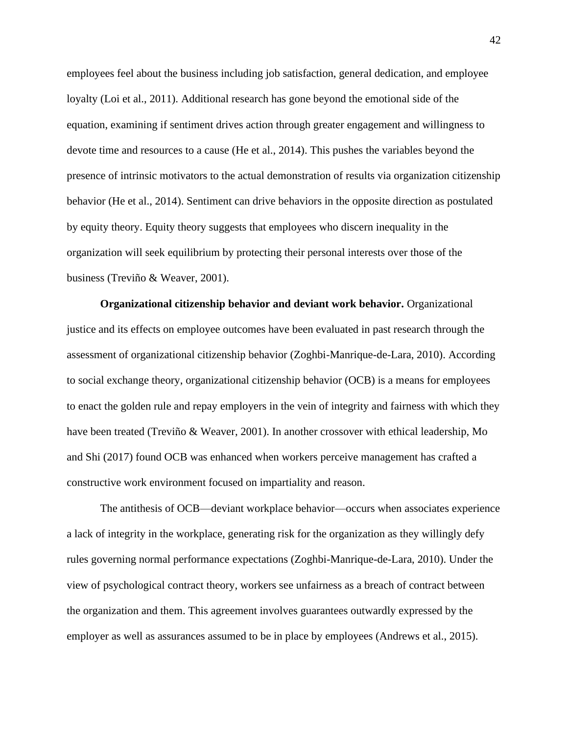employees feel about the business including job satisfaction, general dedication, and employee loyalty (Loi et al., 2011). Additional research has gone beyond the emotional side of the equation, examining if sentiment drives action through greater engagement and willingness to devote time and resources to a cause (He et al., 2014). This pushes the variables beyond the presence of intrinsic motivators to the actual demonstration of results via organization citizenship behavior (He et al., 2014). Sentiment can drive behaviors in the opposite direction as postulated by equity theory. Equity theory suggests that employees who discern inequality in the organization will seek equilibrium by protecting their personal interests over those of the business (Treviño & Weaver, 2001).

**Organizational citizenship behavior and deviant work behavior.** Organizational justice and its effects on employee outcomes have been evaluated in past research through the assessment of organizational citizenship behavior (Zoghbi-Manrique-de-Lara, 2010). According to social exchange theory, organizational citizenship behavior (OCB) is a means for employees to enact the golden rule and repay employers in the vein of integrity and fairness with which they have been treated (Treviño & Weaver, 2001). In another crossover with ethical leadership, Mo and Shi (2017) found OCB was enhanced when workers perceive management has crafted a constructive work environment focused on impartiality and reason.

The antithesis of OCB—deviant workplace behavior—occurs when associates experience a lack of integrity in the workplace, generating risk for the organization as they willingly defy rules governing normal performance expectations (Zoghbi-Manrique-de-Lara, 2010). Under the view of psychological contract theory, workers see unfairness as a breach of contract between the organization and them. This agreement involves guarantees outwardly expressed by the employer as well as assurances assumed to be in place by employees (Andrews et al., 2015).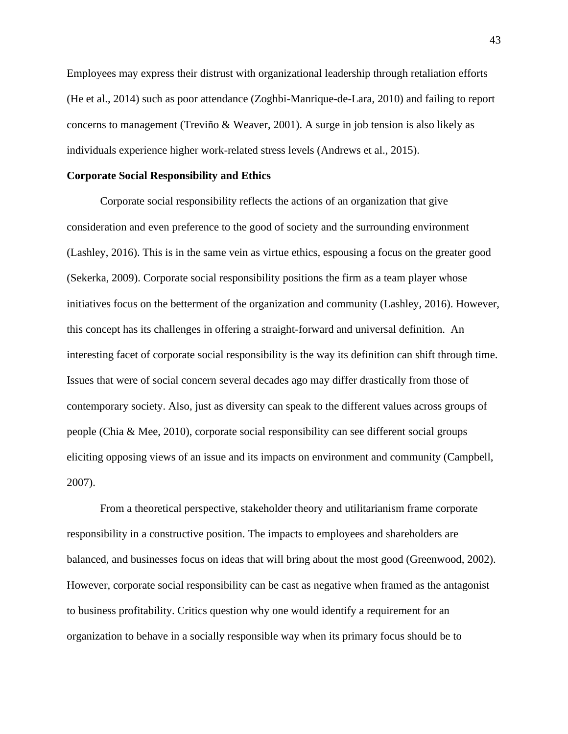Employees may express their distrust with organizational leadership through retaliation efforts (He et al., 2014) such as poor attendance (Zoghbi-Manrique-de-Lara, 2010) and failing to report concerns to management (Treviño & Weaver, 2001). A surge in job tension is also likely as individuals experience higher work-related stress levels (Andrews et al., 2015).

#### **Corporate Social Responsibility and Ethics**

Corporate social responsibility reflects the actions of an organization that give consideration and even preference to the good of society and the surrounding environment (Lashley, 2016). This is in the same vein as virtue ethics, espousing a focus on the greater good (Sekerka, 2009). Corporate social responsibility positions the firm as a team player whose initiatives focus on the betterment of the organization and community (Lashley, 2016). However, this concept has its challenges in offering a straight-forward and universal definition. An interesting facet of corporate social responsibility is the way its definition can shift through time. Issues that were of social concern several decades ago may differ drastically from those of contemporary society. Also, just as diversity can speak to the different values across groups of people (Chia & Mee, 2010), corporate social responsibility can see different social groups eliciting opposing views of an issue and its impacts on environment and community (Campbell, 2007).

From a theoretical perspective, stakeholder theory and utilitarianism frame corporate responsibility in a constructive position. The impacts to employees and shareholders are balanced, and businesses focus on ideas that will bring about the most good (Greenwood, 2002). However, corporate social responsibility can be cast as negative when framed as the antagonist to business profitability. Critics question why one would identify a requirement for an organization to behave in a socially responsible way when its primary focus should be to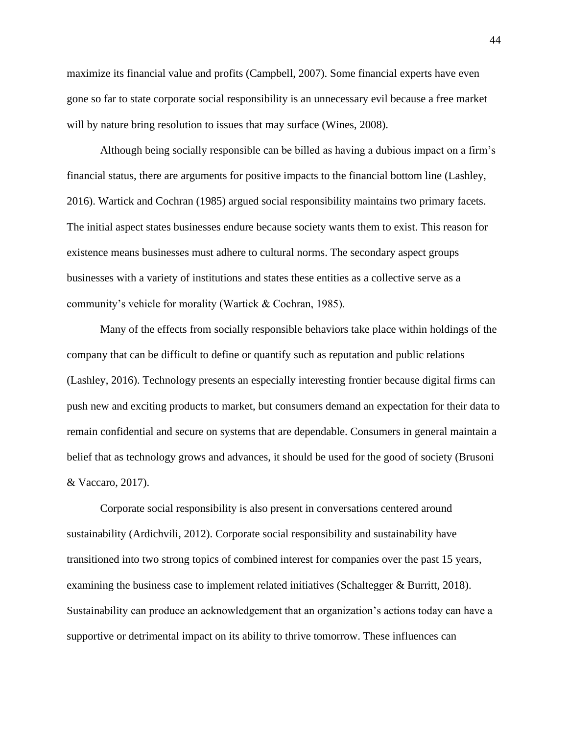maximize its financial value and profits (Campbell, 2007). Some financial experts have even gone so far to state corporate social responsibility is an unnecessary evil because a free market will by nature bring resolution to issues that may surface (Wines, 2008).

Although being socially responsible can be billed as having a dubious impact on a firm's financial status, there are arguments for positive impacts to the financial bottom line (Lashley, 2016). Wartick and Cochran (1985) argued social responsibility maintains two primary facets. The initial aspect states businesses endure because society wants them to exist. This reason for existence means businesses must adhere to cultural norms. The secondary aspect groups businesses with a variety of institutions and states these entities as a collective serve as a community's vehicle for morality (Wartick & Cochran, 1985).

Many of the effects from socially responsible behaviors take place within holdings of the company that can be difficult to define or quantify such as reputation and public relations (Lashley, 2016). Technology presents an especially interesting frontier because digital firms can push new and exciting products to market, but consumers demand an expectation for their data to remain confidential and secure on systems that are dependable. Consumers in general maintain a belief that as technology grows and advances, it should be used for the good of society (Brusoni & Vaccaro, 2017).

Corporate social responsibility is also present in conversations centered around sustainability (Ardichvili, 2012). Corporate social responsibility and sustainability have transitioned into two strong topics of combined interest for companies over the past 15 years, examining the business case to implement related initiatives (Schaltegger & Burritt, 2018). Sustainability can produce an acknowledgement that an organization's actions today can have a supportive or detrimental impact on its ability to thrive tomorrow. These influences can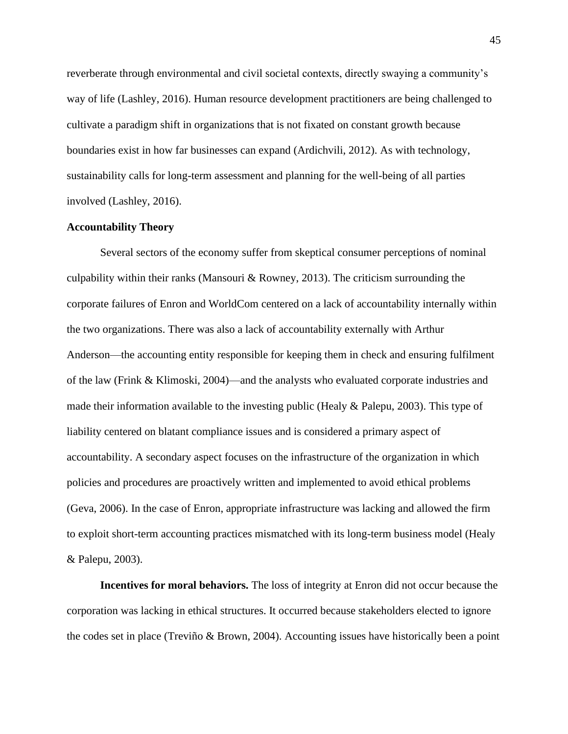reverberate through environmental and civil societal contexts, directly swaying a community's way of life (Lashley, 2016). Human resource development practitioners are being challenged to cultivate a paradigm shift in organizations that is not fixated on constant growth because boundaries exist in how far businesses can expand (Ardichvili, 2012). As with technology, sustainability calls for long-term assessment and planning for the well-being of all parties involved (Lashley, 2016).

# **Accountability Theory**

Several sectors of the economy suffer from skeptical consumer perceptions of nominal culpability within their ranks (Mansouri & Rowney, 2013). The criticism surrounding the corporate failures of Enron and WorldCom centered on a lack of accountability internally within the two organizations. There was also a lack of accountability externally with Arthur Anderson—the accounting entity responsible for keeping them in check and ensuring fulfilment of the law (Frink & Klimoski, 2004)—and the analysts who evaluated corporate industries and made their information available to the investing public (Healy & Palepu, 2003). This type of liability centered on blatant compliance issues and is considered a primary aspect of accountability. A secondary aspect focuses on the infrastructure of the organization in which policies and procedures are proactively written and implemented to avoid ethical problems (Geva, 2006). In the case of Enron, appropriate infrastructure was lacking and allowed the firm to exploit short-term accounting practices mismatched with its long-term business model (Healy & Palepu, 2003).

**Incentives for moral behaviors.** The loss of integrity at Enron did not occur because the corporation was lacking in ethical structures. It occurred because stakeholders elected to ignore the codes set in place (Treviño & Brown, 2004). Accounting issues have historically been a point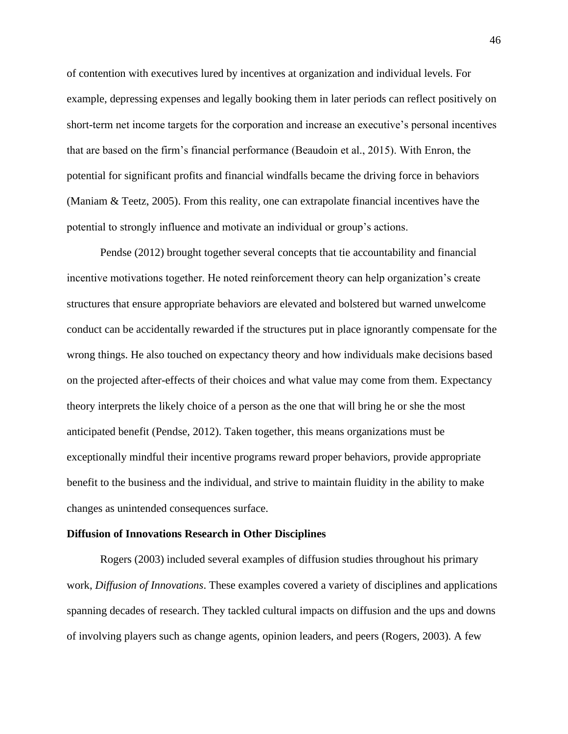of contention with executives lured by incentives at organization and individual levels. For example, depressing expenses and legally booking them in later periods can reflect positively on short-term net income targets for the corporation and increase an executive's personal incentives that are based on the firm's financial performance (Beaudoin et al., 2015). With Enron, the potential for significant profits and financial windfalls became the driving force in behaviors (Maniam & Teetz, 2005). From this reality, one can extrapolate financial incentives have the potential to strongly influence and motivate an individual or group's actions.

Pendse (2012) brought together several concepts that tie accountability and financial incentive motivations together. He noted reinforcement theory can help organization's create structures that ensure appropriate behaviors are elevated and bolstered but warned unwelcome conduct can be accidentally rewarded if the structures put in place ignorantly compensate for the wrong things. He also touched on expectancy theory and how individuals make decisions based on the projected after-effects of their choices and what value may come from them. Expectancy theory interprets the likely choice of a person as the one that will bring he or she the most anticipated benefit (Pendse, 2012). Taken together, this means organizations must be exceptionally mindful their incentive programs reward proper behaviors, provide appropriate benefit to the business and the individual, and strive to maintain fluidity in the ability to make changes as unintended consequences surface.

#### **Diffusion of Innovations Research in Other Disciplines**

Rogers (2003) included several examples of diffusion studies throughout his primary work, *Diffusion of Innovations*. These examples covered a variety of disciplines and applications spanning decades of research. They tackled cultural impacts on diffusion and the ups and downs of involving players such as change agents, opinion leaders, and peers (Rogers, 2003). A few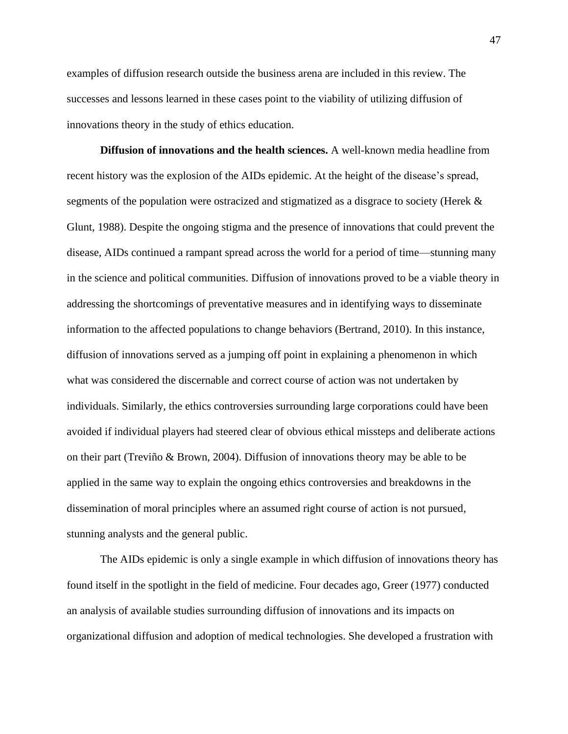examples of diffusion research outside the business arena are included in this review. The successes and lessons learned in these cases point to the viability of utilizing diffusion of innovations theory in the study of ethics education.

**Diffusion of innovations and the health sciences.** A well-known media headline from recent history was the explosion of the AIDs epidemic. At the height of the disease's spread, segments of the population were ostracized and stigmatized as a disgrace to society (Herek & Glunt, 1988). Despite the ongoing stigma and the presence of innovations that could prevent the disease, AIDs continued a rampant spread across the world for a period of time—stunning many in the science and political communities. Diffusion of innovations proved to be a viable theory in addressing the shortcomings of preventative measures and in identifying ways to disseminate information to the affected populations to change behaviors (Bertrand, 2010). In this instance, diffusion of innovations served as a jumping off point in explaining a phenomenon in which what was considered the discernable and correct course of action was not undertaken by individuals. Similarly, the ethics controversies surrounding large corporations could have been avoided if individual players had steered clear of obvious ethical missteps and deliberate actions on their part (Treviño & Brown, 2004). Diffusion of innovations theory may be able to be applied in the same way to explain the ongoing ethics controversies and breakdowns in the dissemination of moral principles where an assumed right course of action is not pursued, stunning analysts and the general public.

The AIDs epidemic is only a single example in which diffusion of innovations theory has found itself in the spotlight in the field of medicine. Four decades ago, Greer (1977) conducted an analysis of available studies surrounding diffusion of innovations and its impacts on organizational diffusion and adoption of medical technologies. She developed a frustration with

47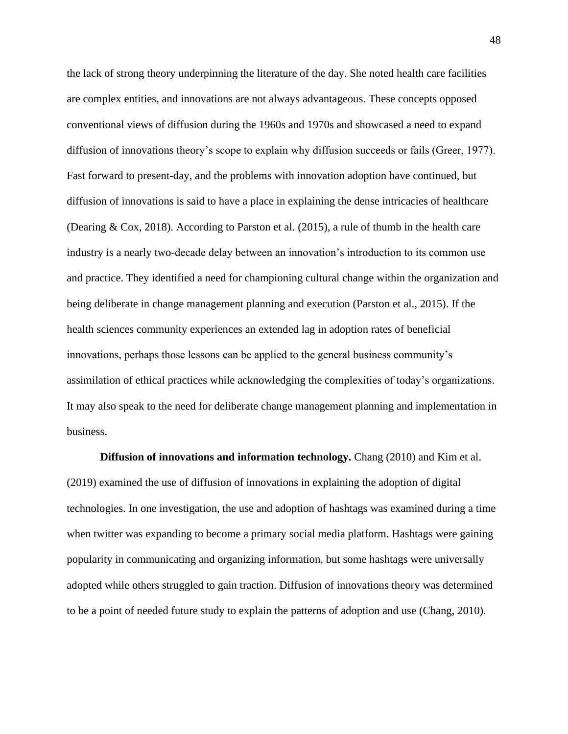the lack of strong theory underpinning the literature of the day. She noted health care facilities are complex entities, and innovations are not always advantageous. These concepts opposed conventional views of diffusion during the 1960s and 1970s and showcased a need to expand diffusion of innovations theory's scope to explain why diffusion succeeds or fails (Greer, 1977). Fast forward to present-day, and the problems with innovation adoption have continued, but diffusion of innovations is said to have a place in explaining the dense intricacies of healthcare (Dearing & Cox, 2018). According to Parston et al. (2015), a rule of thumb in the health care industry is a nearly two-decade delay between an innovation's introduction to its common use and practice. They identified a need for championing cultural change within the organization and being deliberate in change management planning and execution (Parston et al., 2015). If the health sciences community experiences an extended lag in adoption rates of beneficial innovations, perhaps those lessons can be applied to the general business community's assimilation of ethical practices while acknowledging the complexities of today's organizations. It may also speak to the need for deliberate change management planning and implementation in business.

**Diffusion of innovations and information technology.** Chang (2010) and Kim et al. (2019) examined the use of diffusion of innovations in explaining the adoption of digital technologies. In one investigation, the use and adoption of hashtags was examined during a time when twitter was expanding to become a primary social media platform. Hashtags were gaining popularity in communicating and organizing information, but some hashtags were universally adopted while others struggled to gain traction. Diffusion of innovations theory was determined to be a point of needed future study to explain the patterns of adoption and use (Chang, 2010).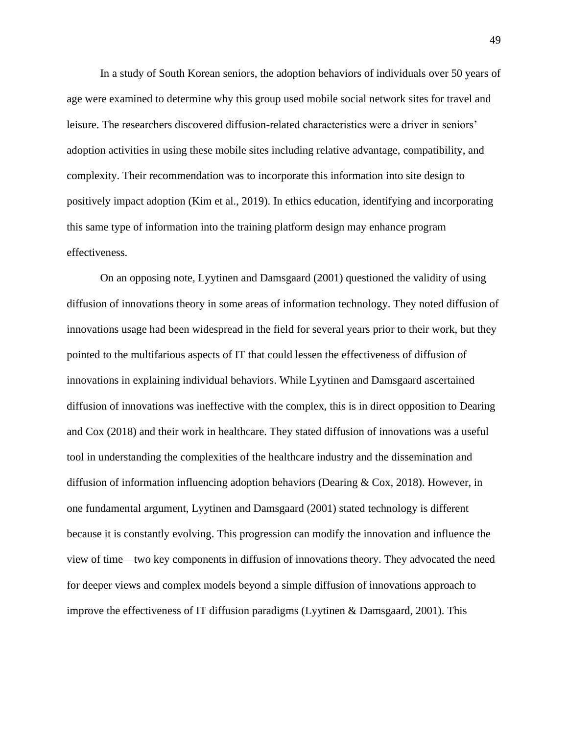In a study of South Korean seniors, the adoption behaviors of individuals over 50 years of age were examined to determine why this group used mobile social network sites for travel and leisure. The researchers discovered diffusion-related characteristics were a driver in seniors' adoption activities in using these mobile sites including relative advantage, compatibility, and complexity. Their recommendation was to incorporate this information into site design to positively impact adoption (Kim et al., 2019). In ethics education, identifying and incorporating this same type of information into the training platform design may enhance program effectiveness.

On an opposing note, Lyytinen and Damsgaard (2001) questioned the validity of using diffusion of innovations theory in some areas of information technology. They noted diffusion of innovations usage had been widespread in the field for several years prior to their work, but they pointed to the multifarious aspects of IT that could lessen the effectiveness of diffusion of innovations in explaining individual behaviors. While Lyytinen and Damsgaard ascertained diffusion of innovations was ineffective with the complex, this is in direct opposition to Dearing and Cox (2018) and their work in healthcare. They stated diffusion of innovations was a useful tool in understanding the complexities of the healthcare industry and the dissemination and diffusion of information influencing adoption behaviors (Dearing & Cox, 2018). However, in one fundamental argument, Lyytinen and Damsgaard (2001) stated technology is different because it is constantly evolving. This progression can modify the innovation and influence the view of time—two key components in diffusion of innovations theory. They advocated the need for deeper views and complex models beyond a simple diffusion of innovations approach to improve the effectiveness of IT diffusion paradigms (Lyytinen & Damsgaard, 2001). This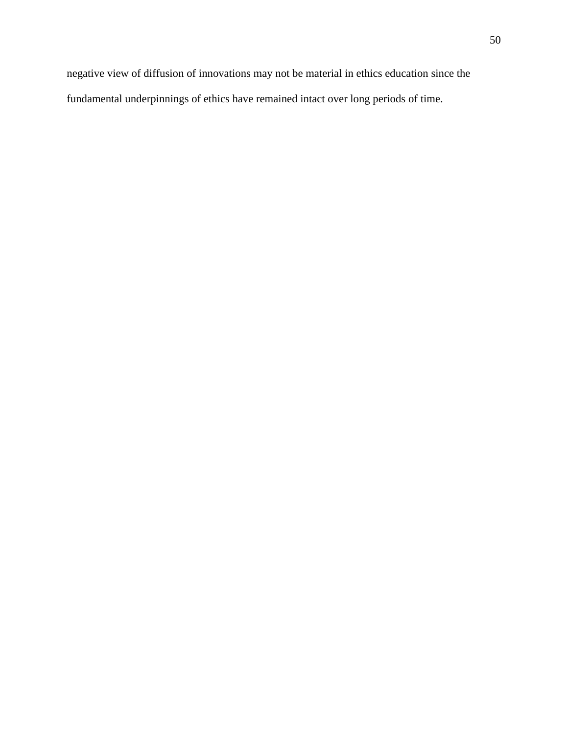negative view of diffusion of innovations may not be material in ethics education since the fundamental underpinnings of ethics have remained intact over long periods of time.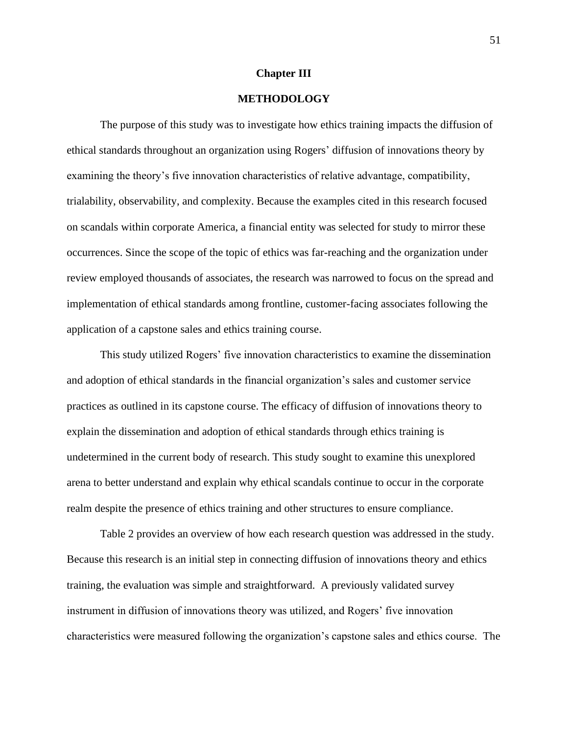# **Chapter III**

# **METHODOLOGY**

The purpose of this study was to investigate how ethics training impacts the diffusion of ethical standards throughout an organization using Rogers' diffusion of innovations theory by examining the theory's five innovation characteristics of relative advantage, compatibility, trialability, observability, and complexity. Because the examples cited in this research focused on scandals within corporate America, a financial entity was selected for study to mirror these occurrences. Since the scope of the topic of ethics was far-reaching and the organization under review employed thousands of associates, the research was narrowed to focus on the spread and implementation of ethical standards among frontline, customer-facing associates following the application of a capstone sales and ethics training course.

This study utilized Rogers' five innovation characteristics to examine the dissemination and adoption of ethical standards in the financial organization's sales and customer service practices as outlined in its capstone course. The efficacy of diffusion of innovations theory to explain the dissemination and adoption of ethical standards through ethics training is undetermined in the current body of research. This study sought to examine this unexplored arena to better understand and explain why ethical scandals continue to occur in the corporate realm despite the presence of ethics training and other structures to ensure compliance.

Table 2 provides an overview of how each research question was addressed in the study. Because this research is an initial step in connecting diffusion of innovations theory and ethics training, the evaluation was simple and straightforward. A previously validated survey instrument in diffusion of innovations theory was utilized, and Rogers' five innovation characteristics were measured following the organization's capstone sales and ethics course. The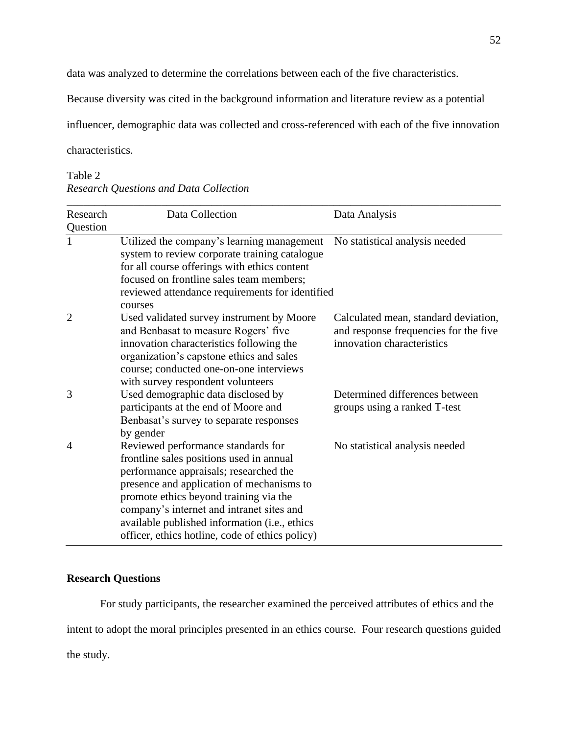data was analyzed to determine the correlations between each of the five characteristics.

Because diversity was cited in the background information and literature review as a potential

influencer, demographic data was collected and cross-referenced with each of the five innovation

characteristics.

# Table 2 *Research Questions and Data Collection*

| Research<br>Question | Data Collection                                                                                                                                                                                                                                                                                                                                                  | Data Analysis                                                                                               |
|----------------------|------------------------------------------------------------------------------------------------------------------------------------------------------------------------------------------------------------------------------------------------------------------------------------------------------------------------------------------------------------------|-------------------------------------------------------------------------------------------------------------|
| 1                    | Utilized the company's learning management<br>system to review corporate training catalogue<br>for all course offerings with ethics content<br>focused on frontline sales team members;<br>reviewed attendance requirements for identified<br>courses                                                                                                            | No statistical analysis needed                                                                              |
| $\overline{2}$       | Used validated survey instrument by Moore<br>and Benbasat to measure Rogers' five<br>innovation characteristics following the<br>organization's capstone ethics and sales<br>course; conducted one-on-one interviews<br>with survey respondent volunteers                                                                                                        | Calculated mean, standard deviation,<br>and response frequencies for the five<br>innovation characteristics |
| 3                    | Used demographic data disclosed by<br>participants at the end of Moore and<br>Benbasat's survey to separate responses<br>by gender                                                                                                                                                                                                                               | Determined differences between<br>groups using a ranked T-test                                              |
| $\overline{A}$       | Reviewed performance standards for<br>frontline sales positions used in annual<br>performance appraisals; researched the<br>presence and application of mechanisms to<br>promote ethics beyond training via the<br>company's internet and intranet sites and<br>available published information (i.e., ethics<br>officer, ethics hotline, code of ethics policy) | No statistical analysis needed                                                                              |

# **Research Questions**

For study participants, the researcher examined the perceived attributes of ethics and the intent to adopt the moral principles presented in an ethics course. Four research questions guided the study.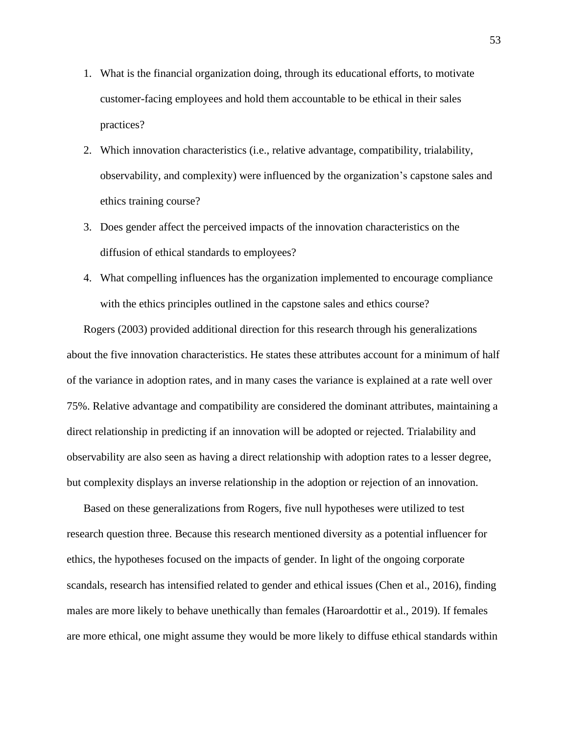- 1. What is the financial organization doing, through its educational efforts, to motivate customer-facing employees and hold them accountable to be ethical in their sales practices?
- 2. Which innovation characteristics (i.e., relative advantage, compatibility, trialability, observability, and complexity) were influenced by the organization's capstone sales and ethics training course?
- 3. Does gender affect the perceived impacts of the innovation characteristics on the diffusion of ethical standards to employees?
- 4. What compelling influences has the organization implemented to encourage compliance with the ethics principles outlined in the capstone sales and ethics course?

Rogers (2003) provided additional direction for this research through his generalizations about the five innovation characteristics. He states these attributes account for a minimum of half of the variance in adoption rates, and in many cases the variance is explained at a rate well over 75%. Relative advantage and compatibility are considered the dominant attributes, maintaining a direct relationship in predicting if an innovation will be adopted or rejected. Trialability and observability are also seen as having a direct relationship with adoption rates to a lesser degree, but complexity displays an inverse relationship in the adoption or rejection of an innovation.

Based on these generalizations from Rogers, five null hypotheses were utilized to test research question three. Because this research mentioned diversity as a potential influencer for ethics, the hypotheses focused on the impacts of gender. In light of the ongoing corporate scandals, research has intensified related to gender and ethical issues (Chen et al., 2016), finding males are more likely to behave unethically than females (Haroardottir et al., 2019). If females are more ethical, one might assume they would be more likely to diffuse ethical standards within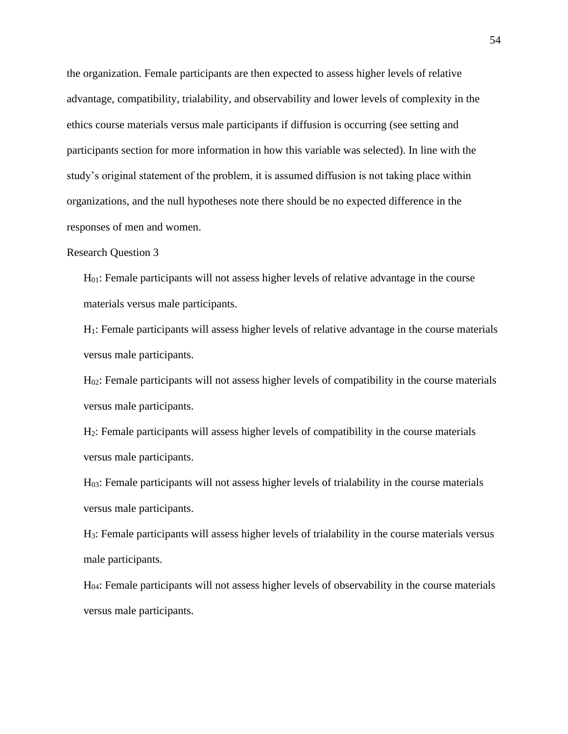the organization. Female participants are then expected to assess higher levels of relative advantage, compatibility, trialability, and observability and lower levels of complexity in the ethics course materials versus male participants if diffusion is occurring (see setting and participants section for more information in how this variable was selected). In line with the study's original statement of the problem, it is assumed diffusion is not taking place within organizations, and the null hypotheses note there should be no expected difference in the responses of men and women.

# Research Question 3

H01: Female participants will not assess higher levels of relative advantage in the course materials versus male participants.

H1: Female participants will assess higher levels of relative advantage in the course materials versus male participants.

H<sub>02</sub>: Female participants will not assess higher levels of compatibility in the course materials versus male participants.

H2: Female participants will assess higher levels of compatibility in the course materials versus male participants.

H03: Female participants will not assess higher levels of trialability in the course materials versus male participants.

H3: Female participants will assess higher levels of trialability in the course materials versus male participants.

H04: Female participants will not assess higher levels of observability in the course materials versus male participants.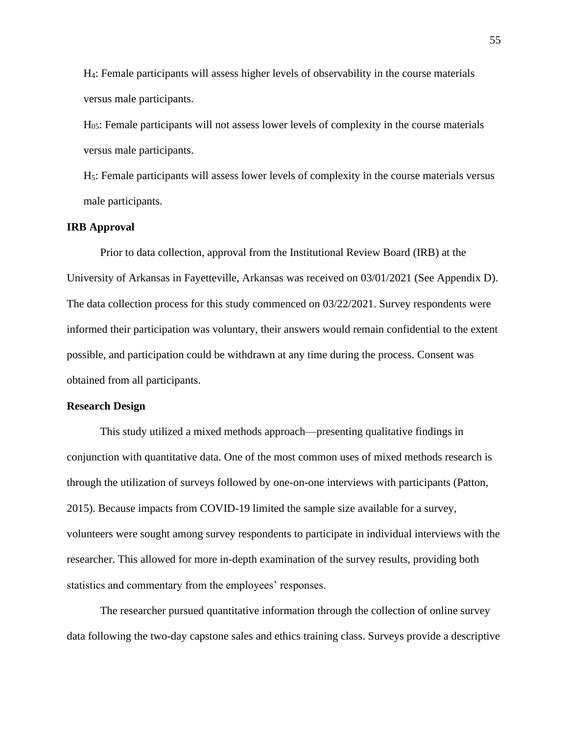H4: Female participants will assess higher levels of observability in the course materials versus male participants.

H05: Female participants will not assess lower levels of complexity in the course materials versus male participants.

H5: Female participants will assess lower levels of complexity in the course materials versus male participants.

# **IRB Approval**

Prior to data collection, approval from the Institutional Review Board (IRB) at the University of Arkansas in Fayetteville, Arkansas was received on 03/01/2021 (See Appendix D). The data collection process for this study commenced on 03/22/2021. Survey respondents were informed their participation was voluntary, their answers would remain confidential to the extent possible, and participation could be withdrawn at any time during the process. Consent was obtained from all participants.

#### **Research Design**

This study utilized a mixed methods approach—presenting qualitative findings in conjunction with quantitative data. One of the most common uses of mixed methods research is through the utilization of surveys followed by one-on-one interviews with participants (Patton, 2015). Because impacts from COVID-19 limited the sample size available for a survey, volunteers were sought among survey respondents to participate in individual interviews with the researcher. This allowed for more in-depth examination of the survey results, providing both statistics and commentary from the employees' responses.

The researcher pursued quantitative information through the collection of online survey data following the two-day capstone sales and ethics training class. Surveys provide a descriptive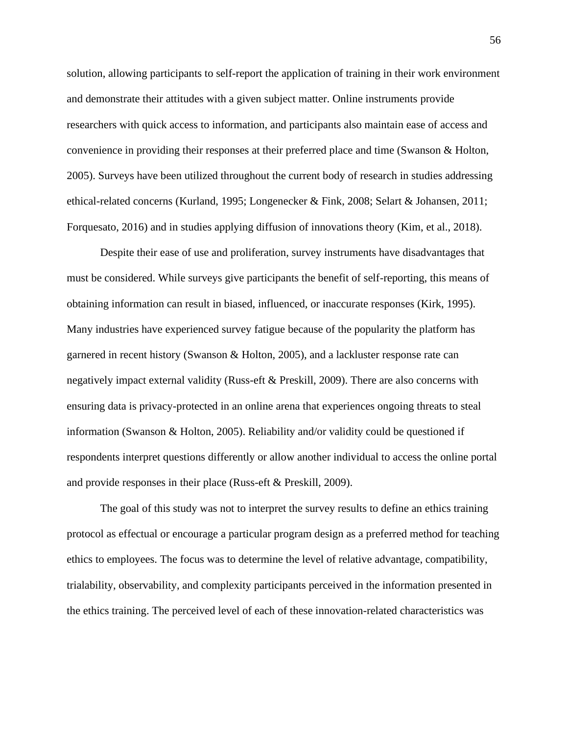solution, allowing participants to self-report the application of training in their work environment and demonstrate their attitudes with a given subject matter. Online instruments provide researchers with quick access to information, and participants also maintain ease of access and convenience in providing their responses at their preferred place and time (Swanson & Holton, 2005). Surveys have been utilized throughout the current body of research in studies addressing ethical-related concerns (Kurland, 1995; Longenecker & Fink, 2008; Selart & Johansen, 2011; Forquesato, 2016) and in studies applying diffusion of innovations theory (Kim, et al., 2018).

Despite their ease of use and proliferation, survey instruments have disadvantages that must be considered. While surveys give participants the benefit of self-reporting, this means of obtaining information can result in biased, influenced, or inaccurate responses (Kirk, 1995). Many industries have experienced survey fatigue because of the popularity the platform has garnered in recent history (Swanson & Holton, 2005), and a lackluster response rate can negatively impact external validity (Russ-eft & Preskill, 2009). There are also concerns with ensuring data is privacy-protected in an online arena that experiences ongoing threats to steal information (Swanson & Holton, 2005). Reliability and/or validity could be questioned if respondents interpret questions differently or allow another individual to access the online portal and provide responses in their place (Russ-eft & Preskill, 2009).

The goal of this study was not to interpret the survey results to define an ethics training protocol as effectual or encourage a particular program design as a preferred method for teaching ethics to employees. The focus was to determine the level of relative advantage, compatibility, trialability, observability, and complexity participants perceived in the information presented in the ethics training. The perceived level of each of these innovation-related characteristics was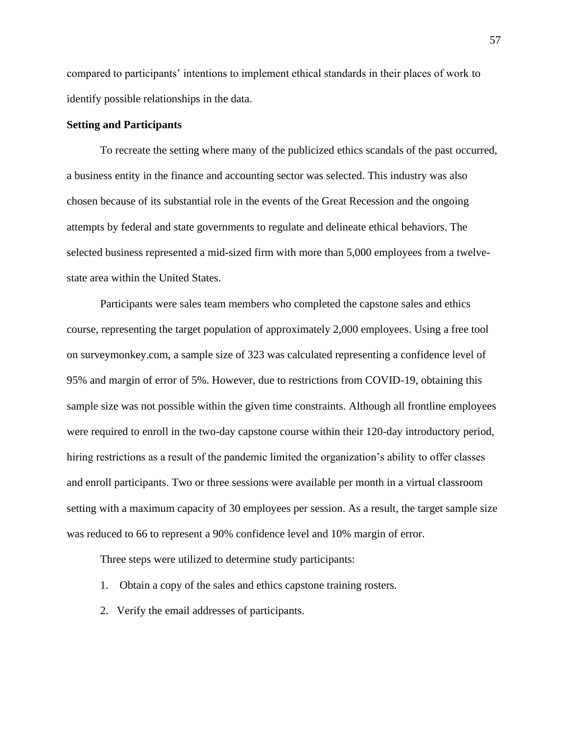compared to participants' intentions to implement ethical standards in their places of work to identify possible relationships in the data.

# **Setting and Participants**

To recreate the setting where many of the publicized ethics scandals of the past occurred, a business entity in the finance and accounting sector was selected. This industry was also chosen because of its substantial role in the events of the Great Recession and the ongoing attempts by federal and state governments to regulate and delineate ethical behaviors. The selected business represented a mid-sized firm with more than 5,000 employees from a twelvestate area within the United States.

Participants were sales team members who completed the capstone sales and ethics course, representing the target population of approximately 2,000 employees. Using a free tool on surveymonkey.com, a sample size of 323 was calculated representing a confidence level of 95% and margin of error of 5%. However, due to restrictions from COVID-19, obtaining this sample size was not possible within the given time constraints. Although all frontline employees were required to enroll in the two-day capstone course within their 120-day introductory period, hiring restrictions as a result of the pandemic limited the organization's ability to offer classes and enroll participants. Two or three sessions were available per month in a virtual classroom setting with a maximum capacity of 30 employees per session. As a result, the target sample size was reduced to 66 to represent a 90% confidence level and 10% margin of error.

Three steps were utilized to determine study participants:

- 1. Obtain a copy of the sales and ethics capstone training rosters.
- 2. Verify the email addresses of participants.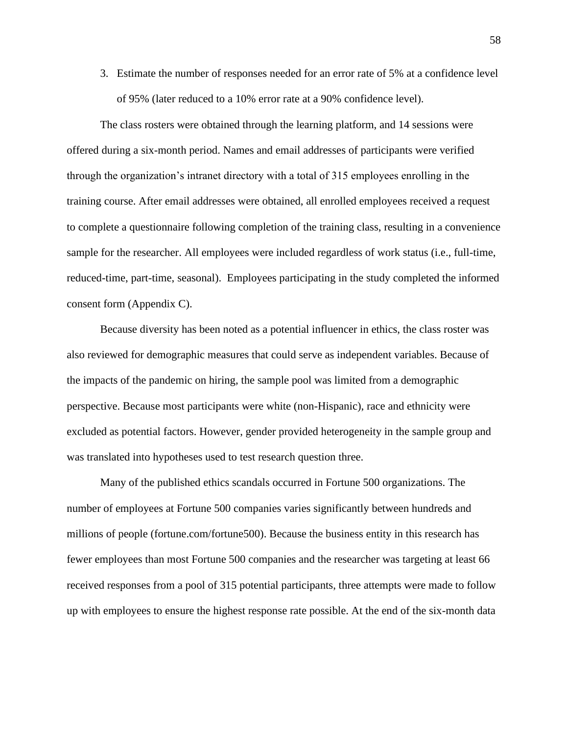3. Estimate the number of responses needed for an error rate of 5% at a confidence level of 95% (later reduced to a 10% error rate at a 90% confidence level).

The class rosters were obtained through the learning platform, and 14 sessions were offered during a six-month period. Names and email addresses of participants were verified through the organization's intranet directory with a total of 315 employees enrolling in the training course. After email addresses were obtained, all enrolled employees received a request to complete a questionnaire following completion of the training class, resulting in a convenience sample for the researcher. All employees were included regardless of work status (i.e., full-time, reduced-time, part-time, seasonal). Employees participating in the study completed the informed consent form (Appendix C).

Because diversity has been noted as a potential influencer in ethics, the class roster was also reviewed for demographic measures that could serve as independent variables. Because of the impacts of the pandemic on hiring, the sample pool was limited from a demographic perspective. Because most participants were white (non-Hispanic), race and ethnicity were excluded as potential factors. However, gender provided heterogeneity in the sample group and was translated into hypotheses used to test research question three.

Many of the published ethics scandals occurred in Fortune 500 organizations. The number of employees at Fortune 500 companies varies significantly between hundreds and millions of people (fortune.com/fortune500). Because the business entity in this research has fewer employees than most Fortune 500 companies and the researcher was targeting at least 66 received responses from a pool of 315 potential participants, three attempts were made to follow up with employees to ensure the highest response rate possible. At the end of the six-month data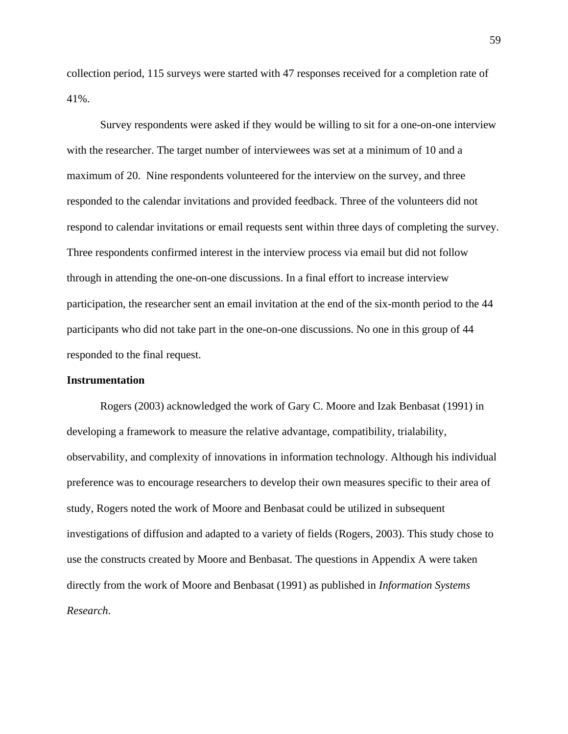collection period, 115 surveys were started with 47 responses received for a completion rate of 41%.

Survey respondents were asked if they would be willing to sit for a one-on-one interview with the researcher. The target number of interviewees was set at a minimum of 10 and a maximum of 20. Nine respondents volunteered for the interview on the survey, and three responded to the calendar invitations and provided feedback. Three of the volunteers did not respond to calendar invitations or email requests sent within three days of completing the survey. Three respondents confirmed interest in the interview process via email but did not follow through in attending the one-on-one discussions. In a final effort to increase interview participation, the researcher sent an email invitation at the end of the six-month period to the 44 participants who did not take part in the one-on-one discussions. No one in this group of 44 responded to the final request.

### **Instrumentation**

Rogers (2003) acknowledged the work of Gary C. Moore and Izak Benbasat (1991) in developing a framework to measure the relative advantage, compatibility, trialability, observability, and complexity of innovations in information technology. Although his individual preference was to encourage researchers to develop their own measures specific to their area of study, Rogers noted the work of Moore and Benbasat could be utilized in subsequent investigations of diffusion and adapted to a variety of fields (Rogers, 2003). This study chose to use the constructs created by Moore and Benbasat. The questions in Appendix A were taken directly from the work of Moore and Benbasat (1991) as published in *Information Systems Research*.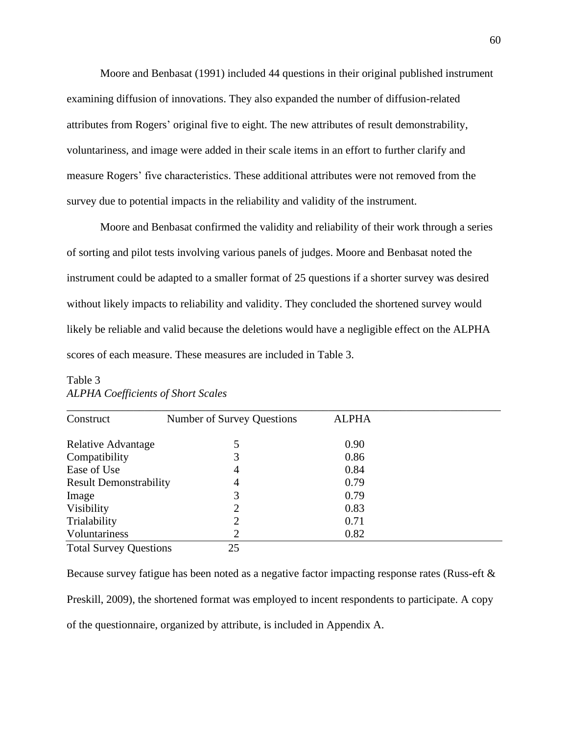Moore and Benbasat (1991) included 44 questions in their original published instrument examining diffusion of innovations. They also expanded the number of diffusion-related attributes from Rogers' original five to eight. The new attributes of result demonstrability, voluntariness, and image were added in their scale items in an effort to further clarify and measure Rogers' five characteristics. These additional attributes were not removed from the survey due to potential impacts in the reliability and validity of the instrument.

Moore and Benbasat confirmed the validity and reliability of their work through a series of sorting and pilot tests involving various panels of judges. Moore and Benbasat noted the instrument could be adapted to a smaller format of 25 questions if a shorter survey was desired without likely impacts to reliability and validity. They concluded the shortened survey would likely be reliable and valid because the deletions would have a negligible effect on the ALPHA scores of each measure. These measures are included in Table 3.

| Construct                     | Number of Survey Questions | <b>ALPHA</b> |  |
|-------------------------------|----------------------------|--------------|--|
| Relative Advantage            |                            | 0.90         |  |
| Compatibility                 |                            | 0.86         |  |
| Ease of Use                   | 4                          | 0.84         |  |
| <b>Result Demonstrability</b> | 4                          | 0.79         |  |
| Image                         | 3                          | 0.79         |  |
| Visibility                    | 7                          | 0.83         |  |
| Trialability                  | 2                          | 0.71         |  |
| Voluntariness                 | 2                          | 0.82         |  |
| <b>Total Survey Questions</b> | 25                         |              |  |

# Table 3 *ALPHA Coefficients of Short Scales*

Because survey fatigue has been noted as a negative factor impacting response rates (Russ-eft & Preskill, 2009), the shortened format was employed to incent respondents to participate. A copy of the questionnaire, organized by attribute, is included in Appendix A.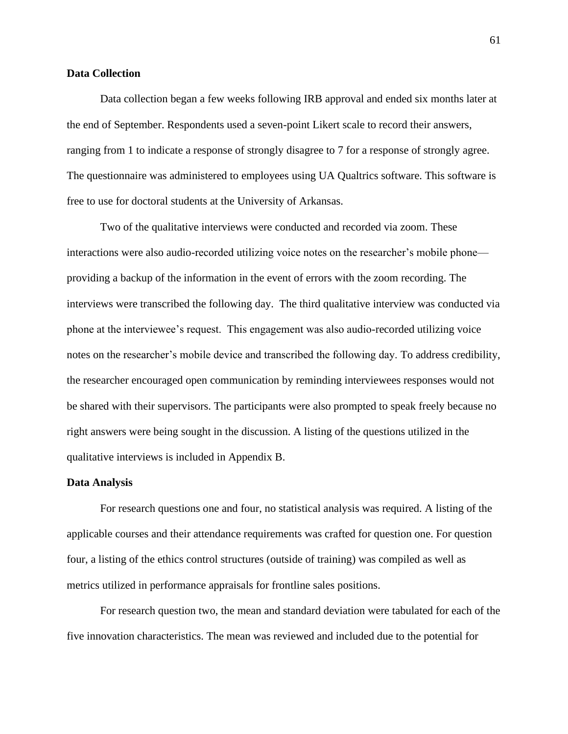# **Data Collection**

Data collection began a few weeks following IRB approval and ended six months later at the end of September. Respondents used a seven-point Likert scale to record their answers, ranging from 1 to indicate a response of strongly disagree to 7 for a response of strongly agree. The questionnaire was administered to employees using UA Qualtrics software. This software is free to use for doctoral students at the University of Arkansas.

Two of the qualitative interviews were conducted and recorded via zoom. These interactions were also audio-recorded utilizing voice notes on the researcher's mobile phone providing a backup of the information in the event of errors with the zoom recording. The interviews were transcribed the following day. The third qualitative interview was conducted via phone at the interviewee's request. This engagement was also audio-recorded utilizing voice notes on the researcher's mobile device and transcribed the following day. To address credibility, the researcher encouraged open communication by reminding interviewees responses would not be shared with their supervisors. The participants were also prompted to speak freely because no right answers were being sought in the discussion. A listing of the questions utilized in the qualitative interviews is included in Appendix B.

#### **Data Analysis**

For research questions one and four, no statistical analysis was required. A listing of the applicable courses and their attendance requirements was crafted for question one. For question four, a listing of the ethics control structures (outside of training) was compiled as well as metrics utilized in performance appraisals for frontline sales positions.

For research question two, the mean and standard deviation were tabulated for each of the five innovation characteristics. The mean was reviewed and included due to the potential for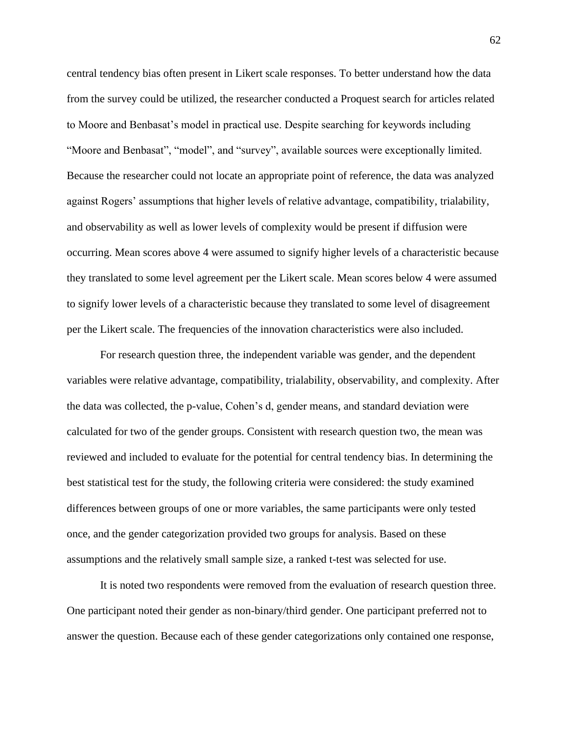central tendency bias often present in Likert scale responses. To better understand how the data from the survey could be utilized, the researcher conducted a Proquest search for articles related to Moore and Benbasat's model in practical use. Despite searching for keywords including "Moore and Benbasat", "model", and "survey", available sources were exceptionally limited. Because the researcher could not locate an appropriate point of reference, the data was analyzed against Rogers' assumptions that higher levels of relative advantage, compatibility, trialability, and observability as well as lower levels of complexity would be present if diffusion were occurring. Mean scores above 4 were assumed to signify higher levels of a characteristic because they translated to some level agreement per the Likert scale. Mean scores below 4 were assumed to signify lower levels of a characteristic because they translated to some level of disagreement per the Likert scale. The frequencies of the innovation characteristics were also included.

For research question three, the independent variable was gender, and the dependent variables were relative advantage, compatibility, trialability, observability, and complexity. After the data was collected, the p-value, Cohen's d, gender means, and standard deviation were calculated for two of the gender groups. Consistent with research question two, the mean was reviewed and included to evaluate for the potential for central tendency bias. In determining the best statistical test for the study, the following criteria were considered: the study examined differences between groups of one or more variables, the same participants were only tested once, and the gender categorization provided two groups for analysis. Based on these assumptions and the relatively small sample size, a ranked t-test was selected for use.

It is noted two respondents were removed from the evaluation of research question three. One participant noted their gender as non-binary/third gender. One participant preferred not to answer the question. Because each of these gender categorizations only contained one response,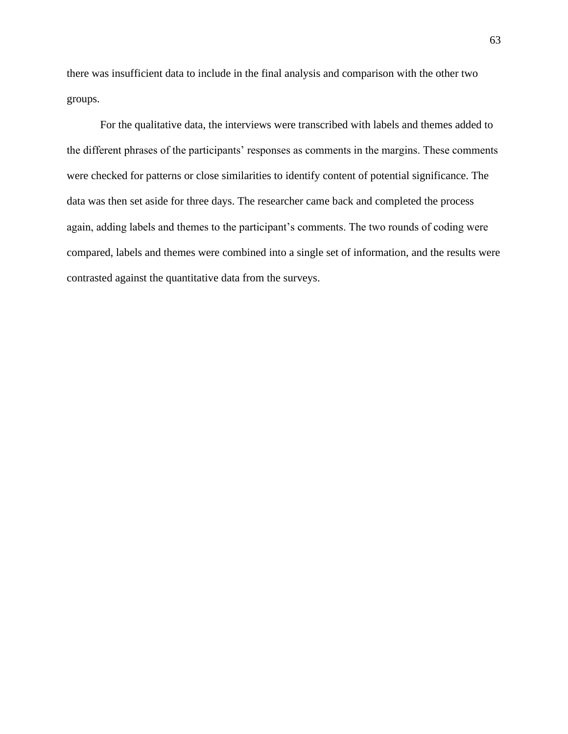there was insufficient data to include in the final analysis and comparison with the other two groups.

For the qualitative data, the interviews were transcribed with labels and themes added to the different phrases of the participants' responses as comments in the margins. These comments were checked for patterns or close similarities to identify content of potential significance. The data was then set aside for three days. The researcher came back and completed the process again, adding labels and themes to the participant's comments. The two rounds of coding were compared, labels and themes were combined into a single set of information, and the results were contrasted against the quantitative data from the surveys.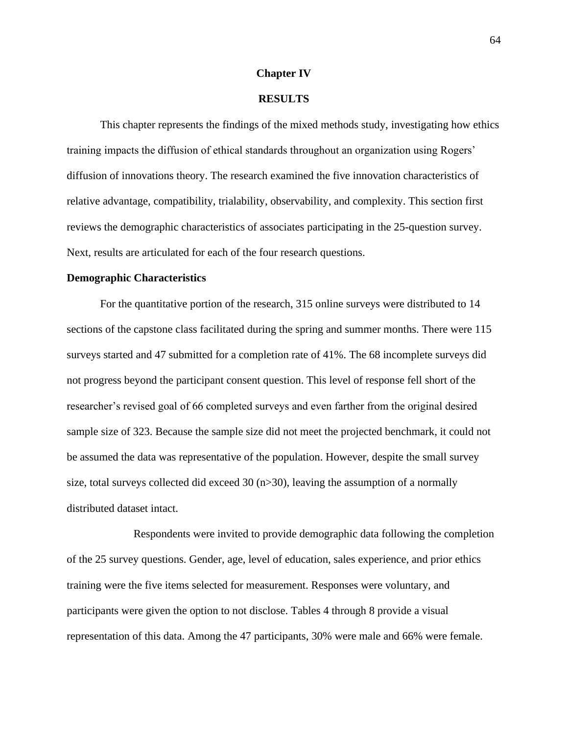#### **Chapter IV**

## **RESULTS**

This chapter represents the findings of the mixed methods study, investigating how ethics training impacts the diffusion of ethical standards throughout an organization using Rogers' diffusion of innovations theory. The research examined the five innovation characteristics of relative advantage, compatibility, trialability, observability, and complexity. This section first reviews the demographic characteristics of associates participating in the 25-question survey. Next, results are articulated for each of the four research questions.

#### **Demographic Characteristics**

For the quantitative portion of the research, 315 online surveys were distributed to 14 sections of the capstone class facilitated during the spring and summer months. There were 115 surveys started and 47 submitted for a completion rate of 41%. The 68 incomplete surveys did not progress beyond the participant consent question. This level of response fell short of the researcher's revised goal of 66 completed surveys and even farther from the original desired sample size of 323. Because the sample size did not meet the projected benchmark, it could not be assumed the data was representative of the population. However, despite the small survey size, total surveys collected did exceed 30 (n>30), leaving the assumption of a normally distributed dataset intact.

Respondents were invited to provide demographic data following the completion of the 25 survey questions. Gender, age, level of education, sales experience, and prior ethics training were the five items selected for measurement. Responses were voluntary, and participants were given the option to not disclose. Tables 4 through 8 provide a visual representation of this data. Among the 47 participants, 30% were male and 66% were female.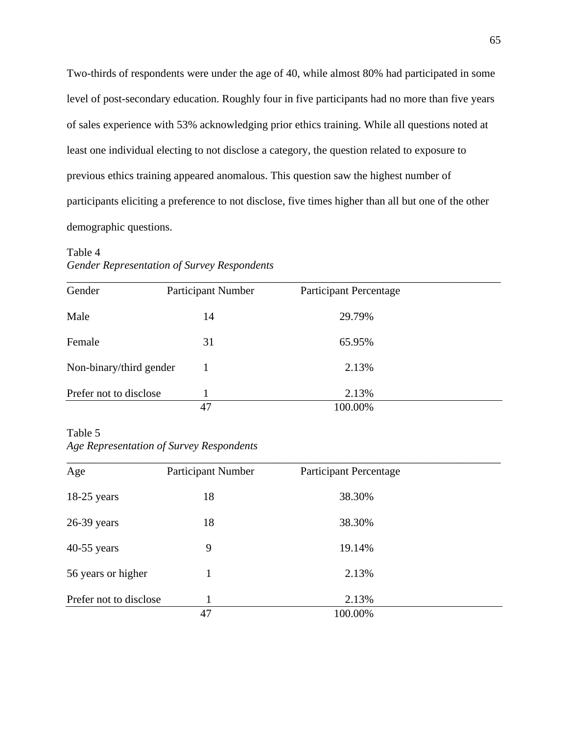Two-thirds of respondents were under the age of 40, while almost 80% had participated in some level of post-secondary education. Roughly four in five participants had no more than five years of sales experience with 53% acknowledging prior ethics training. While all questions noted at least one individual electing to not disclose a category, the question related to exposure to previous ethics training appeared anomalous. This question saw the highest number of participants eliciting a preference to not disclose, five times higher than all but one of the other demographic questions.

# Table 4 *Gender Representation of Survey Respondents*

| Gender                  | <b>Participant Number</b> | <b>Participant Percentage</b> |  |
|-------------------------|---------------------------|-------------------------------|--|
| Male                    | 14                        | 29.79%                        |  |
| Female                  | 31                        | 65.95%                        |  |
| Non-binary/third gender |                           | 2.13%                         |  |
| Prefer not to disclose  |                           | 2.13%                         |  |
|                         | 47                        | 100.00%                       |  |

# Table 5 *Age Representation of Survey Respondents*

| Age                    | Participant Number | <b>Participant Percentage</b> |  |
|------------------------|--------------------|-------------------------------|--|
| $18-25$ years          | 18                 | 38.30%                        |  |
| $26-39$ years          | 18                 | 38.30%                        |  |
| $40-55$ years          | 9                  | 19.14%                        |  |
| 56 years or higher     |                    | 2.13%                         |  |
| Prefer not to disclose |                    | 2.13%                         |  |
|                        | 47                 | 100.00%                       |  |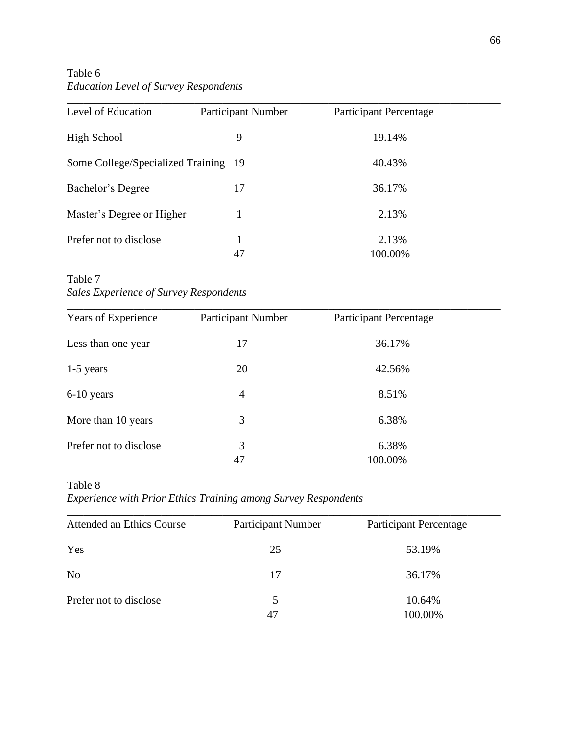Table 6 *Education Level of Survey Respondents*

| Level of Education                   | Participant Number | <b>Participant Percentage</b> |  |
|--------------------------------------|--------------------|-------------------------------|--|
| <b>High School</b>                   | 9                  | 19.14%                        |  |
| Some College/Specialized Training 19 |                    | 40.43%                        |  |
| Bachelor's Degree                    | 17                 | 36.17%                        |  |
| Master's Degree or Higher            |                    | 2.13%                         |  |
| Prefer not to disclose               |                    | 2.13%                         |  |
|                                      | 47                 | 100.00%                       |  |

Table 7 *Sales Experience of Survey Respondents*

| Years of Experience    | Participant Number | <b>Participant Percentage</b> |
|------------------------|--------------------|-------------------------------|
| Less than one year     | 17                 | 36.17%                        |
| 1-5 years              | 20                 | 42.56%                        |
| $6-10$ years           | $\overline{4}$     | 8.51%                         |
| More than 10 years     | 3                  | 6.38%                         |
| Prefer not to disclose | 3                  | 6.38%                         |
|                        | 47                 | 100.00%                       |

Table 8 *Experience with Prior Ethics Training among Survey Respondents*

| <b>Attended an Ethics Course</b> | <b>Participant Number</b> | <b>Participant Percentage</b> |
|----------------------------------|---------------------------|-------------------------------|
| Yes                              | 25                        | 53.19%                        |
| N <sub>0</sub>                   | 17                        | 36.17%                        |
| Prefer not to disclose           | $\overline{5}$            | 10.64%                        |
|                                  | 47                        | 100.00%                       |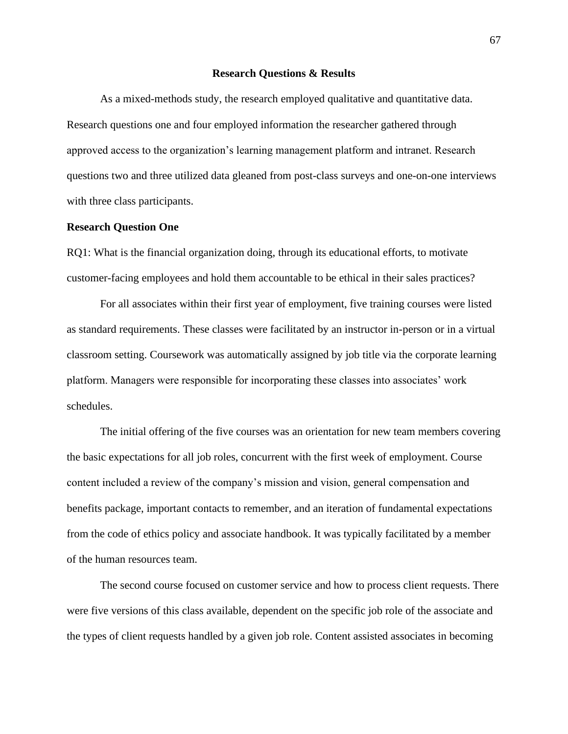### **Research Questions & Results**

As a mixed-methods study, the research employed qualitative and quantitative data. Research questions one and four employed information the researcher gathered through approved access to the organization's learning management platform and intranet. Research questions two and three utilized data gleaned from post-class surveys and one-on-one interviews with three class participants.

### **Research Question One**

RQ1: What is the financial organization doing, through its educational efforts, to motivate customer-facing employees and hold them accountable to be ethical in their sales practices?

For all associates within their first year of employment, five training courses were listed as standard requirements. These classes were facilitated by an instructor in-person or in a virtual classroom setting. Coursework was automatically assigned by job title via the corporate learning platform. Managers were responsible for incorporating these classes into associates' work schedules.

The initial offering of the five courses was an orientation for new team members covering the basic expectations for all job roles, concurrent with the first week of employment. Course content included a review of the company's mission and vision, general compensation and benefits package, important contacts to remember, and an iteration of fundamental expectations from the code of ethics policy and associate handbook. It was typically facilitated by a member of the human resources team.

The second course focused on customer service and how to process client requests. There were five versions of this class available, dependent on the specific job role of the associate and the types of client requests handled by a given job role. Content assisted associates in becoming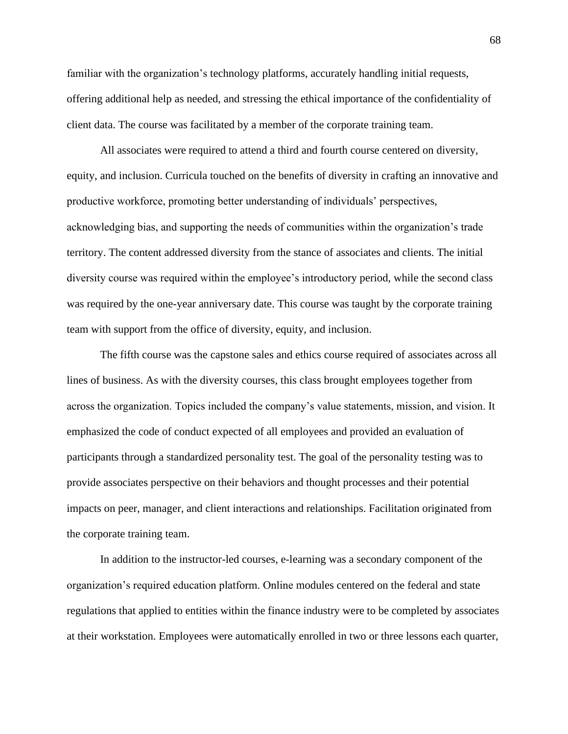familiar with the organization's technology platforms, accurately handling initial requests, offering additional help as needed, and stressing the ethical importance of the confidentiality of client data. The course was facilitated by a member of the corporate training team.

All associates were required to attend a third and fourth course centered on diversity, equity, and inclusion. Curricula touched on the benefits of diversity in crafting an innovative and productive workforce, promoting better understanding of individuals' perspectives, acknowledging bias, and supporting the needs of communities within the organization's trade territory. The content addressed diversity from the stance of associates and clients. The initial diversity course was required within the employee's introductory period, while the second class was required by the one-year anniversary date. This course was taught by the corporate training team with support from the office of diversity, equity, and inclusion.

The fifth course was the capstone sales and ethics course required of associates across all lines of business. As with the diversity courses, this class brought employees together from across the organization. Topics included the company's value statements, mission, and vision. It emphasized the code of conduct expected of all employees and provided an evaluation of participants through a standardized personality test. The goal of the personality testing was to provide associates perspective on their behaviors and thought processes and their potential impacts on peer, manager, and client interactions and relationships. Facilitation originated from the corporate training team.

In addition to the instructor-led courses, e-learning was a secondary component of the organization's required education platform. Online modules centered on the federal and state regulations that applied to entities within the finance industry were to be completed by associates at their workstation. Employees were automatically enrolled in two or three lessons each quarter,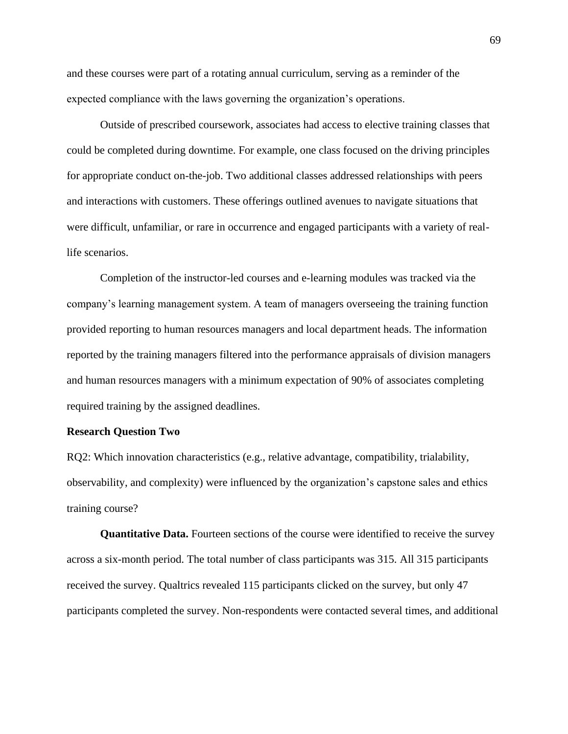and these courses were part of a rotating annual curriculum, serving as a reminder of the expected compliance with the laws governing the organization's operations.

Outside of prescribed coursework, associates had access to elective training classes that could be completed during downtime. For example, one class focused on the driving principles for appropriate conduct on-the-job. Two additional classes addressed relationships with peers and interactions with customers. These offerings outlined avenues to navigate situations that were difficult, unfamiliar, or rare in occurrence and engaged participants with a variety of reallife scenarios.

Completion of the instructor-led courses and e-learning modules was tracked via the company's learning management system. A team of managers overseeing the training function provided reporting to human resources managers and local department heads. The information reported by the training managers filtered into the performance appraisals of division managers and human resources managers with a minimum expectation of 90% of associates completing required training by the assigned deadlines.

### **Research Question Two**

RQ2: Which innovation characteristics (e.g., relative advantage, compatibility, trialability, observability, and complexity) were influenced by the organization's capstone sales and ethics training course?

**Quantitative Data.** Fourteen sections of the course were identified to receive the survey across a six-month period. The total number of class participants was 315. All 315 participants received the survey. Qualtrics revealed 115 participants clicked on the survey, but only 47 participants completed the survey. Non-respondents were contacted several times, and additional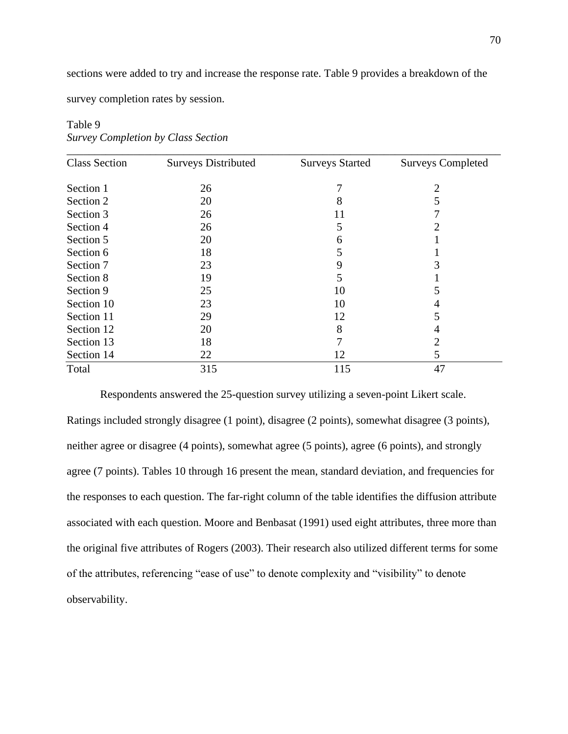sections were added to try and increase the response rate. Table 9 provides a breakdown of the

survey completion rates by session.

| <b>Class Section</b> | <b>Surveys Distributed</b> | <b>Surveys Started</b> | <b>Surveys Completed</b> |
|----------------------|----------------------------|------------------------|--------------------------|
| Section 1            | 26                         | 7                      | 2                        |
| Section 2            | 20                         | 8                      | 5                        |
| Section 3            | 26                         | 11                     |                          |
| Section 4            | 26                         | 5                      | 2                        |
| Section 5            | 20                         | 6                      |                          |
| Section 6            | 18                         | 5                      |                          |
| Section 7            | 23                         | 9                      | 3                        |
| Section 8            | 19                         | 5                      |                          |
| Section 9            | 25                         | 10                     | 5                        |
| Section 10           | 23                         | 10                     | 4                        |
| Section 11           | 29                         | 12                     | 5                        |
| Section 12           | 20                         | 8                      | 4                        |
| Section 13           | 18                         | 7                      | 2                        |
| Section 14           | 22                         | 12                     | 5                        |
| Total                | 315                        | 115                    | 47                       |

Table 9 *Survey Completion by Class Section*

Respondents answered the 25-question survey utilizing a seven-point Likert scale. Ratings included strongly disagree (1 point), disagree (2 points), somewhat disagree (3 points), neither agree or disagree (4 points), somewhat agree (5 points), agree (6 points), and strongly agree (7 points). Tables 10 through 16 present the mean, standard deviation, and frequencies for the responses to each question. The far-right column of the table identifies the diffusion attribute associated with each question. Moore and Benbasat (1991) used eight attributes, three more than the original five attributes of Rogers (2003). Their research also utilized different terms for some of the attributes, referencing "ease of use" to denote complexity and "visibility" to denote observability.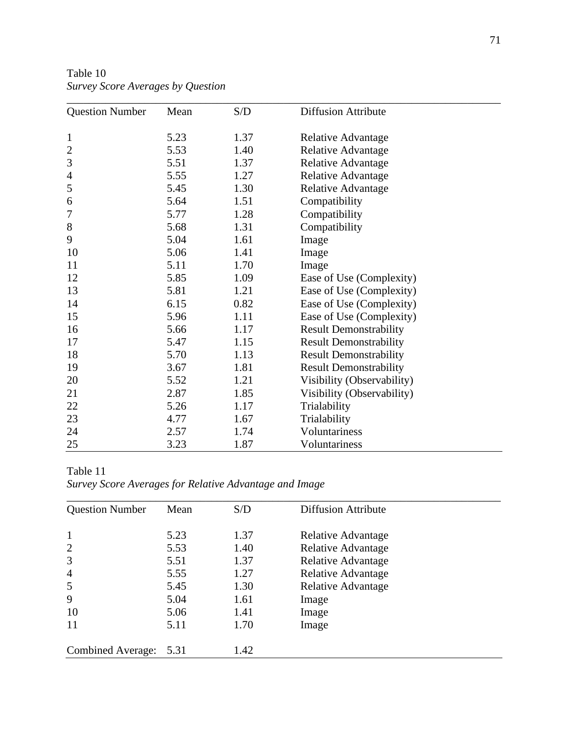| <b>Question Number</b> | Mean | S/D  | <b>Diffusion Attribute</b>    |  |
|------------------------|------|------|-------------------------------|--|
|                        |      |      |                               |  |
| $\mathbf{1}$           | 5.23 | 1.37 | Relative Advantage            |  |
| $\overline{c}$         | 5.53 | 1.40 | <b>Relative Advantage</b>     |  |
| 3                      | 5.51 | 1.37 | <b>Relative Advantage</b>     |  |
| $\overline{4}$         | 5.55 | 1.27 | Relative Advantage            |  |
| 5                      | 5.45 | 1.30 | <b>Relative Advantage</b>     |  |
| 6                      | 5.64 | 1.51 | Compatibility                 |  |
| 7                      | 5.77 | 1.28 | Compatibility                 |  |
| $8\,$                  | 5.68 | 1.31 | Compatibility                 |  |
| 9                      | 5.04 | 1.61 | Image                         |  |
| 10                     | 5.06 | 1.41 | Image                         |  |
| 11                     | 5.11 | 1.70 | Image                         |  |
| 12                     | 5.85 | 1.09 | Ease of Use (Complexity)      |  |
| 13                     | 5.81 | 1.21 | Ease of Use (Complexity)      |  |
| 14                     | 6.15 | 0.82 | Ease of Use (Complexity)      |  |
| 15                     | 5.96 | 1.11 | Ease of Use (Complexity)      |  |
| 16                     | 5.66 | 1.17 | <b>Result Demonstrability</b> |  |
| 17                     | 5.47 | 1.15 | <b>Result Demonstrability</b> |  |
| 18                     | 5.70 | 1.13 | <b>Result Demonstrability</b> |  |
| 19                     | 3.67 | 1.81 | <b>Result Demonstrability</b> |  |
| 20                     | 5.52 | 1.21 | Visibility (Observability)    |  |
| 21                     | 2.87 | 1.85 | Visibility (Observability)    |  |
| 22                     | 5.26 | 1.17 | Trialability                  |  |
| 23                     | 4.77 | 1.67 | Trialability                  |  |
| 24                     | 2.57 | 1.74 | Voluntariness                 |  |
| 25                     | 3.23 | 1.87 | Voluntariness                 |  |

Table 10 *Survey Score Averages by Question*

Table 11 *Survey Score Averages for Relative Advantage and Image*

| <b>Question Number</b>   | Mean | S/D  | <b>Diffusion Attribute</b> |  |
|--------------------------|------|------|----------------------------|--|
| $\mathbf{1}$             | 5.23 | 1.37 | <b>Relative Advantage</b>  |  |
| $\overline{2}$           | 5.53 | 1.40 | <b>Relative Advantage</b>  |  |
| 3                        | 5.51 | 1.37 | <b>Relative Advantage</b>  |  |
| $\overline{4}$           | 5.55 | 1.27 | Relative Advantage         |  |
| 5                        | 5.45 | 1.30 | <b>Relative Advantage</b>  |  |
| 9                        | 5.04 | 1.61 | Image                      |  |
| 10                       | 5.06 | 1.41 | Image                      |  |
| 11                       | 5.11 | 1.70 | Image                      |  |
| <b>Combined Average:</b> | 5.31 | 1.42 |                            |  |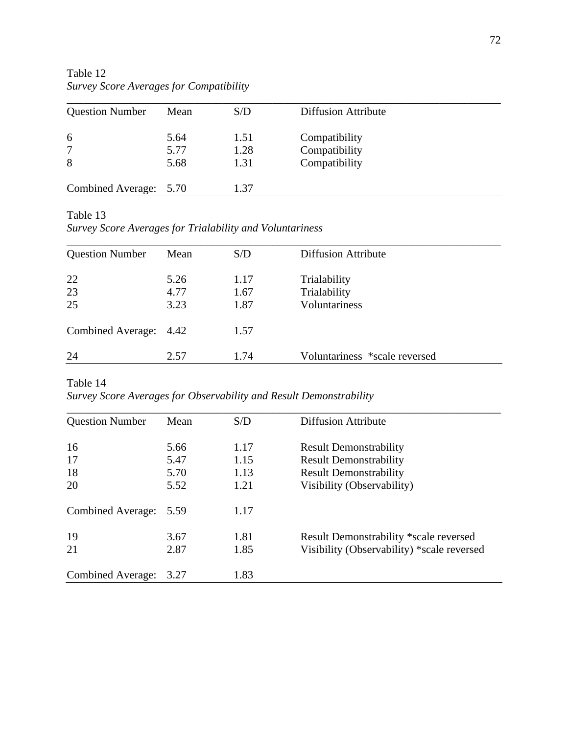Table 12 *Survey Score Averages for Compatibility*

| <b>Question Number</b> | Mean | S/D  | <b>Diffusion Attribute</b> |  |
|------------------------|------|------|----------------------------|--|
| 6                      | 5.64 | 1.51 | Compatibility              |  |
| 7                      | 5.77 | 1.28 | Compatibility              |  |
| 8                      | 5.68 | 1.31 | Compatibility              |  |
| Combined Average: 5.70 |      | 1.37 |                            |  |

Table 13

*Survey Score Averages for Trialability and Voluntariness*

| <b>Question Number</b> | Mean                 | S/D                  | <b>Diffusion Attribute</b>                           |  |
|------------------------|----------------------|----------------------|------------------------------------------------------|--|
| 22<br>23<br>25         | 5.26<br>4.77<br>3.23 | 1.17<br>1.67<br>1.87 | Trialability<br>Trialability<br><b>Voluntariness</b> |  |
| Combined Average: 4.42 |                      | 1.57                 |                                                      |  |
| 24                     | 2.57                 | 1.74                 | Voluntariness *scale reversed                        |  |

Table 14 *Survey Score Averages for Observability and Result Demonstrability*

| <b>Question Number</b>   | Mean | S/D  | <b>Diffusion Attribute</b>                    |
|--------------------------|------|------|-----------------------------------------------|
| 16                       | 5.66 | 1.17 | <b>Result Demonstrability</b>                 |
| 17                       | 5.47 | 1.15 | <b>Result Demonstrability</b>                 |
| 18                       | 5.70 | 1.13 | <b>Result Demonstrability</b>                 |
| 20                       | 5.52 | 1.21 | Visibility (Observability)                    |
| <b>Combined Average:</b> | 5.59 | 1.17 |                                               |
| 19                       | 3.67 | 1.81 | <b>Result Demonstrability *scale reversed</b> |
| 21                       | 2.87 | 1.85 | Visibility (Observability) *scale reversed    |
| Combined Average:        | 3.27 | 1.83 |                                               |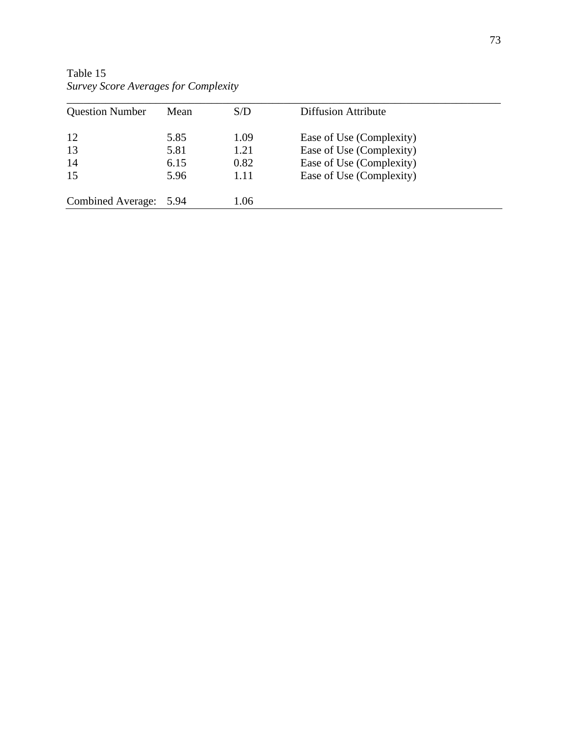| <b>Question Number</b>   | Mean | S/D  | <b>Diffusion Attribute</b> |  |
|--------------------------|------|------|----------------------------|--|
| 12                       | 5.85 | 1.09 | Ease of Use (Complexity)   |  |
| 13                       | 5.81 | 1.21 | Ease of Use (Complexity)   |  |
| 14                       | 6.15 | 0.82 | Ease of Use (Complexity)   |  |
| 15                       | 5.96 | 1.11 | Ease of Use (Complexity)   |  |
| <b>Combined Average:</b> | 5.94 | 1.06 |                            |  |

Table 15 *Survey Score Averages for Complexity*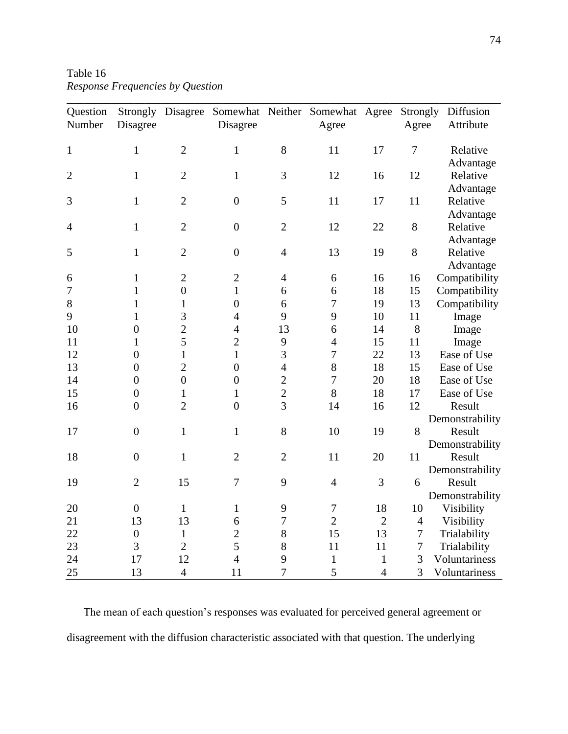Table 16 *Response Frequencies by Question*

| Question       | Strongly         | Disagree         |                |                  | Somewhat Neither Somewhat Agree |                | Strongly       | Diffusion             |
|----------------|------------------|------------------|----------------|------------------|---------------------------------|----------------|----------------|-----------------------|
| Number         | Disagree         |                  | Disagree       |                  | Agree                           |                | Agree          | Attribute             |
|                |                  | $\overline{2}$   |                | 8                |                                 | 17             | 7              |                       |
| $\mathbf{1}$   | $\mathbf{1}$     |                  | $\mathbf{1}$   |                  | 11                              |                |                | Relative              |
|                | $\mathbf{1}$     | $\mathbf{2}$     | $\mathbf{1}$   | 3                | 12                              | 16             | 12             | Advantage<br>Relative |
| $\overline{2}$ |                  |                  |                |                  |                                 |                |                |                       |
| 3              | $\mathbf{1}$     | $\overline{2}$   | $\overline{0}$ | 5                | 11                              | 17             | 11             | Advantage<br>Relative |
|                |                  |                  |                |                  |                                 |                |                |                       |
| $\overline{4}$ | $\mathbf{1}$     | $\overline{2}$   | $\overline{0}$ | $\overline{2}$   | 12                              | 22             | 8              | Advantage<br>Relative |
|                |                  |                  |                |                  |                                 |                |                |                       |
|                |                  |                  |                |                  |                                 |                |                | Advantage             |
| 5              | $\mathbf{1}$     | $\mathbf{2}$     | $\overline{0}$ | $\overline{4}$   | 13                              | 19             | 8              | Relative              |
|                |                  |                  |                |                  |                                 |                |                | Advantage             |
| 6              | $\mathbf 1$      | $\mathbf{2}$     | $\overline{2}$ | $\overline{4}$   | 6                               | 16             | 16             | Compatibility         |
| $\overline{7}$ | $\mathbf{1}$     | $\boldsymbol{0}$ | $\mathbf{1}$   | 6                | 6                               | 18             | 15             | Compatibility         |
| $8\,$          | $\mathbf{1}$     | $\mathbf{1}$     | $\overline{0}$ | 6                | $\boldsymbol{7}$                | 19             | 13             | Compatibility         |
| 9              | $\mathbf{1}$     | 3                | $\overline{4}$ | 9                | 9                               | 10             | 11             | Image                 |
| 10             | $\boldsymbol{0}$ | $\overline{c}$   | $\overline{4}$ | 13               | 6                               | 14             | 8              | Image                 |
| 11             | 1                | 5                | $\overline{2}$ | 9                | $\overline{4}$                  | 15             | 11             | Image                 |
| 12             | $\boldsymbol{0}$ | $\mathbf{1}$     | 1              | 3                | $\overline{7}$                  | 22             | 13             | Ease of Use           |
| 13             | $\overline{0}$   | $\overline{c}$   | $\overline{0}$ | $\overline{4}$   | 8                               | 18             | 15             | Ease of Use           |
| 14             | $\boldsymbol{0}$ | $\boldsymbol{0}$ | $\overline{0}$ | $\overline{2}$   | $\overline{7}$                  | 20             | 18             | Ease of Use           |
| 15             | $\boldsymbol{0}$ | $\mathbf{1}$     | $\mathbf{1}$   | $\overline{c}$   | 8                               | 18             | 17             | Ease of Use           |
| 16             | $\boldsymbol{0}$ | $\overline{2}$   | $\overline{0}$ | 3                | 14                              | 16             | 12             | Result                |
|                |                  |                  |                |                  |                                 |                |                | Demonstrability       |
| 17             | $\boldsymbol{0}$ | $\mathbf{1}$     | $\mathbf{1}$   | 8                | 10                              | 19             | 8              | Result                |
|                |                  |                  |                |                  |                                 |                |                | Demonstrability       |
| 18             | $\boldsymbol{0}$ | $\mathbf{1}$     | $\overline{2}$ | $\overline{2}$   | 11                              | 20             | 11             | Result                |
|                |                  |                  |                |                  |                                 |                |                | Demonstrability       |
| 19             | $\overline{2}$   | 15               | $\overline{7}$ | 9                | $\overline{4}$                  | 3              | 6              | Result                |
|                |                  |                  |                |                  |                                 |                |                | Demonstrability       |
| 20             | $\theta$         | 1                | 1              | 9                | 7                               | 18             | 10             | Visibility            |
| 21             | 13               | 13               | 6              | $\boldsymbol{7}$ | $\overline{2}$                  | $\overline{2}$ | $\overline{4}$ | Visibility            |
| 22             | $\boldsymbol{0}$ | $\mathbf{1}$     | $\overline{2}$ | $8\,$            | 15                              | 13             | 7              | Trialability          |
| 23             | 3                | $\overline{2}$   | 5              | 8                | 11                              | 11             | $\tau$         | Trialability          |
| 24             | 17               | 12               | $\overline{4}$ | 9                | $\mathbf{1}$                    | $\mathbf{1}$   | 3              | Voluntariness         |
| 25             | 13               | $\overline{4}$   | 11             | $\tau$           | 5                               | $\overline{4}$ | 3              | Voluntariness         |

The mean of each question's responses was evaluated for perceived general agreement or disagreement with the diffusion characteristic associated with that question. The underlying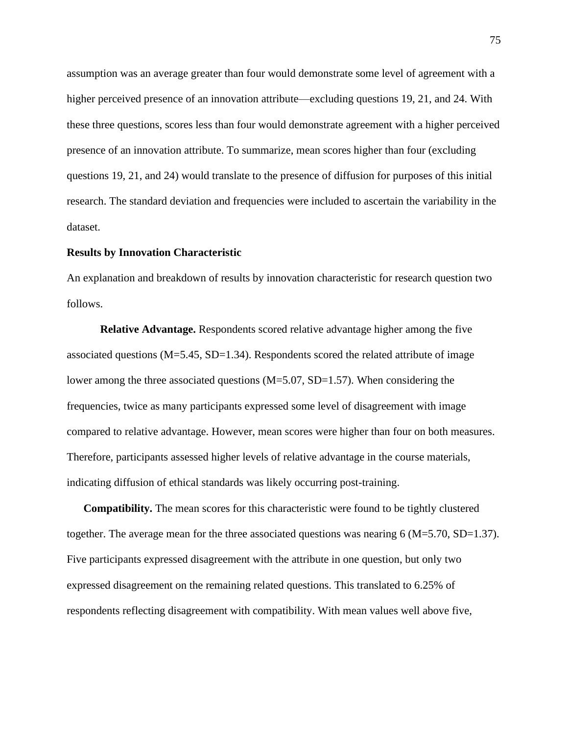assumption was an average greater than four would demonstrate some level of agreement with a higher perceived presence of an innovation attribute—excluding questions 19, 21, and 24. With these three questions, scores less than four would demonstrate agreement with a higher perceived presence of an innovation attribute. To summarize, mean scores higher than four (excluding questions 19, 21, and 24) would translate to the presence of diffusion for purposes of this initial research. The standard deviation and frequencies were included to ascertain the variability in the dataset.

## **Results by Innovation Characteristic**

An explanation and breakdown of results by innovation characteristic for research question two follows.

**Relative Advantage.** Respondents scored relative advantage higher among the five associated questions  $(M=5.45, SD=1.34)$ . Respondents scored the related attribute of image lower among the three associated questions (M=5.07, SD=1.57). When considering the frequencies, twice as many participants expressed some level of disagreement with image compared to relative advantage. However, mean scores were higher than four on both measures. Therefore, participants assessed higher levels of relative advantage in the course materials, indicating diffusion of ethical standards was likely occurring post-training.

**Compatibility.** The mean scores for this characteristic were found to be tightly clustered together. The average mean for the three associated questions was nearing  $6 (M=5.70, SD=1.37)$ . Five participants expressed disagreement with the attribute in one question, but only two expressed disagreement on the remaining related questions. This translated to 6.25% of respondents reflecting disagreement with compatibility. With mean values well above five,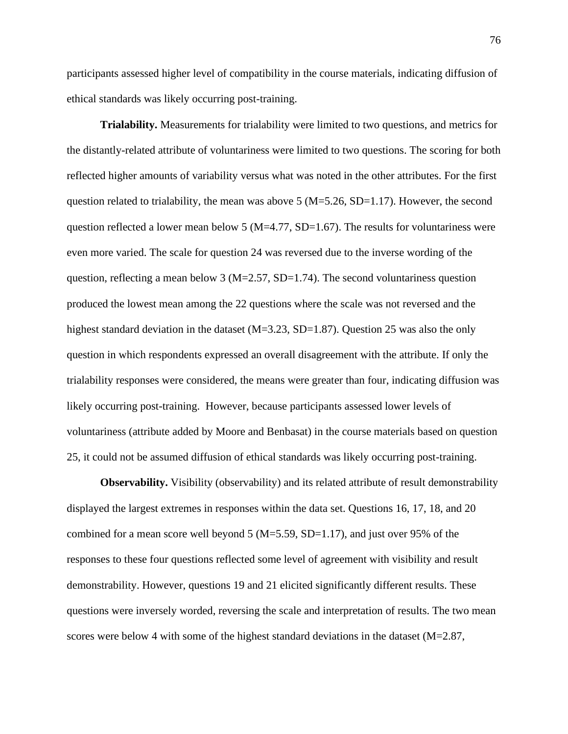participants assessed higher level of compatibility in the course materials, indicating diffusion of ethical standards was likely occurring post-training.

**Trialability.** Measurements for trialability were limited to two questions, and metrics for the distantly-related attribute of voluntariness were limited to two questions. The scoring for both reflected higher amounts of variability versus what was noted in the other attributes. For the first question related to trialability, the mean was above  $5 (M=5.26, SD=1.17)$ . However, the second question reflected a lower mean below 5 ( $M=4.77$ ,  $SD=1.67$ ). The results for voluntariness were even more varied. The scale for question 24 was reversed due to the inverse wording of the question, reflecting a mean below 3 ( $M=2.57$ ,  $SD=1.74$ ). The second voluntariness question produced the lowest mean among the 22 questions where the scale was not reversed and the highest standard deviation in the dataset (M=3.23, SD=1.87). Question 25 was also the only question in which respondents expressed an overall disagreement with the attribute. If only the trialability responses were considered, the means were greater than four, indicating diffusion was likely occurring post-training. However, because participants assessed lower levels of voluntariness (attribute added by Moore and Benbasat) in the course materials based on question 25, it could not be assumed diffusion of ethical standards was likely occurring post-training.

**Observability.** Visibility (observability) and its related attribute of result demonstrability displayed the largest extremes in responses within the data set. Questions 16, 17, 18, and 20 combined for a mean score well beyond  $5 (M=5.59, SD=1.17)$ , and just over 95% of the responses to these four questions reflected some level of agreement with visibility and result demonstrability. However, questions 19 and 21 elicited significantly different results. These questions were inversely worded, reversing the scale and interpretation of results. The two mean scores were below 4 with some of the highest standard deviations in the dataset (M=2.87,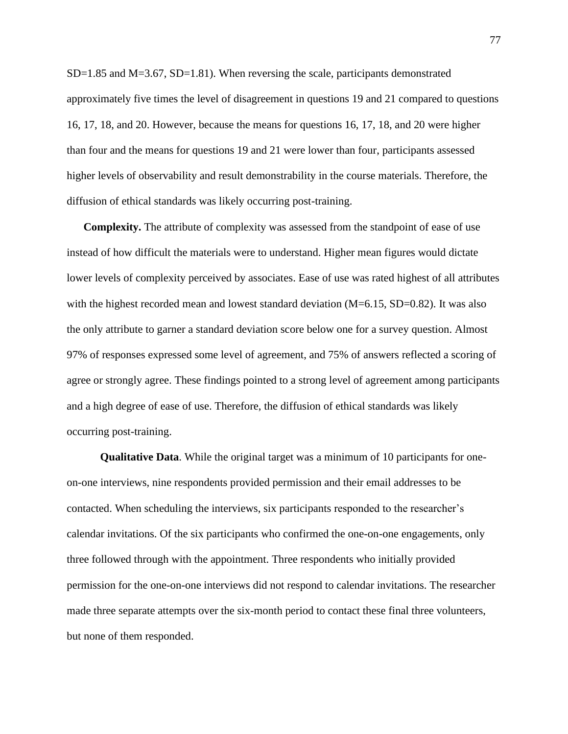$SD=1.85$  and  $M=3.67$ ,  $SD=1.81$ ). When reversing the scale, participants demonstrated approximately five times the level of disagreement in questions 19 and 21 compared to questions 16, 17, 18, and 20. However, because the means for questions 16, 17, 18, and 20 were higher than four and the means for questions 19 and 21 were lower than four, participants assessed higher levels of observability and result demonstrability in the course materials. Therefore, the diffusion of ethical standards was likely occurring post-training.

**Complexity.** The attribute of complexity was assessed from the standpoint of ease of use instead of how difficult the materials were to understand. Higher mean figures would dictate lower levels of complexity perceived by associates. Ease of use was rated highest of all attributes with the highest recorded mean and lowest standard deviation  $(M=6.15, SD=0.82)$ . It was also the only attribute to garner a standard deviation score below one for a survey question. Almost 97% of responses expressed some level of agreement, and 75% of answers reflected a scoring of agree or strongly agree. These findings pointed to a strong level of agreement among participants and a high degree of ease of use. Therefore, the diffusion of ethical standards was likely occurring post-training.

**Qualitative Data**. While the original target was a minimum of 10 participants for oneon-one interviews, nine respondents provided permission and their email addresses to be contacted. When scheduling the interviews, six participants responded to the researcher's calendar invitations. Of the six participants who confirmed the one-on-one engagements, only three followed through with the appointment. Three respondents who initially provided permission for the one-on-one interviews did not respond to calendar invitations. The researcher made three separate attempts over the six-month period to contact these final three volunteers, but none of them responded.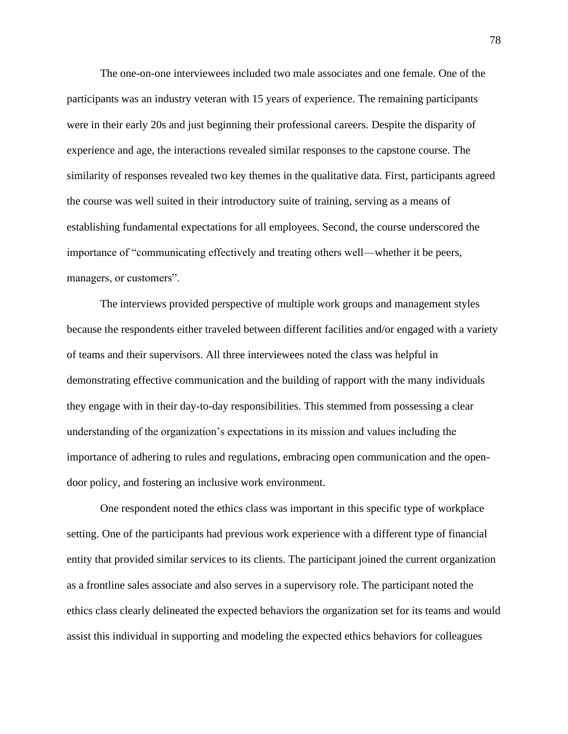The one-on-one interviewees included two male associates and one female. One of the participants was an industry veteran with 15 years of experience. The remaining participants were in their early 20s and just beginning their professional careers. Despite the disparity of experience and age, the interactions revealed similar responses to the capstone course. The similarity of responses revealed two key themes in the qualitative data. First, participants agreed the course was well suited in their introductory suite of training, serving as a means of establishing fundamental expectations for all employees. Second, the course underscored the importance of "communicating effectively and treating others well—whether it be peers, managers, or customers".

The interviews provided perspective of multiple work groups and management styles because the respondents either traveled between different facilities and/or engaged with a variety of teams and their supervisors. All three interviewees noted the class was helpful in demonstrating effective communication and the building of rapport with the many individuals they engage with in their day-to-day responsibilities. This stemmed from possessing a clear understanding of the organization's expectations in its mission and values including the importance of adhering to rules and regulations, embracing open communication and the opendoor policy, and fostering an inclusive work environment.

One respondent noted the ethics class was important in this specific type of workplace setting. One of the participants had previous work experience with a different type of financial entity that provided similar services to its clients. The participant joined the current organization as a frontline sales associate and also serves in a supervisory role. The participant noted the ethics class clearly delineated the expected behaviors the organization set for its teams and would assist this individual in supporting and modeling the expected ethics behaviors for colleagues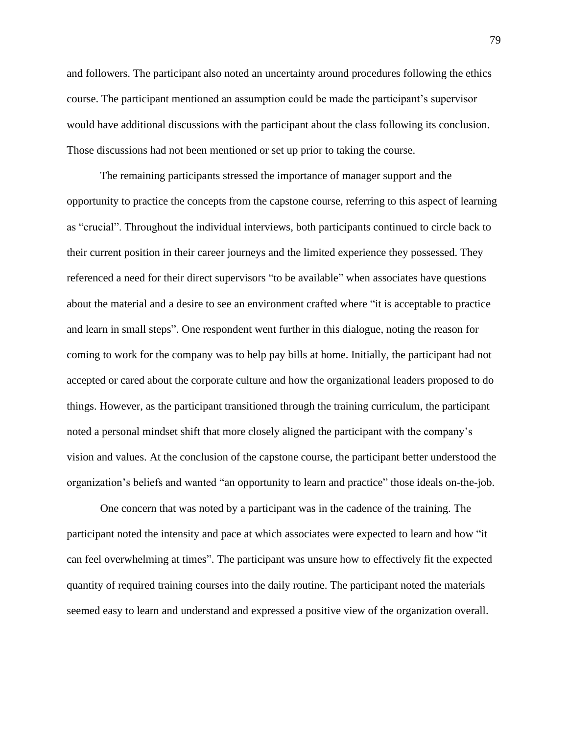and followers. The participant also noted an uncertainty around procedures following the ethics course. The participant mentioned an assumption could be made the participant's supervisor would have additional discussions with the participant about the class following its conclusion. Those discussions had not been mentioned or set up prior to taking the course.

The remaining participants stressed the importance of manager support and the opportunity to practice the concepts from the capstone course, referring to this aspect of learning as "crucial". Throughout the individual interviews, both participants continued to circle back to their current position in their career journeys and the limited experience they possessed. They referenced a need for their direct supervisors "to be available" when associates have questions about the material and a desire to see an environment crafted where "it is acceptable to practice and learn in small steps". One respondent went further in this dialogue, noting the reason for coming to work for the company was to help pay bills at home. Initially, the participant had not accepted or cared about the corporate culture and how the organizational leaders proposed to do things. However, as the participant transitioned through the training curriculum, the participant noted a personal mindset shift that more closely aligned the participant with the company's vision and values. At the conclusion of the capstone course, the participant better understood the organization's beliefs and wanted "an opportunity to learn and practice" those ideals on-the-job.

One concern that was noted by a participant was in the cadence of the training. The participant noted the intensity and pace at which associates were expected to learn and how "it can feel overwhelming at times". The participant was unsure how to effectively fit the expected quantity of required training courses into the daily routine. The participant noted the materials seemed easy to learn and understand and expressed a positive view of the organization overall.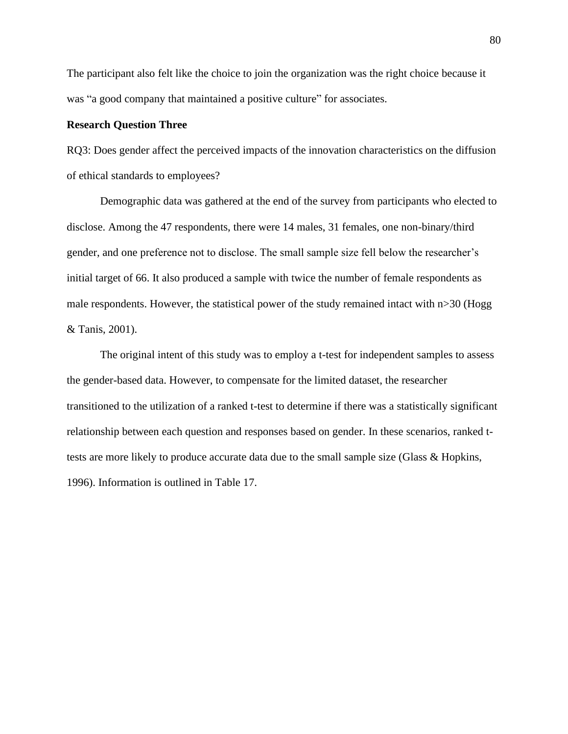The participant also felt like the choice to join the organization was the right choice because it was "a good company that maintained a positive culture" for associates.

## **Research Question Three**

RQ3: Does gender affect the perceived impacts of the innovation characteristics on the diffusion of ethical standards to employees?

Demographic data was gathered at the end of the survey from participants who elected to disclose. Among the 47 respondents, there were 14 males, 31 females, one non-binary/third gender, and one preference not to disclose. The small sample size fell below the researcher's initial target of 66. It also produced a sample with twice the number of female respondents as male respondents. However, the statistical power of the study remained intact with n>30 (Hogg & Tanis, 2001).

The original intent of this study was to employ a t-test for independent samples to assess the gender-based data. However, to compensate for the limited dataset, the researcher transitioned to the utilization of a ranked t-test to determine if there was a statistically significant relationship between each question and responses based on gender. In these scenarios, ranked ttests are more likely to produce accurate data due to the small sample size (Glass & Hopkins, 1996). Information is outlined in Table 17.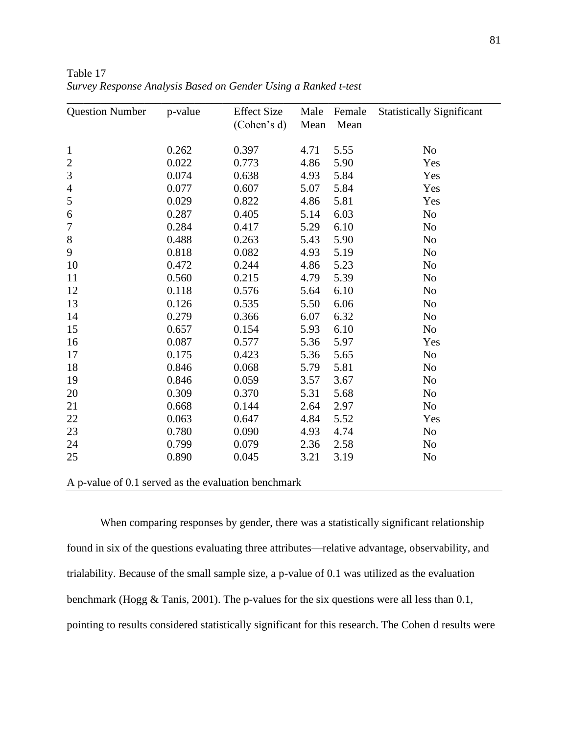| <b>Question Number</b> | p-value | <b>Effect Size</b><br>(Cohen's d) | Male<br>Mean | Female<br>Mean | <b>Statistically Significant</b> |
|------------------------|---------|-----------------------------------|--------------|----------------|----------------------------------|
| $\mathbf{1}$           | 0.262   | 0.397                             | 4.71         | 5.55           | N <sub>o</sub>                   |
| $\overline{c}$         | 0.022   | 0.773                             | 4.86         | 5.90           | Yes                              |
| 3                      | 0.074   | 0.638                             | 4.93         | 5.84           | Yes                              |
| $\overline{4}$         | 0.077   | 0.607                             | 5.07         | 5.84           | Yes                              |
| 5                      | 0.029   | 0.822                             | 4.86         | 5.81           | Yes                              |
| 6                      | 0.287   | 0.405                             | 5.14         | 6.03           | N <sub>o</sub>                   |
| 7                      | 0.284   | 0.417                             | 5.29         | 6.10           | N <sub>o</sub>                   |
| $8\,$                  | 0.488   | 0.263                             | 5.43         | 5.90           | N <sub>o</sub>                   |
| 9                      | 0.818   | 0.082                             | 4.93         | 5.19           | N <sub>o</sub>                   |
| 10                     | 0.472   | 0.244                             | 4.86         | 5.23           | N <sub>o</sub>                   |
| 11                     | 0.560   | 0.215                             | 4.79         | 5.39           | N <sub>o</sub>                   |
| 12                     | 0.118   | 0.576                             | 5.64         | 6.10           | N <sub>o</sub>                   |
| 13                     | 0.126   | 0.535                             | 5.50         | 6.06           | N <sub>o</sub>                   |
| 14                     | 0.279   | 0.366                             | 6.07         | 6.32           | N <sub>o</sub>                   |
| 15                     | 0.657   | 0.154                             | 5.93         | 6.10           | N <sub>o</sub>                   |
| 16                     | 0.087   | 0.577                             | 5.36         | 5.97           | Yes                              |
| 17                     | 0.175   | 0.423                             | 5.36         | 5.65           | N <sub>o</sub>                   |
| 18                     | 0.846   | 0.068                             | 5.79         | 5.81           | N <sub>o</sub>                   |
| 19                     | 0.846   | 0.059                             | 3.57         | 3.67           | N <sub>o</sub>                   |
| 20                     | 0.309   | 0.370                             | 5.31         | 5.68           | N <sub>o</sub>                   |
| 21                     | 0.668   | 0.144                             | 2.64         | 2.97           | N <sub>o</sub>                   |
| 22                     | 0.063   | 0.647                             | 4.84         | 5.52           | Yes                              |
| 23                     | 0.780   | 0.090                             | 4.93         | 4.74           | N <sub>o</sub>                   |
| 24                     | 0.799   | 0.079                             | 2.36         | 2.58           | N <sub>o</sub>                   |
| 25                     | 0.890   | 0.045                             | 3.21         | 3.19           | N <sub>o</sub>                   |

Table 17 *Survey Response Analysis Based on Gender Using a Ranked t-test*

A p-value of 0.1 served as the evaluation benchmark

When comparing responses by gender, there was a statistically significant relationship found in six of the questions evaluating three attributes—relative advantage, observability, and trialability. Because of the small sample size, a p-value of 0.1 was utilized as the evaluation benchmark (Hogg & Tanis, 2001). The p-values for the six questions were all less than 0.1, pointing to results considered statistically significant for this research. The Cohen d results were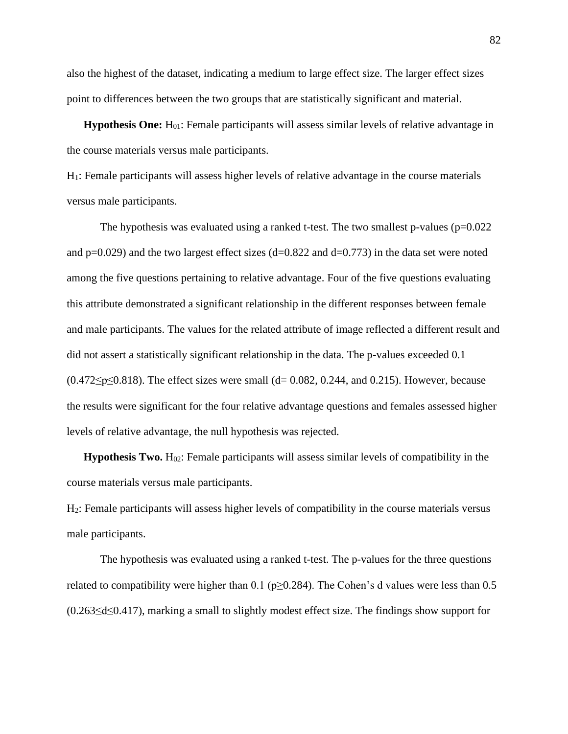also the highest of the dataset, indicating a medium to large effect size. The larger effect sizes point to differences between the two groups that are statistically significant and material.

**Hypothesis One:** H<sub>01</sub>: Female participants will assess similar levels of relative advantage in the course materials versus male participants.

H1: Female participants will assess higher levels of relative advantage in the course materials versus male participants.

The hypothesis was evaluated using a ranked t-test. The two smallest p-values  $(p=0.022)$ and  $p=0.029$ ) and the two largest effect sizes (d=0.822 and d=0.773) in the data set were noted among the five questions pertaining to relative advantage. Four of the five questions evaluating this attribute demonstrated a significant relationship in the different responses between female and male participants. The values for the related attribute of image reflected a different result and did not assert a statistically significant relationship in the data. The p-values exceeded 0.1  $(0.472 \le p \le 0.818)$ . The effect sizes were small  $(d= 0.082, 0.244, and 0.215)$ . However, because the results were significant for the four relative advantage questions and females assessed higher levels of relative advantage, the null hypothesis was rejected.

**Hypothesis Two.**  $H_{02}$ : Female participants will assess similar levels of compatibility in the course materials versus male participants.

H2: Female participants will assess higher levels of compatibility in the course materials versus male participants.

The hypothesis was evaluated using a ranked t-test. The p-values for the three questions related to compatibility were higher than 0.1 ( $p \ge 0.284$ ). The Cohen's d values were less than 0.5 (0.263≤d≤0.417), marking a small to slightly modest effect size. The findings show support for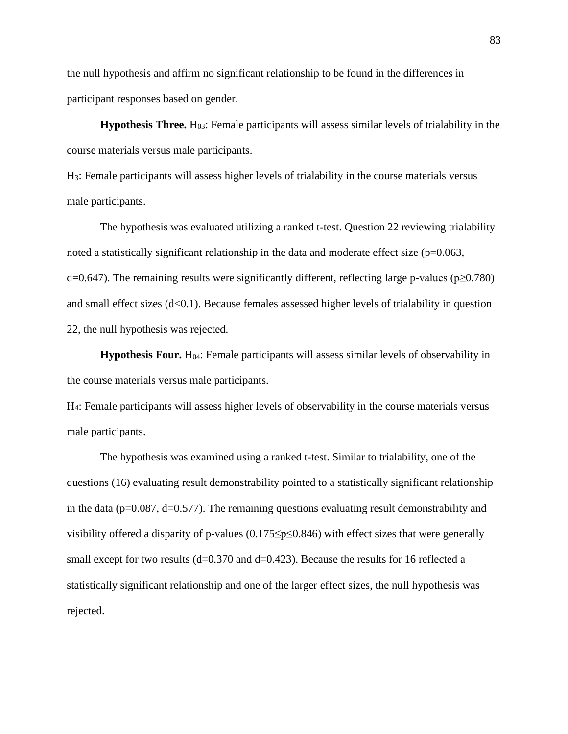the null hypothesis and affirm no significant relationship to be found in the differences in participant responses based on gender.

**Hypothesis Three.**  $H_{03}$ : Female participants will assess similar levels of trialability in the course materials versus male participants.

H3: Female participants will assess higher levels of trialability in the course materials versus male participants.

The hypothesis was evaluated utilizing a ranked t-test. Question 22 reviewing trialability noted a statistically significant relationship in the data and moderate effect size  $(p=0.063,$ d=0.647). The remaining results were significantly different, reflecting large p-values (p≥0.780) and small effect sizes  $(d<0.1)$ . Because females assessed higher levels of trialability in question 22, the null hypothesis was rejected.

**Hypothesis Four.** H<sub>04</sub>: Female participants will assess similar levels of observability in the course materials versus male participants.

H4: Female participants will assess higher levels of observability in the course materials versus male participants.

The hypothesis was examined using a ranked t-test. Similar to trialability, one of the questions (16) evaluating result demonstrability pointed to a statistically significant relationship in the data ( $p=0.087$ ,  $d=0.577$ ). The remaining questions evaluating result demonstrability and visibility offered a disparity of p-values (0.175≤p≤0.846) with effect sizes that were generally small except for two results  $(d=0.370 \text{ and } d=0.423)$ . Because the results for 16 reflected a statistically significant relationship and one of the larger effect sizes, the null hypothesis was rejected.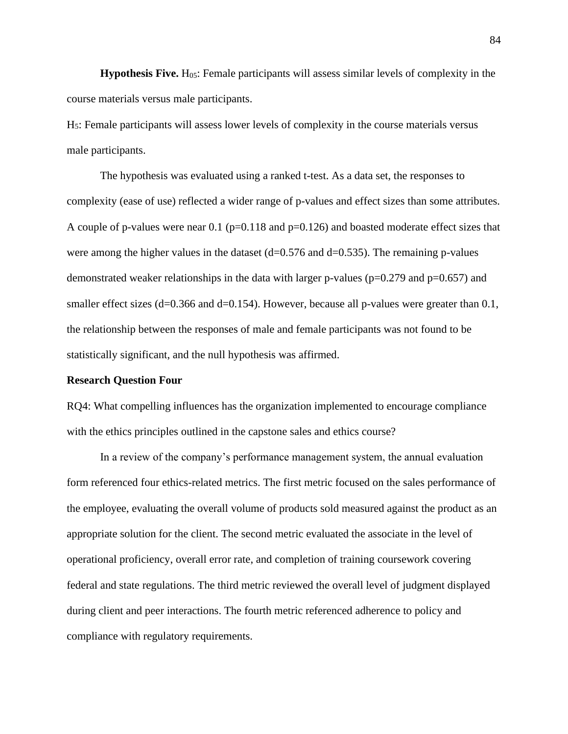**Hypothesis Five.** H05: Female participants will assess similar levels of complexity in the course materials versus male participants.

H5: Female participants will assess lower levels of complexity in the course materials versus male participants.

The hypothesis was evaluated using a ranked t-test. As a data set, the responses to complexity (ease of use) reflected a wider range of p-values and effect sizes than some attributes. A couple of p-values were near 0.1 ( $p=0.118$  and  $p=0.126$ ) and boasted moderate effect sizes that were among the higher values in the dataset  $(d=0.576$  and  $d=0.535)$ . The remaining p-values demonstrated weaker relationships in the data with larger p-values ( $p=0.279$  and  $p=0.657$ ) and smaller effect sizes (d=0.366 and d=0.154). However, because all p-values were greater than 0.1, the relationship between the responses of male and female participants was not found to be statistically significant, and the null hypothesis was affirmed.

# **Research Question Four**

RQ4: What compelling influences has the organization implemented to encourage compliance with the ethics principles outlined in the capstone sales and ethics course?

In a review of the company's performance management system, the annual evaluation form referenced four ethics-related metrics. The first metric focused on the sales performance of the employee, evaluating the overall volume of products sold measured against the product as an appropriate solution for the client. The second metric evaluated the associate in the level of operational proficiency, overall error rate, and completion of training coursework covering federal and state regulations. The third metric reviewed the overall level of judgment displayed during client and peer interactions. The fourth metric referenced adherence to policy and compliance with regulatory requirements.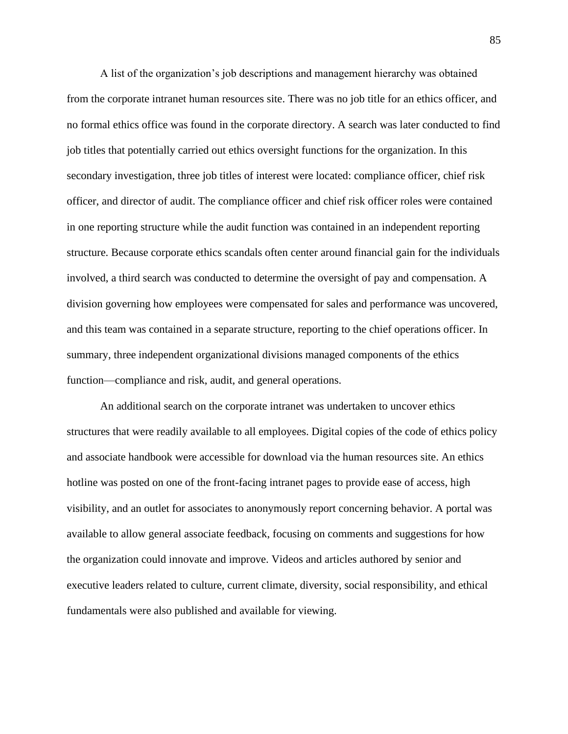A list of the organization's job descriptions and management hierarchy was obtained from the corporate intranet human resources site. There was no job title for an ethics officer, and no formal ethics office was found in the corporate directory. A search was later conducted to find job titles that potentially carried out ethics oversight functions for the organization. In this secondary investigation, three job titles of interest were located: compliance officer, chief risk officer, and director of audit. The compliance officer and chief risk officer roles were contained in one reporting structure while the audit function was contained in an independent reporting structure. Because corporate ethics scandals often center around financial gain for the individuals involved, a third search was conducted to determine the oversight of pay and compensation. A division governing how employees were compensated for sales and performance was uncovered, and this team was contained in a separate structure, reporting to the chief operations officer. In summary, three independent organizational divisions managed components of the ethics function—compliance and risk, audit, and general operations.

An additional search on the corporate intranet was undertaken to uncover ethics structures that were readily available to all employees. Digital copies of the code of ethics policy and associate handbook were accessible for download via the human resources site. An ethics hotline was posted on one of the front-facing intranet pages to provide ease of access, high visibility, and an outlet for associates to anonymously report concerning behavior. A portal was available to allow general associate feedback, focusing on comments and suggestions for how the organization could innovate and improve. Videos and articles authored by senior and executive leaders related to culture, current climate, diversity, social responsibility, and ethical fundamentals were also published and available for viewing.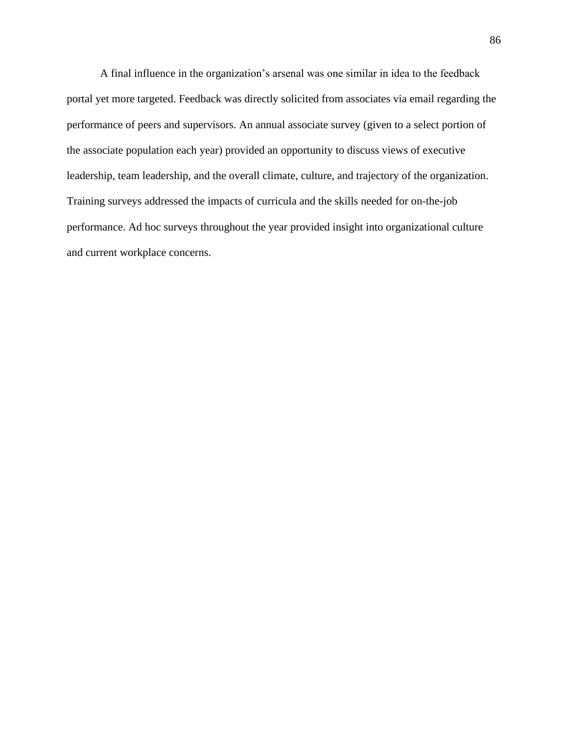A final influence in the organization's arsenal was one similar in idea to the feedback portal yet more targeted. Feedback was directly solicited from associates via email regarding the performance of peers and supervisors. An annual associate survey (given to a select portion of the associate population each year) provided an opportunity to discuss views of executive leadership, team leadership, and the overall climate, culture, and trajectory of the organization. Training surveys addressed the impacts of curricula and the skills needed for on-the-job performance. Ad hoc surveys throughout the year provided insight into organizational culture and current workplace concerns.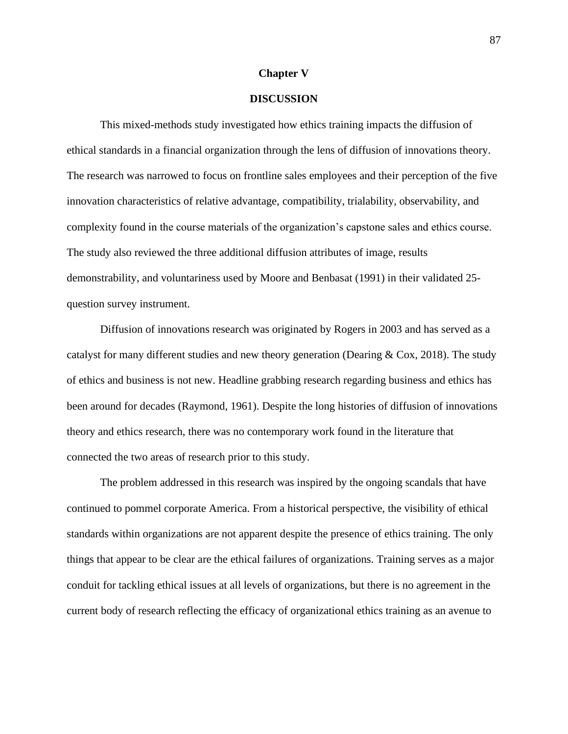## **Chapter V**

# **DISCUSSION**

This mixed-methods study investigated how ethics training impacts the diffusion of ethical standards in a financial organization through the lens of diffusion of innovations theory. The research was narrowed to focus on frontline sales employees and their perception of the five innovation characteristics of relative advantage, compatibility, trialability, observability, and complexity found in the course materials of the organization's capstone sales and ethics course. The study also reviewed the three additional diffusion attributes of image, results demonstrability, and voluntariness used by Moore and Benbasat (1991) in their validated 25 question survey instrument.

Diffusion of innovations research was originated by Rogers in 2003 and has served as a catalyst for many different studies and new theory generation (Dearing & Cox, 2018). The study of ethics and business is not new. Headline grabbing research regarding business and ethics has been around for decades (Raymond, 1961). Despite the long histories of diffusion of innovations theory and ethics research, there was no contemporary work found in the literature that connected the two areas of research prior to this study.

The problem addressed in this research was inspired by the ongoing scandals that have continued to pommel corporate America. From a historical perspective, the visibility of ethical standards within organizations are not apparent despite the presence of ethics training. The only things that appear to be clear are the ethical failures of organizations. Training serves as a major conduit for tackling ethical issues at all levels of organizations, but there is no agreement in the current body of research reflecting the efficacy of organizational ethics training as an avenue to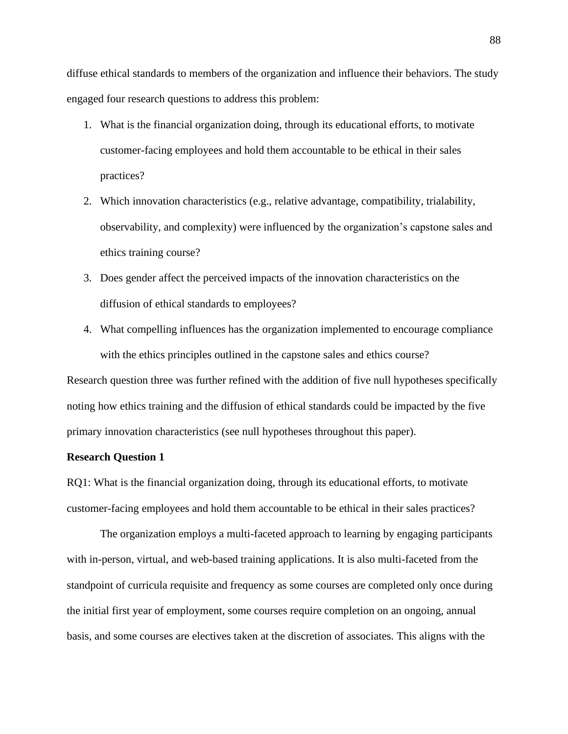diffuse ethical standards to members of the organization and influence their behaviors. The study engaged four research questions to address this problem:

- 1. What is the financial organization doing, through its educational efforts, to motivate customer-facing employees and hold them accountable to be ethical in their sales practices?
- 2. Which innovation characteristics (e.g., relative advantage, compatibility, trialability, observability, and complexity) were influenced by the organization's capstone sales and ethics training course?
- 3. Does gender affect the perceived impacts of the innovation characteristics on the diffusion of ethical standards to employees?
- 4. What compelling influences has the organization implemented to encourage compliance with the ethics principles outlined in the capstone sales and ethics course?

Research question three was further refined with the addition of five null hypotheses specifically noting how ethics training and the diffusion of ethical standards could be impacted by the five primary innovation characteristics (see null hypotheses throughout this paper).

# **Research Question 1**

RQ1: What is the financial organization doing, through its educational efforts, to motivate customer-facing employees and hold them accountable to be ethical in their sales practices?

The organization employs a multi-faceted approach to learning by engaging participants with in-person, virtual, and web-based training applications. It is also multi-faceted from the standpoint of curricula requisite and frequency as some courses are completed only once during the initial first year of employment, some courses require completion on an ongoing, annual basis, and some courses are electives taken at the discretion of associates. This aligns with the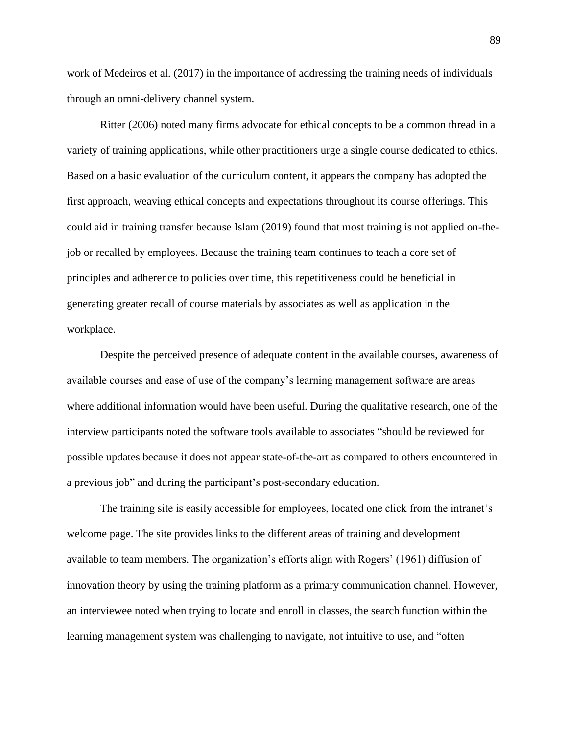work of Medeiros et al. (2017) in the importance of addressing the training needs of individuals through an omni-delivery channel system.

Ritter (2006) noted many firms advocate for ethical concepts to be a common thread in a variety of training applications, while other practitioners urge a single course dedicated to ethics. Based on a basic evaluation of the curriculum content, it appears the company has adopted the first approach, weaving ethical concepts and expectations throughout its course offerings. This could aid in training transfer because Islam (2019) found that most training is not applied on-thejob or recalled by employees. Because the training team continues to teach a core set of principles and adherence to policies over time, this repetitiveness could be beneficial in generating greater recall of course materials by associates as well as application in the workplace.

Despite the perceived presence of adequate content in the available courses, awareness of available courses and ease of use of the company's learning management software are areas where additional information would have been useful. During the qualitative research, one of the interview participants noted the software tools available to associates "should be reviewed for possible updates because it does not appear state-of-the-art as compared to others encountered in a previous job" and during the participant's post-secondary education.

The training site is easily accessible for employees, located one click from the intranet's welcome page. The site provides links to the different areas of training and development available to team members. The organization's efforts align with Rogers' (1961) diffusion of innovation theory by using the training platform as a primary communication channel. However, an interviewee noted when trying to locate and enroll in classes, the search function within the learning management system was challenging to navigate, not intuitive to use, and "often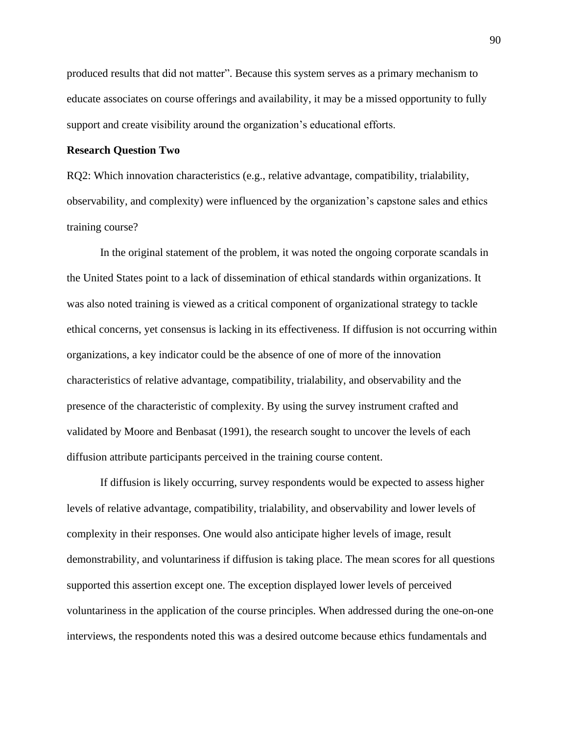produced results that did not matter". Because this system serves as a primary mechanism to educate associates on course offerings and availability, it may be a missed opportunity to fully support and create visibility around the organization's educational efforts.

## **Research Question Two**

RQ2: Which innovation characteristics (e.g., relative advantage, compatibility, trialability, observability, and complexity) were influenced by the organization's capstone sales and ethics training course?

In the original statement of the problem, it was noted the ongoing corporate scandals in the United States point to a lack of dissemination of ethical standards within organizations. It was also noted training is viewed as a critical component of organizational strategy to tackle ethical concerns, yet consensus is lacking in its effectiveness. If diffusion is not occurring within organizations, a key indicator could be the absence of one of more of the innovation characteristics of relative advantage, compatibility, trialability, and observability and the presence of the characteristic of complexity. By using the survey instrument crafted and validated by Moore and Benbasat (1991), the research sought to uncover the levels of each diffusion attribute participants perceived in the training course content.

If diffusion is likely occurring, survey respondents would be expected to assess higher levels of relative advantage, compatibility, trialability, and observability and lower levels of complexity in their responses. One would also anticipate higher levels of image, result demonstrability, and voluntariness if diffusion is taking place. The mean scores for all questions supported this assertion except one. The exception displayed lower levels of perceived voluntariness in the application of the course principles. When addressed during the one-on-one interviews, the respondents noted this was a desired outcome because ethics fundamentals and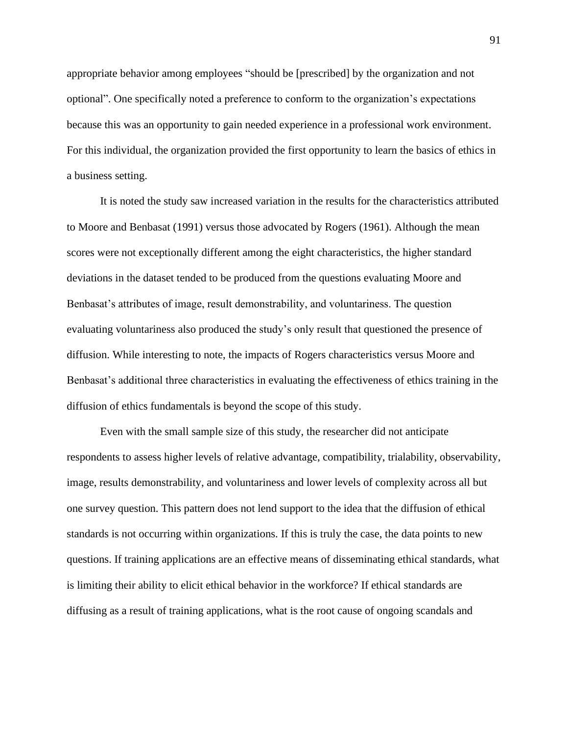appropriate behavior among employees "should be [prescribed] by the organization and not optional". One specifically noted a preference to conform to the organization's expectations because this was an opportunity to gain needed experience in a professional work environment. For this individual, the organization provided the first opportunity to learn the basics of ethics in a business setting.

It is noted the study saw increased variation in the results for the characteristics attributed to Moore and Benbasat (1991) versus those advocated by Rogers (1961). Although the mean scores were not exceptionally different among the eight characteristics, the higher standard deviations in the dataset tended to be produced from the questions evaluating Moore and Benbasat's attributes of image, result demonstrability, and voluntariness. The question evaluating voluntariness also produced the study's only result that questioned the presence of diffusion. While interesting to note, the impacts of Rogers characteristics versus Moore and Benbasat's additional three characteristics in evaluating the effectiveness of ethics training in the diffusion of ethics fundamentals is beyond the scope of this study.

Even with the small sample size of this study, the researcher did not anticipate respondents to assess higher levels of relative advantage, compatibility, trialability, observability, image, results demonstrability, and voluntariness and lower levels of complexity across all but one survey question. This pattern does not lend support to the idea that the diffusion of ethical standards is not occurring within organizations. If this is truly the case, the data points to new questions. If training applications are an effective means of disseminating ethical standards, what is limiting their ability to elicit ethical behavior in the workforce? If ethical standards are diffusing as a result of training applications, what is the root cause of ongoing scandals and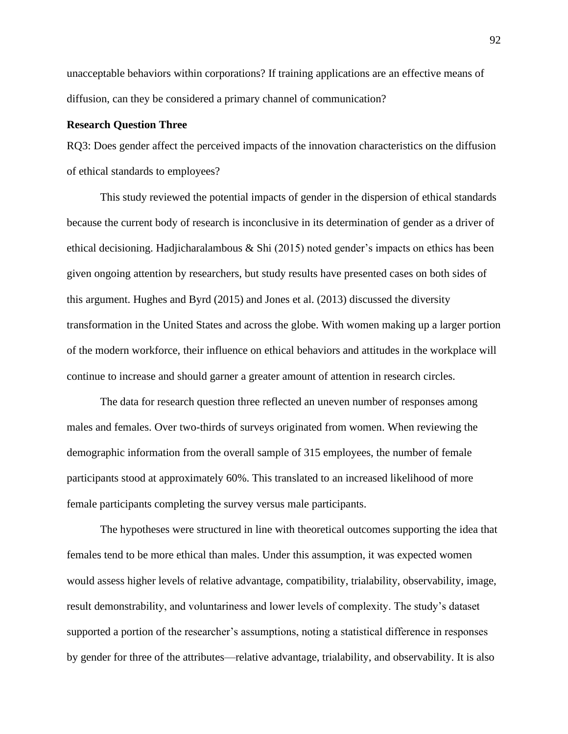unacceptable behaviors within corporations? If training applications are an effective means of diffusion, can they be considered a primary channel of communication?

# **Research Question Three**

RQ3: Does gender affect the perceived impacts of the innovation characteristics on the diffusion of ethical standards to employees?

This study reviewed the potential impacts of gender in the dispersion of ethical standards because the current body of research is inconclusive in its determination of gender as a driver of ethical decisioning. Hadjicharalambous  $\&$  Shi (2015) noted gender's impacts on ethics has been given ongoing attention by researchers, but study results have presented cases on both sides of this argument. Hughes and Byrd (2015) and Jones et al. (2013) discussed the diversity transformation in the United States and across the globe. With women making up a larger portion of the modern workforce, their influence on ethical behaviors and attitudes in the workplace will continue to increase and should garner a greater amount of attention in research circles.

The data for research question three reflected an uneven number of responses among males and females. Over two-thirds of surveys originated from women. When reviewing the demographic information from the overall sample of 315 employees, the number of female participants stood at approximately 60%. This translated to an increased likelihood of more female participants completing the survey versus male participants.

The hypotheses were structured in line with theoretical outcomes supporting the idea that females tend to be more ethical than males. Under this assumption, it was expected women would assess higher levels of relative advantage, compatibility, trialability, observability, image, result demonstrability, and voluntariness and lower levels of complexity. The study's dataset supported a portion of the researcher's assumptions, noting a statistical difference in responses by gender for three of the attributes—relative advantage, trialability, and observability. It is also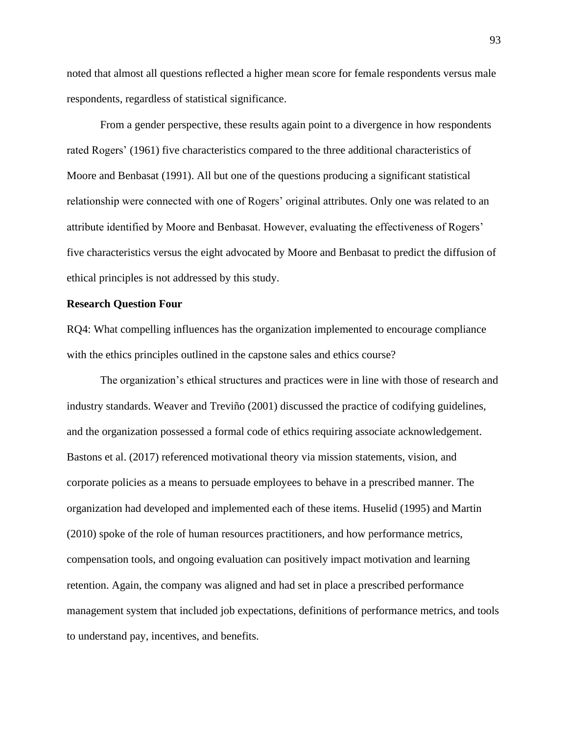noted that almost all questions reflected a higher mean score for female respondents versus male respondents, regardless of statistical significance.

From a gender perspective, these results again point to a divergence in how respondents rated Rogers' (1961) five characteristics compared to the three additional characteristics of Moore and Benbasat (1991). All but one of the questions producing a significant statistical relationship were connected with one of Rogers' original attributes. Only one was related to an attribute identified by Moore and Benbasat. However, evaluating the effectiveness of Rogers' five characteristics versus the eight advocated by Moore and Benbasat to predict the diffusion of ethical principles is not addressed by this study.

## **Research Question Four**

RQ4: What compelling influences has the organization implemented to encourage compliance with the ethics principles outlined in the capstone sales and ethics course?

The organization's ethical structures and practices were in line with those of research and industry standards. Weaver and Treviño (2001) discussed the practice of codifying guidelines, and the organization possessed a formal code of ethics requiring associate acknowledgement. Bastons et al. (2017) referenced motivational theory via mission statements, vision, and corporate policies as a means to persuade employees to behave in a prescribed manner. The organization had developed and implemented each of these items. Huselid (1995) and Martin (2010) spoke of the role of human resources practitioners, and how performance metrics, compensation tools, and ongoing evaluation can positively impact motivation and learning retention. Again, the company was aligned and had set in place a prescribed performance management system that included job expectations, definitions of performance metrics, and tools to understand pay, incentives, and benefits.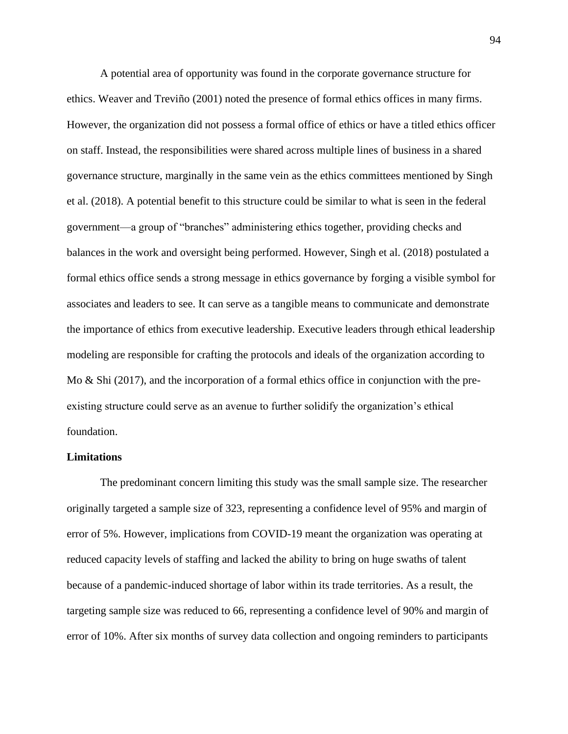A potential area of opportunity was found in the corporate governance structure for ethics. Weaver and Treviño (2001) noted the presence of formal ethics offices in many firms. However, the organization did not possess a formal office of ethics or have a titled ethics officer on staff. Instead, the responsibilities were shared across multiple lines of business in a shared governance structure, marginally in the same vein as the ethics committees mentioned by Singh et al. (2018). A potential benefit to this structure could be similar to what is seen in the federal government—a group of "branches" administering ethics together, providing checks and balances in the work and oversight being performed. However, Singh et al. (2018) postulated a formal ethics office sends a strong message in ethics governance by forging a visible symbol for associates and leaders to see. It can serve as a tangible means to communicate and demonstrate the importance of ethics from executive leadership. Executive leaders through ethical leadership modeling are responsible for crafting the protocols and ideals of the organization according to Mo & Shi (2017), and the incorporation of a formal ethics office in conjunction with the preexisting structure could serve as an avenue to further solidify the organization's ethical foundation.

### **Limitations**

The predominant concern limiting this study was the small sample size. The researcher originally targeted a sample size of 323, representing a confidence level of 95% and margin of error of 5%. However, implications from COVID-19 meant the organization was operating at reduced capacity levels of staffing and lacked the ability to bring on huge swaths of talent because of a pandemic-induced shortage of labor within its trade territories. As a result, the targeting sample size was reduced to 66, representing a confidence level of 90% and margin of error of 10%. After six months of survey data collection and ongoing reminders to participants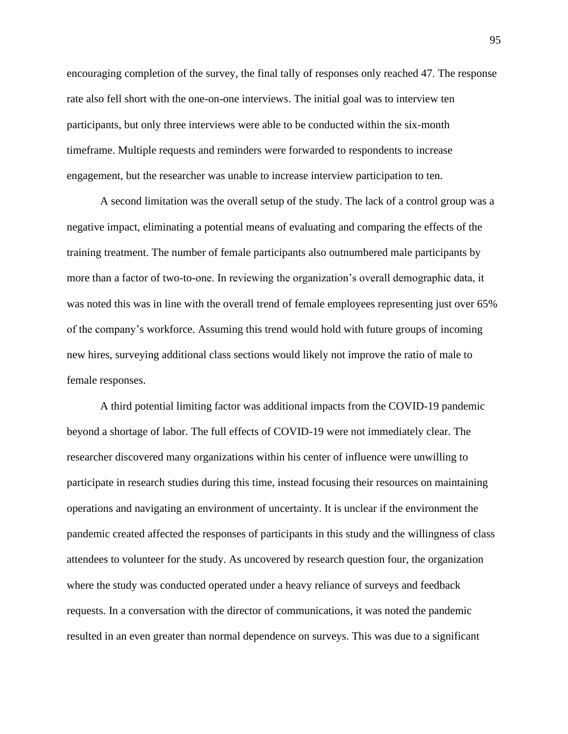encouraging completion of the survey, the final tally of responses only reached 47. The response rate also fell short with the one-on-one interviews. The initial goal was to interview ten participants, but only three interviews were able to be conducted within the six-month timeframe. Multiple requests and reminders were forwarded to respondents to increase engagement, but the researcher was unable to increase interview participation to ten.

A second limitation was the overall setup of the study. The lack of a control group was a negative impact, eliminating a potential means of evaluating and comparing the effects of the training treatment. The number of female participants also outnumbered male participants by more than a factor of two-to-one. In reviewing the organization's overall demographic data, it was noted this was in line with the overall trend of female employees representing just over 65% of the company's workforce. Assuming this trend would hold with future groups of incoming new hires, surveying additional class sections would likely not improve the ratio of male to female responses.

A third potential limiting factor was additional impacts from the COVID-19 pandemic beyond a shortage of labor. The full effects of COVID-19 were not immediately clear. The researcher discovered many organizations within his center of influence were unwilling to participate in research studies during this time, instead focusing their resources on maintaining operations and navigating an environment of uncertainty. It is unclear if the environment the pandemic created affected the responses of participants in this study and the willingness of class attendees to volunteer for the study. As uncovered by research question four, the organization where the study was conducted operated under a heavy reliance of surveys and feedback requests. In a conversation with the director of communications, it was noted the pandemic resulted in an even greater than normal dependence on surveys. This was due to a significant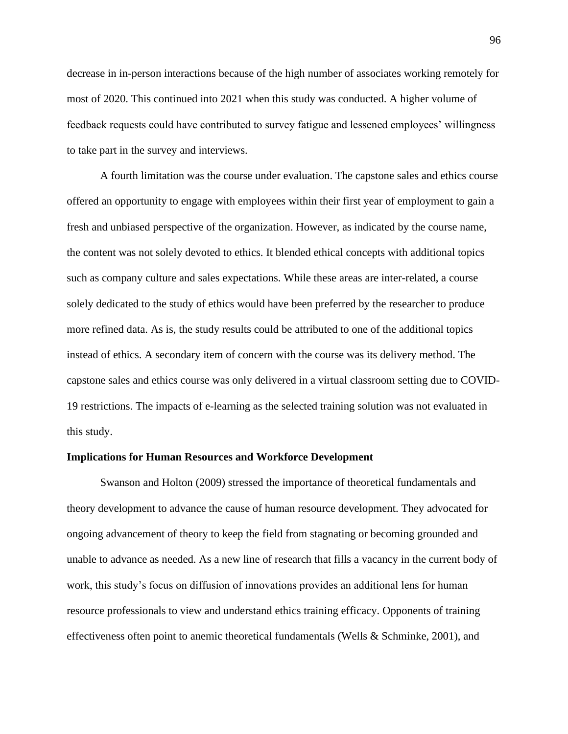decrease in in-person interactions because of the high number of associates working remotely for most of 2020. This continued into 2021 when this study was conducted. A higher volume of feedback requests could have contributed to survey fatigue and lessened employees' willingness to take part in the survey and interviews.

A fourth limitation was the course under evaluation. The capstone sales and ethics course offered an opportunity to engage with employees within their first year of employment to gain a fresh and unbiased perspective of the organization. However, as indicated by the course name, the content was not solely devoted to ethics. It blended ethical concepts with additional topics such as company culture and sales expectations. While these areas are inter-related, a course solely dedicated to the study of ethics would have been preferred by the researcher to produce more refined data. As is, the study results could be attributed to one of the additional topics instead of ethics. A secondary item of concern with the course was its delivery method. The capstone sales and ethics course was only delivered in a virtual classroom setting due to COVID-19 restrictions. The impacts of e-learning as the selected training solution was not evaluated in this study.

#### **Implications for Human Resources and Workforce Development**

Swanson and Holton (2009) stressed the importance of theoretical fundamentals and theory development to advance the cause of human resource development. They advocated for ongoing advancement of theory to keep the field from stagnating or becoming grounded and unable to advance as needed. As a new line of research that fills a vacancy in the current body of work, this study's focus on diffusion of innovations provides an additional lens for human resource professionals to view and understand ethics training efficacy. Opponents of training effectiveness often point to anemic theoretical fundamentals (Wells & Schminke, 2001), and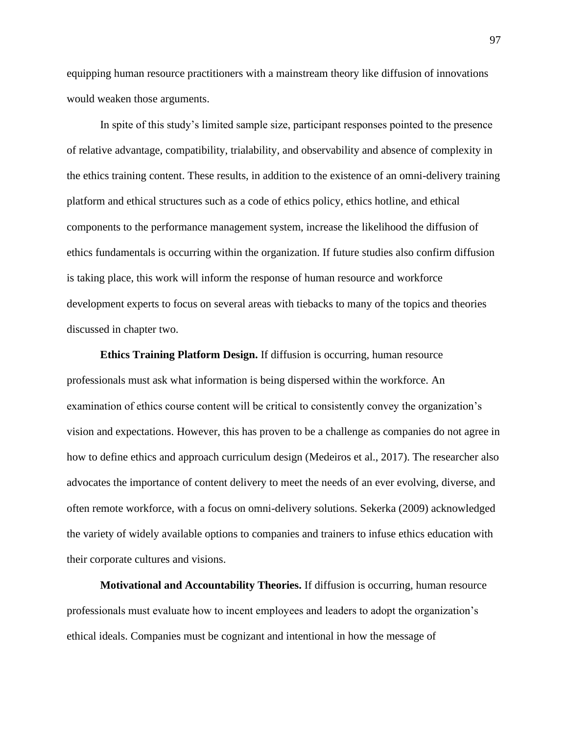equipping human resource practitioners with a mainstream theory like diffusion of innovations would weaken those arguments.

In spite of this study's limited sample size, participant responses pointed to the presence of relative advantage, compatibility, trialability, and observability and absence of complexity in the ethics training content. These results, in addition to the existence of an omni-delivery training platform and ethical structures such as a code of ethics policy, ethics hotline, and ethical components to the performance management system, increase the likelihood the diffusion of ethics fundamentals is occurring within the organization. If future studies also confirm diffusion is taking place, this work will inform the response of human resource and workforce development experts to focus on several areas with tiebacks to many of the topics and theories discussed in chapter two.

**Ethics Training Platform Design.** If diffusion is occurring, human resource professionals must ask what information is being dispersed within the workforce. An examination of ethics course content will be critical to consistently convey the organization's vision and expectations. However, this has proven to be a challenge as companies do not agree in how to define ethics and approach curriculum design (Medeiros et al., 2017). The researcher also advocates the importance of content delivery to meet the needs of an ever evolving, diverse, and often remote workforce, with a focus on omni-delivery solutions. Sekerka (2009) acknowledged the variety of widely available options to companies and trainers to infuse ethics education with their corporate cultures and visions.

**Motivational and Accountability Theories.** If diffusion is occurring, human resource professionals must evaluate how to incent employees and leaders to adopt the organization's ethical ideals. Companies must be cognizant and intentional in how the message of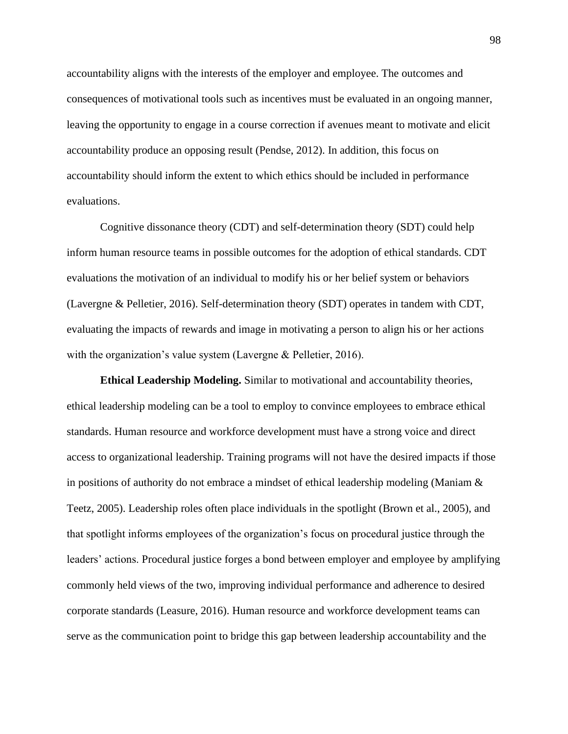accountability aligns with the interests of the employer and employee. The outcomes and consequences of motivational tools such as incentives must be evaluated in an ongoing manner, leaving the opportunity to engage in a course correction if avenues meant to motivate and elicit accountability produce an opposing result (Pendse, 2012). In addition, this focus on accountability should inform the extent to which ethics should be included in performance evaluations.

Cognitive dissonance theory (CDT) and self-determination theory (SDT) could help inform human resource teams in possible outcomes for the adoption of ethical standards. CDT evaluations the motivation of an individual to modify his or her belief system or behaviors (Lavergne & Pelletier, 2016). Self-determination theory (SDT) operates in tandem with CDT, evaluating the impacts of rewards and image in motivating a person to align his or her actions with the organization's value system (Lavergne & Pelletier, 2016).

**Ethical Leadership Modeling.** Similar to motivational and accountability theories, ethical leadership modeling can be a tool to employ to convince employees to embrace ethical standards. Human resource and workforce development must have a strong voice and direct access to organizational leadership. Training programs will not have the desired impacts if those in positions of authority do not embrace a mindset of ethical leadership modeling (Maniam & Teetz, 2005). Leadership roles often place individuals in the spotlight (Brown et al., 2005), and that spotlight informs employees of the organization's focus on procedural justice through the leaders' actions. Procedural justice forges a bond between employer and employee by amplifying commonly held views of the two, improving individual performance and adherence to desired corporate standards (Leasure, 2016). Human resource and workforce development teams can serve as the communication point to bridge this gap between leadership accountability and the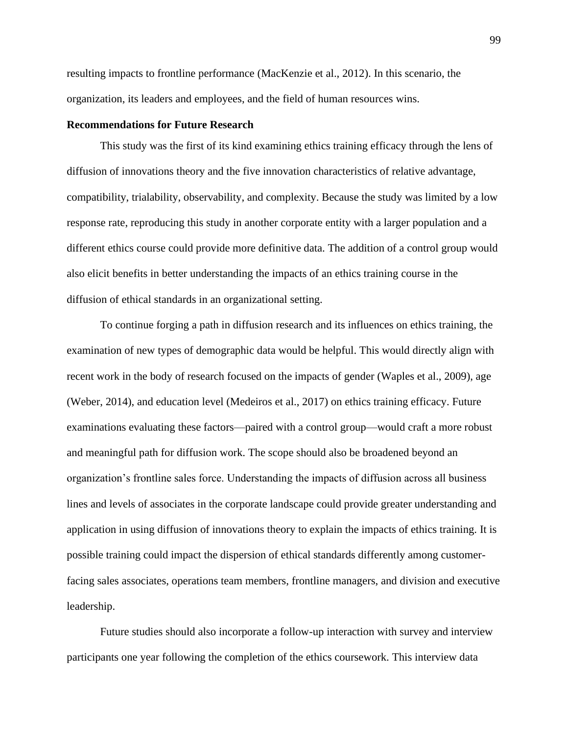resulting impacts to frontline performance (MacKenzie et al., 2012). In this scenario, the organization, its leaders and employees, and the field of human resources wins.

# **Recommendations for Future Research**

This study was the first of its kind examining ethics training efficacy through the lens of diffusion of innovations theory and the five innovation characteristics of relative advantage, compatibility, trialability, observability, and complexity. Because the study was limited by a low response rate, reproducing this study in another corporate entity with a larger population and a different ethics course could provide more definitive data. The addition of a control group would also elicit benefits in better understanding the impacts of an ethics training course in the diffusion of ethical standards in an organizational setting.

To continue forging a path in diffusion research and its influences on ethics training, the examination of new types of demographic data would be helpful. This would directly align with recent work in the body of research focused on the impacts of gender (Waples et al., 2009), age (Weber, 2014), and education level (Medeiros et al., 2017) on ethics training efficacy. Future examinations evaluating these factors—paired with a control group—would craft a more robust and meaningful path for diffusion work. The scope should also be broadened beyond an organization's frontline sales force. Understanding the impacts of diffusion across all business lines and levels of associates in the corporate landscape could provide greater understanding and application in using diffusion of innovations theory to explain the impacts of ethics training. It is possible training could impact the dispersion of ethical standards differently among customerfacing sales associates, operations team members, frontline managers, and division and executive leadership.

Future studies should also incorporate a follow-up interaction with survey and interview participants one year following the completion of the ethics coursework. This interview data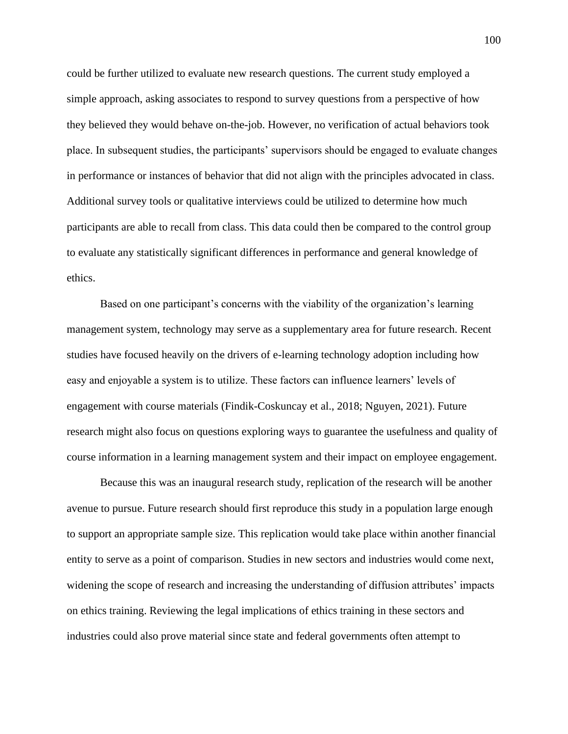could be further utilized to evaluate new research questions. The current study employed a simple approach, asking associates to respond to survey questions from a perspective of how they believed they would behave on-the-job. However, no verification of actual behaviors took place. In subsequent studies, the participants' supervisors should be engaged to evaluate changes in performance or instances of behavior that did not align with the principles advocated in class. Additional survey tools or qualitative interviews could be utilized to determine how much participants are able to recall from class. This data could then be compared to the control group to evaluate any statistically significant differences in performance and general knowledge of ethics.

Based on one participant's concerns with the viability of the organization's learning management system, technology may serve as a supplementary area for future research. Recent studies have focused heavily on the drivers of e-learning technology adoption including how easy and enjoyable a system is to utilize. These factors can influence learners' levels of engagement with course materials (Findik-Coskuncay et al., 2018; Nguyen, 2021). Future research might also focus on questions exploring ways to guarantee the usefulness and quality of course information in a learning management system and their impact on employee engagement.

Because this was an inaugural research study, replication of the research will be another avenue to pursue. Future research should first reproduce this study in a population large enough to support an appropriate sample size. This replication would take place within another financial entity to serve as a point of comparison. Studies in new sectors and industries would come next, widening the scope of research and increasing the understanding of diffusion attributes' impacts on ethics training. Reviewing the legal implications of ethics training in these sectors and industries could also prove material since state and federal governments often attempt to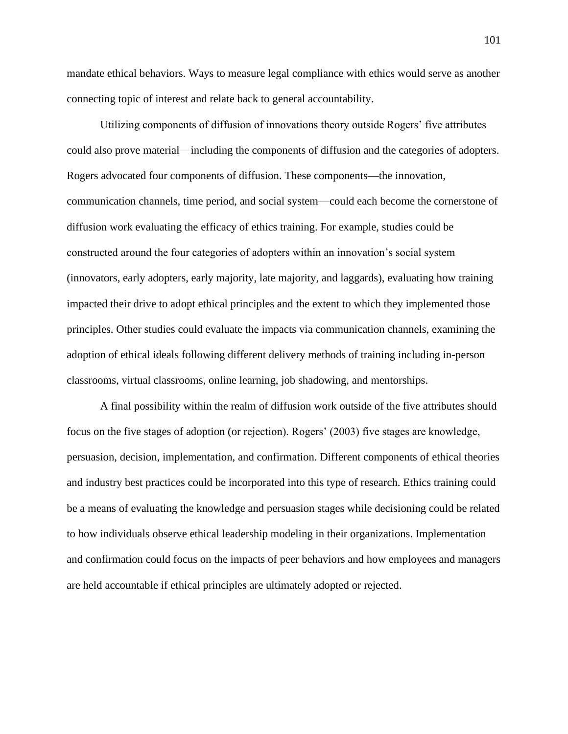mandate ethical behaviors. Ways to measure legal compliance with ethics would serve as another connecting topic of interest and relate back to general accountability.

Utilizing components of diffusion of innovations theory outside Rogers' five attributes could also prove material—including the components of diffusion and the categories of adopters. Rogers advocated four components of diffusion. These components—the innovation, communication channels, time period, and social system—could each become the cornerstone of diffusion work evaluating the efficacy of ethics training. For example, studies could be constructed around the four categories of adopters within an innovation's social system (innovators, early adopters, early majority, late majority, and laggards), evaluating how training impacted their drive to adopt ethical principles and the extent to which they implemented those principles. Other studies could evaluate the impacts via communication channels, examining the adoption of ethical ideals following different delivery methods of training including in-person classrooms, virtual classrooms, online learning, job shadowing, and mentorships.

A final possibility within the realm of diffusion work outside of the five attributes should focus on the five stages of adoption (or rejection). Rogers' (2003) five stages are knowledge, persuasion, decision, implementation, and confirmation. Different components of ethical theories and industry best practices could be incorporated into this type of research. Ethics training could be a means of evaluating the knowledge and persuasion stages while decisioning could be related to how individuals observe ethical leadership modeling in their organizations. Implementation and confirmation could focus on the impacts of peer behaviors and how employees and managers are held accountable if ethical principles are ultimately adopted or rejected.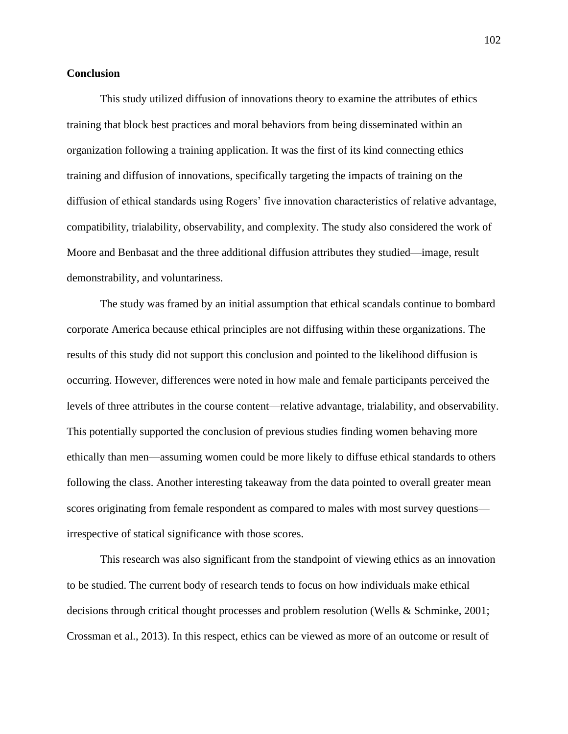### **Conclusion**

This study utilized diffusion of innovations theory to examine the attributes of ethics training that block best practices and moral behaviors from being disseminated within an organization following a training application. It was the first of its kind connecting ethics training and diffusion of innovations, specifically targeting the impacts of training on the diffusion of ethical standards using Rogers' five innovation characteristics of relative advantage, compatibility, trialability, observability, and complexity. The study also considered the work of Moore and Benbasat and the three additional diffusion attributes they studied—image, result demonstrability, and voluntariness.

The study was framed by an initial assumption that ethical scandals continue to bombard corporate America because ethical principles are not diffusing within these organizations. The results of this study did not support this conclusion and pointed to the likelihood diffusion is occurring. However, differences were noted in how male and female participants perceived the levels of three attributes in the course content—relative advantage, trialability, and observability. This potentially supported the conclusion of previous studies finding women behaving more ethically than men—assuming women could be more likely to diffuse ethical standards to others following the class. Another interesting takeaway from the data pointed to overall greater mean scores originating from female respondent as compared to males with most survey questions irrespective of statical significance with those scores.

This research was also significant from the standpoint of viewing ethics as an innovation to be studied. The current body of research tends to focus on how individuals make ethical decisions through critical thought processes and problem resolution (Wells & Schminke, 2001; Crossman et al., 2013). In this respect, ethics can be viewed as more of an outcome or result of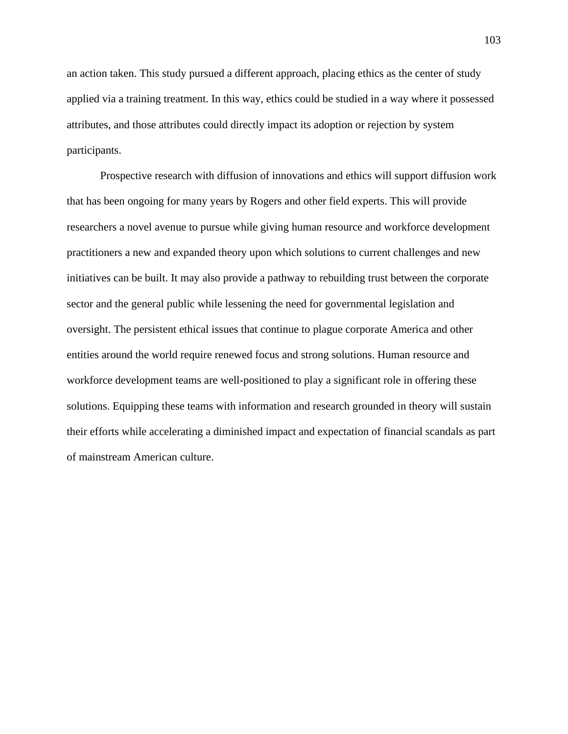an action taken. This study pursued a different approach, placing ethics as the center of study applied via a training treatment. In this way, ethics could be studied in a way where it possessed attributes, and those attributes could directly impact its adoption or rejection by system participants.

Prospective research with diffusion of innovations and ethics will support diffusion work that has been ongoing for many years by Rogers and other field experts. This will provide researchers a novel avenue to pursue while giving human resource and workforce development practitioners a new and expanded theory upon which solutions to current challenges and new initiatives can be built. It may also provide a pathway to rebuilding trust between the corporate sector and the general public while lessening the need for governmental legislation and oversight. The persistent ethical issues that continue to plague corporate America and other entities around the world require renewed focus and strong solutions. Human resource and workforce development teams are well-positioned to play a significant role in offering these solutions. Equipping these teams with information and research grounded in theory will sustain their efforts while accelerating a diminished impact and expectation of financial scandals as part of mainstream American culture.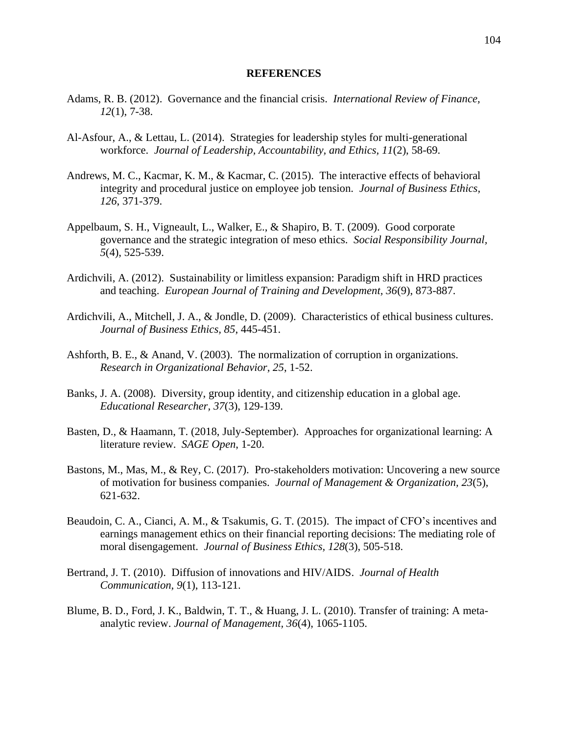#### **REFERENCES**

- Adams, R. B. (2012). Governance and the financial crisis. *International Review of Finance, 12*(1), 7-38.
- Al-Asfour, A., & Lettau, L. (2014). Strategies for leadership styles for multi-generational workforce. *Journal of Leadership, Accountability, and Ethics, 11*(2), 58-69.
- Andrews, M. C., Kacmar, K. M., & Kacmar, C. (2015). The interactive effects of behavioral integrity and procedural justice on employee job tension. *Journal of Business Ethics, 126*, 371-379.
- Appelbaum, S. H., Vigneault, L., Walker, E., & Shapiro, B. T. (2009). Good corporate governance and the strategic integration of meso ethics. *Social Responsibility Journal, 5*(4), 525-539.
- Ardichvili, A. (2012). Sustainability or limitless expansion: Paradigm shift in HRD practices and teaching. *European Journal of Training and Development, 36*(9), 873-887.
- Ardichvili, A., Mitchell, J. A., & Jondle, D. (2009). Characteristics of ethical business cultures. *Journal of Business Ethics, 85*, 445-451.
- Ashforth, B. E., & Anand, V. (2003). The normalization of corruption in organizations. *Research in Organizational Behavior, 25*, 1-52.
- Banks, J. A. (2008). Diversity, group identity, and citizenship education in a global age. *Educational Researcher, 37*(3), 129-139.
- Basten, D., & Haamann, T. (2018, July-September). Approaches for organizational learning: A literature review. *SAGE Open*, 1-20.
- Bastons, M., Mas, M., & Rey, C. (2017). Pro-stakeholders motivation: Uncovering a new source of motivation for business companies. *Journal of Management & Organization, 23*(5), 621-632.
- Beaudoin, C. A., Cianci, A. M., & Tsakumis, G. T. (2015). The impact of CFO's incentives and earnings management ethics on their financial reporting decisions: The mediating role of moral disengagement. *Journal of Business Ethics, 128*(3), 505-518.
- Bertrand, J. T. (2010). Diffusion of innovations and HIV/AIDS. *Journal of Health Communication, 9*(1), 113-121.
- Blume, B. D., Ford, J. K., Baldwin, T. T., & Huang, J. L. (2010). Transfer of training: A metaanalytic review. *Journal of Management, 36*(4), 1065-1105.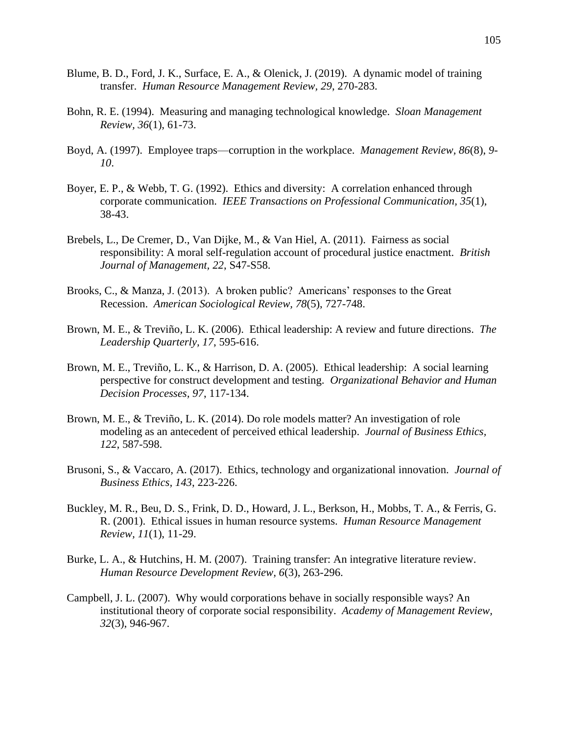- Blume, B. D., Ford, J. K., Surface, E. A., & Olenick, J. (2019). A dynamic model of training transfer. *Human Resource Management Review, 29*, 270-283.
- Bohn, R. E. (1994). Measuring and managing technological knowledge. *Sloan Management Review, 36*(1), 61-73.
- Boyd, A. (1997). Employee traps—corruption in the workplace. *Management Review, 86*(8), *9- 10*.
- Boyer, E. P., & Webb, T. G. (1992). Ethics and diversity: A correlation enhanced through corporate communication. *IEEE Transactions on Professional Communication, 35*(1), 38-43.
- Brebels, L., De Cremer, D., Van Dijke, M., & Van Hiel, A. (2011). Fairness as social responsibility: A moral self-regulation account of procedural justice enactment. *British Journal of Management, 22*, S47-S58.
- Brooks, C., & Manza, J. (2013). A broken public? Americans' responses to the Great Recession. *American Sociological Review, 78*(5), 727-748.
- Brown, M. E., & Treviño, L. K. (2006). Ethical leadership: A review and future directions. *The Leadership Quarterly, 17*, 595-616.
- Brown, M. E., Treviño, L. K., & Harrison, D. A. (2005). Ethical leadership: A social learning perspective for construct development and testing. *Organizational Behavior and Human Decision Processes, 97*, 117-134.
- Brown, M. E., & Treviño, L. K. (2014). Do role models matter? An investigation of role modeling as an antecedent of perceived ethical leadership. *Journal of Business Ethics, 122*, 587-598.
- Brusoni, S., & Vaccaro, A. (2017). Ethics, technology and organizational innovation. *Journal of Business Ethics, 143*, 223-226.
- Buckley, M. R., Beu, D. S., Frink, D. D., Howard, J. L., Berkson, H., Mobbs, T. A., & Ferris, G. R. (2001). Ethical issues in human resource systems. *Human Resource Management Review, 11*(1), 11-29.
- Burke, L. A., & Hutchins, H. M. (2007). Training transfer: An integrative literature review. *Human Resource Development Review, 6*(3), 263-296.
- Campbell, J. L. (2007). Why would corporations behave in socially responsible ways? An institutional theory of corporate social responsibility. *Academy of Management Review, 32*(3), 946-967.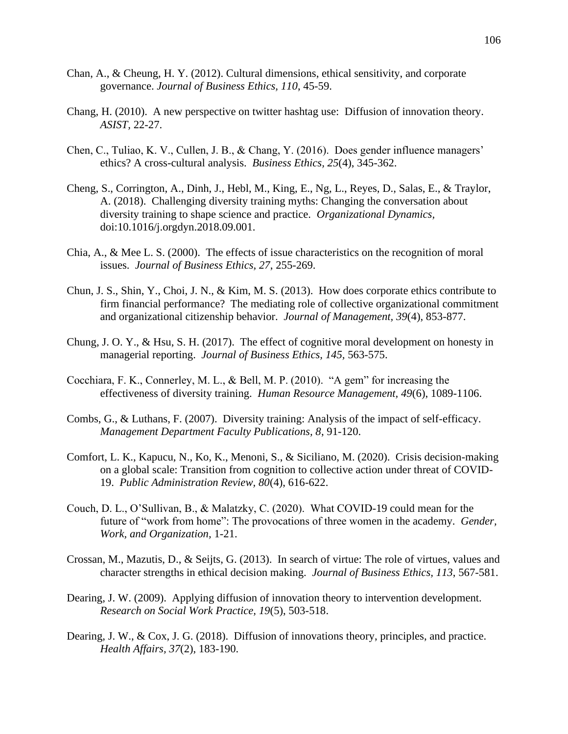- Chan, A., & Cheung, H. Y. (2012). Cultural dimensions, ethical sensitivity, and corporate governance. *Journal of Business Ethics, 110*, 45-59.
- Chang, H. (2010). A new perspective on twitter hashtag use: Diffusion of innovation theory. *ASIST,* 22-27.
- Chen, C., Tuliao, K. V., Cullen, J. B., & Chang, Y. (2016). Does gender influence managers' ethics? A cross-cultural analysis. *Business Ethics, 25*(4), 345-362.
- Cheng, S., Corrington, A., Dinh, J., Hebl, M., King, E., Ng, L., Reyes, D., Salas, E., & Traylor, A. (2018). Challenging diversity training myths: Changing the conversation about diversity training to shape science and practice. *Organizational Dynamics,*  doi:10.1016/j.orgdyn.2018.09.001.
- Chia, A., & Mee L. S. (2000). The effects of issue characteristics on the recognition of moral issues. *Journal of Business Ethics, 27*, 255-269.
- Chun, J. S., Shin, Y., Choi, J. N., & Kim, M. S. (2013). How does corporate ethics contribute to firm financial performance? The mediating role of collective organizational commitment and organizational citizenship behavior. *Journal of Management, 39*(4), 853-877.
- Chung, J. O. Y., & Hsu, S. H. (2017). The effect of cognitive moral development on honesty in managerial reporting. *Journal of Business Ethics, 145,* 563-575.
- Cocchiara, F. K., Connerley, M. L., & Bell, M. P. (2010). "A gem" for increasing the effectiveness of diversity training. *Human Resource Management, 49*(6), 1089-1106.
- Combs, G., & Luthans, F. (2007). Diversity training: Analysis of the impact of self-efficacy. *Management Department Faculty Publications, 8*, 91-120.
- Comfort, L. K., Kapucu, N., Ko, K., Menoni, S., & Siciliano, M. (2020). Crisis decision-making on a global scale: Transition from cognition to collective action under threat of COVID-19. *Public Administration Review, 80*(4), 616-622.
- Couch, D. L., O'Sullivan, B., & Malatzky, C. (2020). What COVID-19 could mean for the future of "work from home": The provocations of three women in the academy. *Gender, Work, and Organization,* 1-21.
- Crossan, M., Mazutis, D., & Seijts, G. (2013). In search of virtue: The role of virtues, values and character strengths in ethical decision making. *Journal of Business Ethics, 113*, 567-581.
- Dearing, J. W. (2009). Applying diffusion of innovation theory to intervention development. *Research on Social Work Practice, 19*(5), 503-518.
- Dearing, J. W., & Cox, J. G. (2018). Diffusion of innovations theory, principles, and practice. *Health Affairs, 37*(2), 183-190.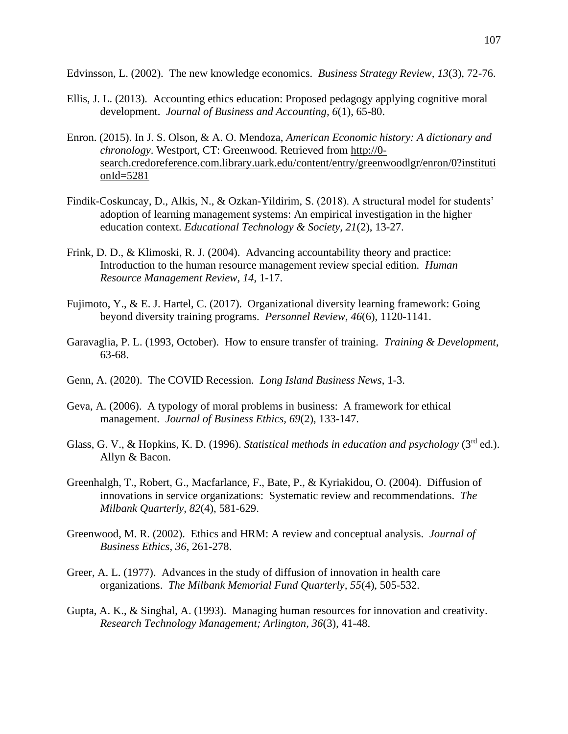Edvinsson, L. (2002). The new knowledge economics. *Business Strategy Review, 13*(3), 72-76.

- Ellis, J. L. (2013). Accounting ethics education: Proposed pedagogy applying cognitive moral development. *Journal of Business and Accounting, 6*(1), 65-80.
- Enron. (2015). In J. S. Olson, & A. O. Mendoza, *American Economic history: A dictionary and chronology*. Westport, CT: Greenwood. Retrieved from [http://0](http://0-search.credoreference.com.library.uark.edu/content/entry/greenwoodlgr/enron/0?institutionId=5281) search.credoreference.com.library.uark.edu/content/entry/greenwoodlgr/enron/0?instituti [onId=5281](http://0-search.credoreference.com.library.uark.edu/content/entry/greenwoodlgr/enron/0?institutionId=5281)
- Findik-Coskuncay, D., Alkis, N., & Ozkan-Yildirim, S. (2018). A structural model for students' adoption of learning management systems: An empirical investigation in the higher education context. *Educational Technology & Society, 21*(2), 13-27.
- Frink, D. D., & Klimoski, R. J. (2004). Advancing accountability theory and practice: Introduction to the human resource management review special edition. *Human Resource Management Review, 14*, 1-17.
- Fujimoto, Y., & E. J. Hartel, C. (2017). Organizational diversity learning framework: Going beyond diversity training programs. *Personnel Review, 46*(6), 1120-1141.
- Garavaglia, P. L. (1993, October). How to ensure transfer of training. *Training & Development*, 63-68.
- Genn, A. (2020). The COVID Recession. *Long Island Business News*, 1-3.
- Geva, A. (2006). A typology of moral problems in business: A framework for ethical management. *Journal of Business Ethics, 69*(2), 133-147.
- Glass, G. V., & Hopkins, K. D. (1996). *Statistical methods in education and psychology* (3<sup>rd</sup> ed.). Allyn & Bacon.
- Greenhalgh, T., Robert, G., Macfarlance, F., Bate, P., & Kyriakidou, O. (2004). Diffusion of innovations in service organizations: Systematic review and recommendations. *The Milbank Quarterly, 82*(4), 581-629.
- Greenwood, M. R. (2002). Ethics and HRM: A review and conceptual analysis. *Journal of Business Ethics, 36*, 261-278.
- Greer, A. L. (1977). Advances in the study of diffusion of innovation in health care organizations. *The Milbank Memorial Fund Quarterly, 55*(4), 505-532.
- Gupta, A. K., & Singhal, A. (1993). Managing human resources for innovation and creativity. *Research Technology Management; Arlington, 36*(3), 41-48.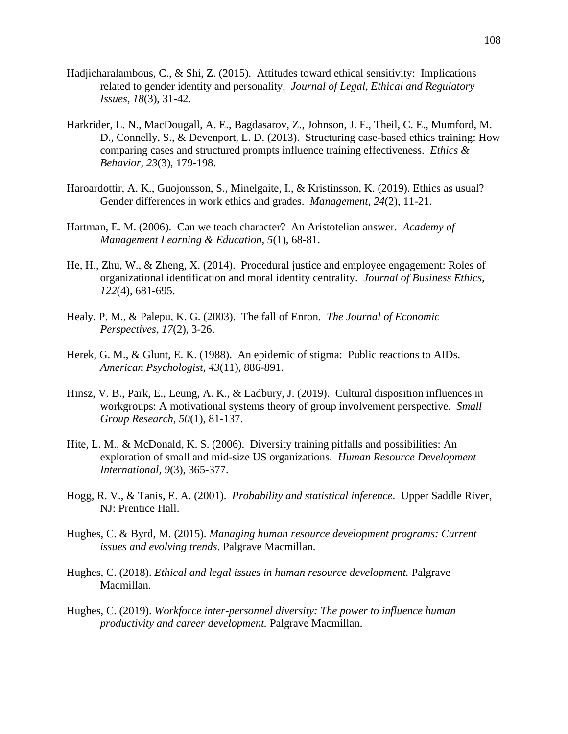- Hadjicharalambous, C., & Shi, Z. (2015). Attitudes toward ethical sensitivity: Implications related to gender identity and personality. *Journal of Legal, Ethical and Regulatory Issues, 18*(3), 31-42.
- Harkrider, L. N., MacDougall, A. E., Bagdasarov, Z., Johnson, J. F., Theil, C. E., Mumford, M. D., Connelly, S., & Devenport, L. D. (2013). Structuring case-based ethics training: How comparing cases and structured prompts influence training effectiveness. *Ethics & Behavior, 23*(3), 179-198.
- Haroardottir, A. K., Guojonsson, S., Minelgaite, I., & Kristinsson, K. (2019). Ethics as usual? Gender differences in work ethics and grades. *Management, 24*(2), 11-21.
- Hartman, E. M. (2006). Can we teach character? An Aristotelian answer. *Academy of Management Learning & Education, 5*(1), 68-81.
- He, H., Zhu, W., & Zheng, X. (2014). Procedural justice and employee engagement: Roles of organizational identification and moral identity centrality. *Journal of Business Ethics, 122*(4), 681-695.
- Healy, P. M., & Palepu, K. G. (2003). The fall of Enron. *The Journal of Economic Perspectives, 17*(2), 3-26.
- Herek, G. M., & Glunt, E. K. (1988). An epidemic of stigma: Public reactions to AIDs. *American Psychologist, 43*(11), 886-891.
- Hinsz, V. B., Park, E., Leung, A. K., & Ladbury, J. (2019). Cultural disposition influences in workgroups: A motivational systems theory of group involvement perspective. *Small Group Research, 50*(1), 81-137.
- Hite, L. M., & McDonald, K. S. (2006). Diversity training pitfalls and possibilities: An exploration of small and mid-size US organizations. *Human Resource Development International, 9*(3), 365-377.
- Hogg, R. V., & Tanis, E. A. (2001). *Probability and statistical inference*. Upper Saddle River, NJ: Prentice Hall.
- Hughes, C. & Byrd, M. (2015). *Managing human resource development programs: Current issues and evolving trends*. Palgrave Macmillan.
- Hughes, C. (2018). *Ethical and legal issues in human resource development.* Palgrave Macmillan.
- Hughes, C. (2019). *Workforce inter-personnel diversity: The power to influence human productivity and career development.* Palgrave Macmillan.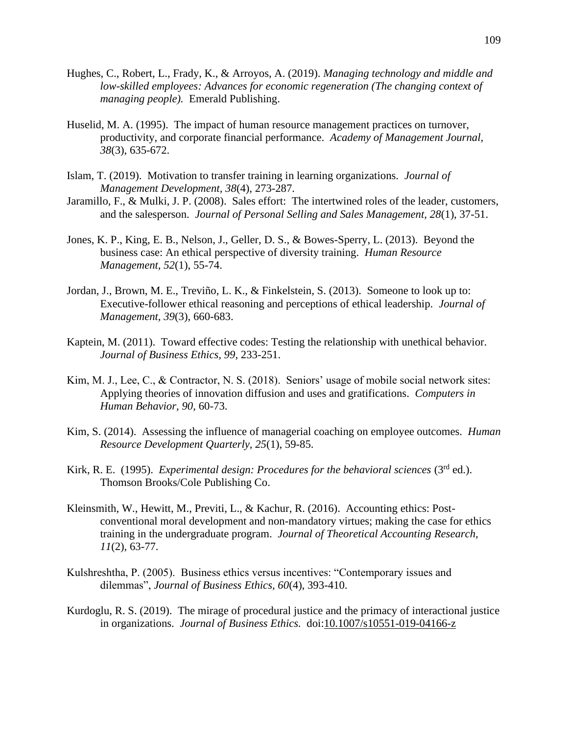- Hughes, C., Robert, L., Frady, K., & Arroyos, A. (2019). *Managing technology and middle and low-skilled employees: Advances for economic regeneration (The changing context of managing people).* Emerald Publishing.
- Huselid, M. A. (1995). The impact of human resource management practices on turnover, productivity, and corporate financial performance. *Academy of Management Journal, 38*(3), 635-672.
- Islam, T. (2019). Motivation to transfer training in learning organizations. *Journal of Management Development, 38*(4), 273-287.
- Jaramillo, F., & Mulki, J. P. (2008). Sales effort: The intertwined roles of the leader, customers, and the salesperson. *Journal of Personal Selling and Sales Management, 28*(1), 37-51.
- Jones, K. P., King, E. B., Nelson, J., Geller, D. S., & Bowes-Sperry, L. (2013). Beyond the business case: An ethical perspective of diversity training. *Human Resource Management, 52*(1), 55-74.
- Jordan, J., Brown, M. E., Treviño, L. K., & Finkelstein, S. (2013). Someone to look up to: Executive-follower ethical reasoning and perceptions of ethical leadership. *Journal of Management, 39*(3), 660-683.
- Kaptein, M. (2011). Toward effective codes: Testing the relationship with unethical behavior. *Journal of Business Ethics, 99*, 233-251.
- Kim, M. J., Lee, C., & Contractor, N. S. (2018). Seniors' usage of mobile social network sites: Applying theories of innovation diffusion and uses and gratifications. *Computers in Human Behavior, 90*, 60-73.
- Kim, S. (2014). Assessing the influence of managerial coaching on employee outcomes. *Human Resource Development Quarterly, 25*(1), 59-85.
- Kirk, R. E. (1995). *Experimental design: Procedures for the behavioral sciences* (3<sup>rd</sup> ed.). Thomson Brooks/Cole Publishing Co.
- Kleinsmith, W., Hewitt, M., Previti, L., & Kachur, R. (2016). Accounting ethics: Postconventional moral development and non-mandatory virtues; making the case for ethics training in the undergraduate program. *Journal of Theoretical Accounting Research, 11*(2), 63-77.
- Kulshreshtha, P. (2005). Business ethics versus incentives: "Contemporary issues and dilemmas", *Journal of Business Ethics, 60*(4), 393-410.
- Kurdoglu, R. S. (2019). The mirage of procedural justice and the primacy of interactional justice in organizations. *Journal of Business Ethics.* doi:10.1007/s10551-019-04166-z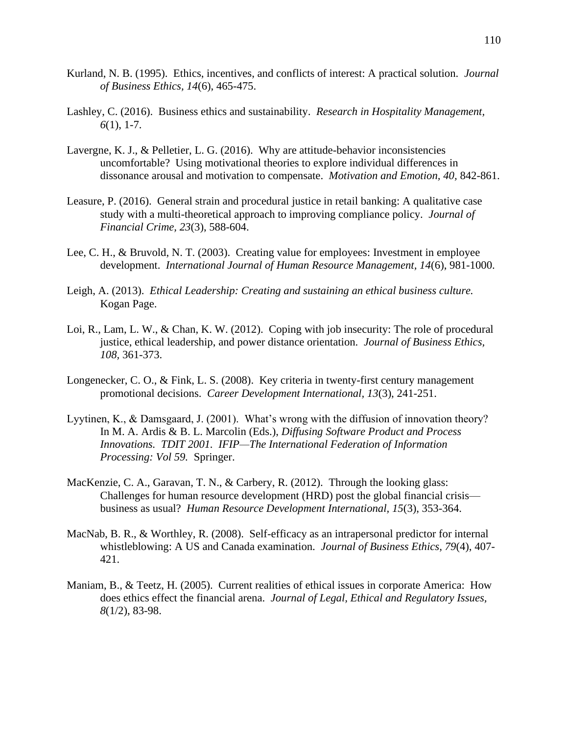- Kurland, N. B. (1995). Ethics, incentives, and conflicts of interest: A practical solution. *Journal of Business Ethics, 14*(6), 465-475.
- Lashley, C. (2016). Business ethics and sustainability. *Research in Hospitality Management, 6*(1), 1-7.
- Lavergne, K. J., & Pelletier, L. G. (2016). Why are attitude-behavior inconsistencies uncomfortable? Using motivational theories to explore individual differences in dissonance arousal and motivation to compensate. *Motivation and Emotion, 40,* 842-861.
- Leasure, P. (2016). General strain and procedural justice in retail banking: A qualitative case study with a multi-theoretical approach to improving compliance policy. *Journal of Financial Crime, 23*(3), 588-604.
- Lee, C. H., & Bruvold, N. T. (2003). Creating value for employees: Investment in employee development. *International Journal of Human Resource Management, 14*(6), 981-1000.
- Leigh, A. (2013). *Ethical Leadership: Creating and sustaining an ethical business culture.* Kogan Page.
- Loi, R., Lam, L. W., & Chan, K. W. (2012). Coping with job insecurity: The role of procedural justice, ethical leadership, and power distance orientation. *Journal of Business Ethics, 108,* 361-373.
- Longenecker, C. O., & Fink, L. S. (2008). Key criteria in twenty-first century management promotional decisions. *Career Development International, 13*(3), 241-251.
- Lyytinen, K., & Damsgaard, J. (2001). What's wrong with the diffusion of innovation theory? In M. A. Ardis & B. L. Marcolin (Eds.), *Diffusing Software Product and Process Innovations. TDIT 2001. IFIP—The International Federation of Information Processing: Vol 59.* Springer.
- MacKenzie, C. A., Garavan, T. N., & Carbery, R. (2012). Through the looking glass: Challenges for human resource development (HRD) post the global financial crisis business as usual? *Human Resource Development International, 15*(3), 353-364.
- MacNab, B. R., & Worthley, R. (2008). Self-efficacy as an intrapersonal predictor for internal whistleblowing: A US and Canada examination. *Journal of Business Ethics, 79*(4), 407- 421.
- Maniam, B., & Teetz, H. (2005). Current realities of ethical issues in corporate America: How does ethics effect the financial arena. *Journal of Legal, Ethical and Regulatory Issues, 8*(1/2), 83-98.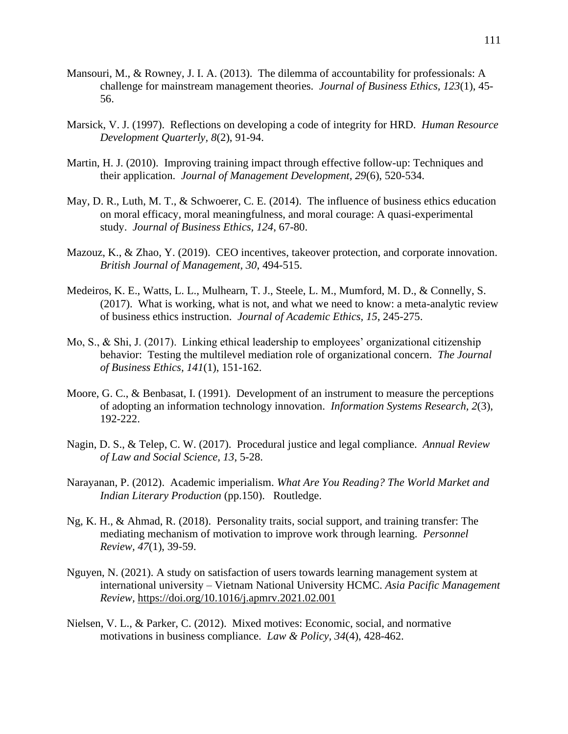- Mansouri, M., & Rowney, J. I. A. (2013). The dilemma of accountability for professionals: A challenge for mainstream management theories. *Journal of Business Ethics, 123*(1), 45- 56.
- Marsick, V. J. (1997). Reflections on developing a code of integrity for HRD. *Human Resource Development Quarterly, 8*(2), 91-94.
- Martin, H. J. (2010). Improving training impact through effective follow-up: Techniques and their application. *Journal of Management Development, 29*(6), 520-534.
- May, D. R., Luth, M. T., & Schwoerer, C. E. (2014). The influence of business ethics education on moral efficacy, moral meaningfulness, and moral courage: A quasi-experimental study. *Journal of Business Ethics, 124*, 67-80.
- Mazouz, K., & Zhao, Y. (2019). CEO incentives, takeover protection, and corporate innovation. *British Journal of Management, 30*, 494-515.
- Medeiros, K. E., Watts, L. L., Mulhearn, T. J., Steele, L. M., Mumford, M. D., & Connelly, S. (2017). What is working, what is not, and what we need to know: a meta-analytic review of business ethics instruction. *Journal of Academic Ethics, 15*, 245-275.
- Mo, S., & Shi, J. (2017). Linking ethical leadership to employees' organizational citizenship behavior: Testing the multilevel mediation role of organizational concern. *The Journal of Business Ethics, 141*(1), 151-162.
- Moore, G. C., & Benbasat, I. (1991). Development of an instrument to measure the perceptions of adopting an information technology innovation. *Information Systems Research, 2*(3), 192-222.
- Nagin, D. S., & Telep, C. W. (2017). Procedural justice and legal compliance. *Annual Review of Law and Social Science, 13*, 5-28.
- Narayanan, P. (2012). Academic imperialism. *What Are You Reading? The World Market and Indian Literary Production* (pp.150). Routledge.
- Ng, K. H., & Ahmad, R. (2018). Personality traits, social support, and training transfer: The mediating mechanism of motivation to improve work through learning. *Personnel Review, 47*(1), 39-59.
- Nguyen, N. (2021). A study on satisfaction of users towards learning management system at international university – Vietnam National University HCMC. *Asia Pacific Management Review,* https://doi.org/10.1016/j.apmrv.2021.02.001
- Nielsen, V. L., & Parker, C. (2012). Mixed motives: Economic, social, and normative motivations in business compliance. *Law & Policy, 34*(4), 428-462.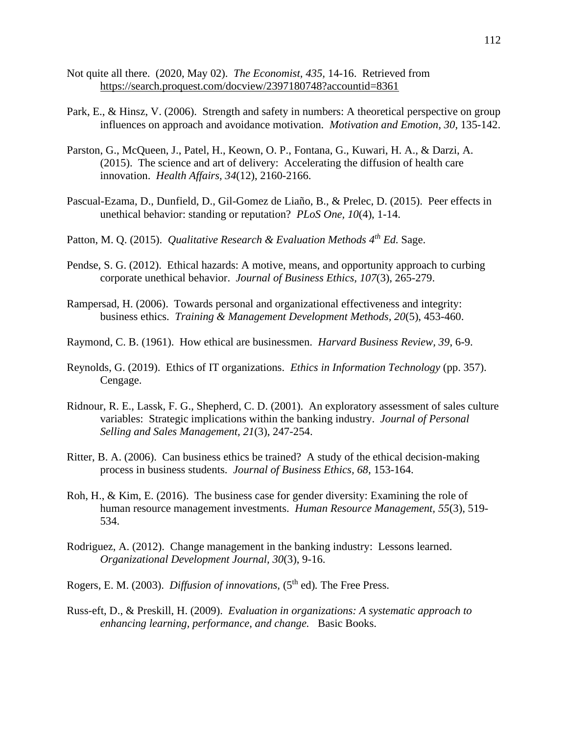- Not quite all there. (2020, May 02). *The Economist, 435,* 14-16. Retrieved from https://search.proquest.com/docview/2397180748?accountid=8361
- Park, E., & Hinsz, V. (2006). Strength and safety in numbers: A theoretical perspective on group influences on approach and avoidance motivation. *Motivation and Emotion, 30*, 135-142.
- Parston, G., McQueen, J., Patel, H., Keown, O. P., Fontana, G., Kuwari, H. A., & Darzi, A. (2015). The science and art of delivery: Accelerating the diffusion of health care innovation. *Health Affairs, 34*(12), 2160-2166.
- Pascual-Ezama, D., Dunfield, D., Gil-Gomez de Liaño, B., & Prelec, D. (2015). Peer effects in unethical behavior: standing or reputation? *PLoS One, 10*(4), 1-14.
- Patton, M. Q. (2015). *Qualitative Research & Evaluation Methods 4th Ed.* Sage.
- Pendse, S. G. (2012). Ethical hazards: A motive, means, and opportunity approach to curbing corporate unethical behavior. *Journal of Business Ethics, 107*(3), 265-279.
- Rampersad, H. (2006). Towards personal and organizational effectiveness and integrity: business ethics. *Training & Management Development Methods, 20*(5), 453-460.
- Raymond, C. B. (1961). How ethical are businessmen. *Harvard Business Review, 39*, 6-9.
- Reynolds, G. (2019). Ethics of IT organizations. *Ethics in Information Technology* (pp. 357). Cengage.
- Ridnour, R. E., Lassk, F. G., Shepherd, C. D. (2001). An exploratory assessment of sales culture variables: Strategic implications within the banking industry. *Journal of Personal Selling and Sales Management, 21*(3), 247-254.
- Ritter, B. A. (2006). Can business ethics be trained? A study of the ethical decision-making process in business students. *Journal of Business Ethics, 68*, 153-164.
- Roh, H., & Kim, E. (2016). The business case for gender diversity: Examining the role of human resource management investments. *Human Resource Management, 55*(3), 519- 534.
- Rodriguez, A. (2012). Change management in the banking industry: Lessons learned. *Organizational Development Journal, 30*(3), 9-16.
- Rogers, E. M. (2003). *Diffusion of innovations*, (5<sup>th</sup> ed). The Free Press.
- Russ-eft, D., & Preskill, H. (2009). *Evaluation in organizations: A systematic approach to enhancing learning, performance, and change.* Basic Books.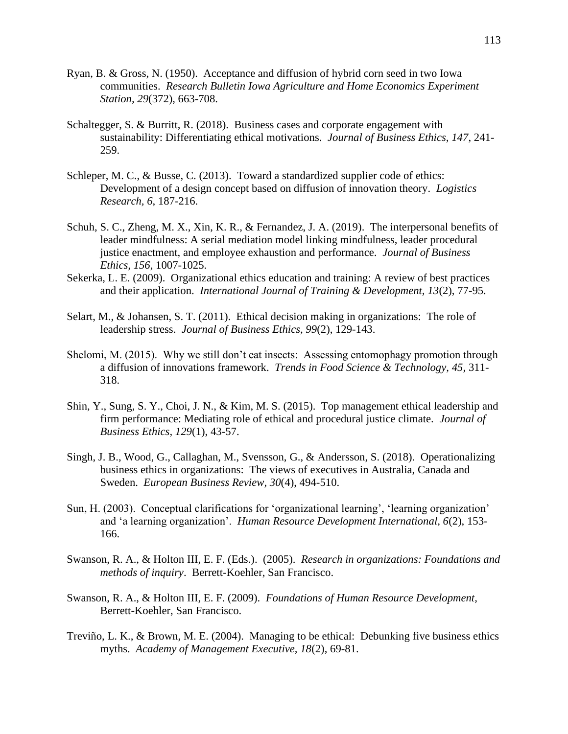- Ryan, B. & Gross, N. (1950). Acceptance and diffusion of hybrid corn seed in two Iowa communities. *Research Bulletin Iowa Agriculture and Home Economics Experiment Station, 29*(372), 663-708.
- Schaltegger, S. & Burritt, R. (2018). Business cases and corporate engagement with sustainability: Differentiating ethical motivations. *Journal of Business Ethics, 147*, 241- 259.
- Schleper, M. C., & Busse, C. (2013). Toward a standardized supplier code of ethics: Development of a design concept based on diffusion of innovation theory. *Logistics Research, 6*, 187-216.
- Schuh, S. C., Zheng, M. X., Xin, K. R., & Fernandez, J. A. (2019). The interpersonal benefits of leader mindfulness: A serial mediation model linking mindfulness, leader procedural justice enactment, and employee exhaustion and performance. *Journal of Business Ethics, 156*, 1007-1025.
- Sekerka, L. E. (2009). Organizational ethics education and training: A review of best practices and their application. *International Journal of Training & Development, 13*(2), 77-95.
- Selart, M., & Johansen, S. T. (2011). Ethical decision making in organizations: The role of leadership stress. *Journal of Business Ethics, 99*(2), 129-143.
- Shelomi, M. (2015). Why we still don't eat insects: Assessing entomophagy promotion through a diffusion of innovations framework. *Trends in Food Science & Technology, 45,* 311- 318.
- Shin, Y., Sung, S. Y., Choi, J. N., & Kim, M. S. (2015). Top management ethical leadership and firm performance: Mediating role of ethical and procedural justice climate. *Journal of Business Ethics, 129*(1), 43-57.
- Singh, J. B., Wood, G., Callaghan, M., Svensson, G., & Andersson, S. (2018). Operationalizing business ethics in organizations: The views of executives in Australia, Canada and Sweden. *European Business Review, 30*(4), 494-510.
- Sun, H. (2003). Conceptual clarifications for 'organizational learning', 'learning organization' and 'a learning organization'. *Human Resource Development International, 6*(2), 153- 166.
- Swanson, R. A., & Holton III, E. F. (Eds.). (2005). *Research in organizations: Foundations and methods of inquiry*. Berrett-Koehler, San Francisco.
- Swanson, R. A., & Holton III, E. F. (2009). *Foundations of Human Resource Development,*  Berrett-Koehler, San Francisco.
- Treviño, L. K., & Brown, M. E. (2004). Managing to be ethical: Debunking five business ethics myths. *Academy of Management Executive, 18*(2), 69-81.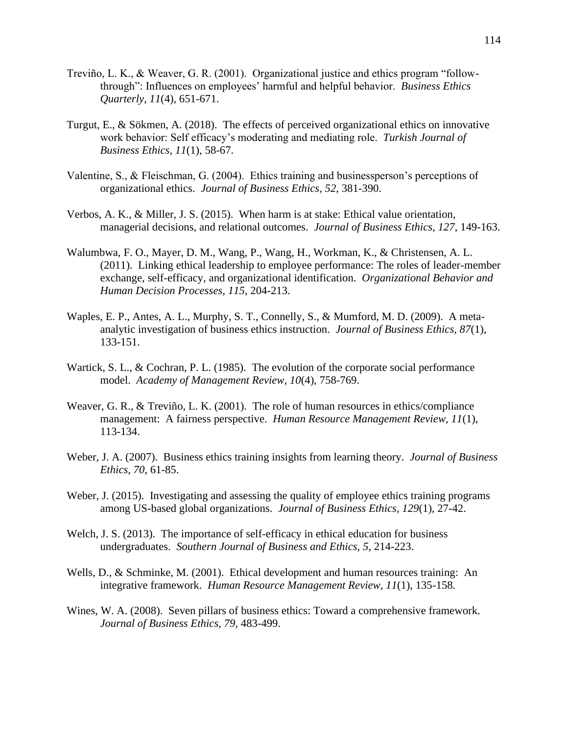- Treviño, L. K., & Weaver, G. R. (2001). Organizational justice and ethics program "followthrough": Influences on employees' harmful and helpful behavior. *Business Ethics Quarterly, 11*(4), 651-671.
- Turgut, E., & Sökmen, A. (2018). The effects of perceived organizational ethics on innovative work behavior: Self efficacy's moderating and mediating role. *Turkish Journal of Business Ethics, 11*(1), 58-67.
- Valentine, S., & Fleischman, G. (2004). Ethics training and businessperson's perceptions of organizational ethics. *Journal of Business Ethics, 52*, 381-390.
- Verbos, A. K., & Miller, J. S. (2015). When harm is at stake: Ethical value orientation, managerial decisions, and relational outcomes. *Journal of Business Ethics, 127*, 149-163.
- Walumbwa, F. O., Mayer, D. M., Wang, P., Wang, H., Workman, K., & Christensen, A. L. (2011). Linking ethical leadership to employee performance: The roles of leader-member exchange, self-efficacy, and organizational identification. *Organizational Behavior and Human Decision Processes, 115*, 204-213.
- Waples, E. P., Antes, A. L., Murphy, S. T., Connelly, S., & Mumford, M. D. (2009). A metaanalytic investigation of business ethics instruction. *Journal of Business Ethics, 87*(1), 133-151.
- Wartick, S. L., & Cochran, P. L. (1985). The evolution of the corporate social performance model. *Academy of Management Review, 10*(4), 758-769.
- Weaver, G. R., & Treviño, L. K. (2001). The role of human resources in ethics/compliance management: A fairness perspective. *Human Resource Management Review, 11*(1), 113-134.
- Weber, J. A. (2007). Business ethics training insights from learning theory. *Journal of Business Ethics, 70*, 61-85.
- Weber, J. (2015). Investigating and assessing the quality of employee ethics training programs among US-based global organizations. *Journal of Business Ethics, 129*(1), 27-42.
- Welch, J. S. (2013). The importance of self-efficacy in ethical education for business undergraduates. *Southern Journal of Business and Ethics, 5*, 214-223.
- Wells, D., & Schminke, M. (2001). Ethical development and human resources training: An integrative framework. *Human Resource Management Review, 11*(1), 135-158.
- Wines, W. A. (2008). Seven pillars of business ethics: Toward a comprehensive framework. *Journal of Business Ethics, 79,* 483-499.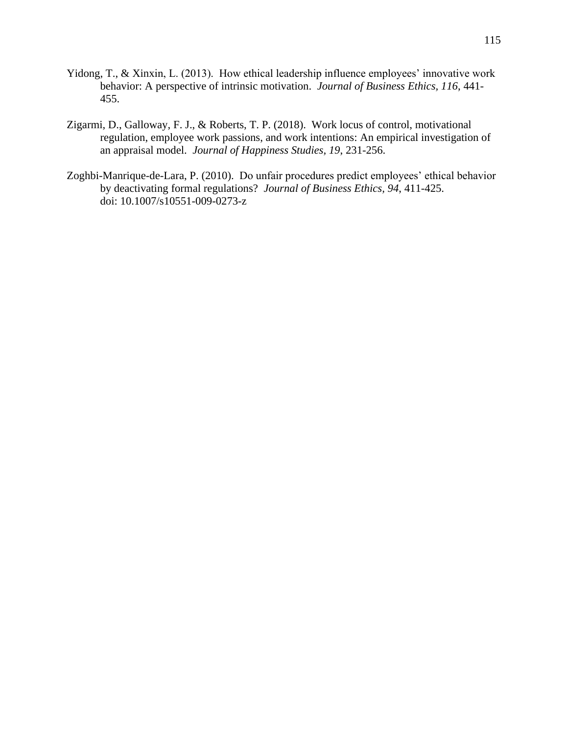- Yidong, T., & Xinxin, L. (2013). How ethical leadership influence employees' innovative work behavior: A perspective of intrinsic motivation. *Journal of Business Ethics, 116*, 441- 455.
- Zigarmi, D., Galloway, F. J., & Roberts, T. P. (2018). Work locus of control, motivational regulation, employee work passions, and work intentions: An empirical investigation of an appraisal model. *Journal of Happiness Studies, 19*, 231-256.
- Zoghbi-Manrique-de-Lara, P. (2010). Do unfair procedures predict employees' ethical behavior by deactivating formal regulations? *Journal of Business Ethics, 94*, 411-425. doi: 10.1007/s10551-009-0273-z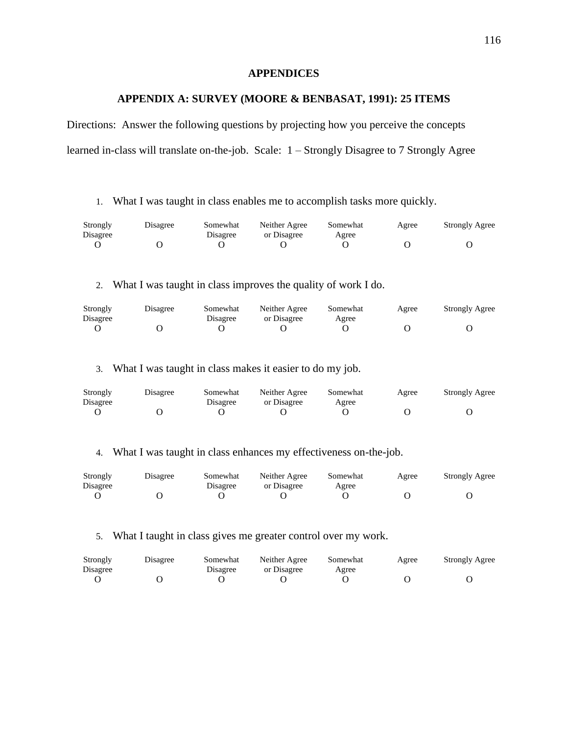### **APPENDICES**

### **APPENDIX A: SURVEY (MOORE & BENBASAT, 1991): 25 ITEMS**

Directions: Answer the following questions by projecting how you perceive the concepts learned in-class will translate on-the-job. Scale: 1 – Strongly Disagree to 7 Strongly Agree

1. What I was taught in class enables me to accomplish tasks more quickly.

| Strongly<br>Disagree | Disagree | Somewhat<br>Disagree | Neither Agree<br>or Disagree | Somewhat<br>Agree | Agree | <b>Strongly Agree</b> |
|----------------------|----------|----------------------|------------------------------|-------------------|-------|-----------------------|
|                      |          |                      |                              |                   |       |                       |

2. What I was taught in class improves the quality of work I do.

| Strongly<br>Disagree | Disagree | Somewhat<br>Disagree | Neither Agree<br>or Disagree | Somewhat<br>Agree | Agree | <b>Strongly Agree</b> |
|----------------------|----------|----------------------|------------------------------|-------------------|-------|-----------------------|
|                      |          |                      |                              |                   |       |                       |

3. What I was taught in class makes it easier to do my job.

| Strongly | Disagree | Somewhat | Neither Agree | Somewhat | Agree | <b>Strongly Agree</b> |
|----------|----------|----------|---------------|----------|-------|-----------------------|
| Disagree |          | Disagree | or Disagree   | Agree    |       |                       |
|          |          |          |               |          |       |                       |

4. What I was taught in class enhances my effectiveness on-the-job.

| Strongly<br>Disagree | Disagree | Somewhat<br>Disagree | Neither Agree<br>or Disagree | Somewhat<br>Agree | Agree | <b>Strongly Agree</b> |
|----------------------|----------|----------------------|------------------------------|-------------------|-------|-----------------------|
|                      |          |                      |                              |                   |       |                       |

#### 5. What I taught in class gives me greater control over my work.

| Strongly<br>Disagree | Disagree | Somewhat<br>Disagree | Neither Agree<br>or Disagree | Somewhat<br>Agree | Agree | <b>Strongly Agree</b> |
|----------------------|----------|----------------------|------------------------------|-------------------|-------|-----------------------|
|                      |          |                      |                              |                   |       |                       |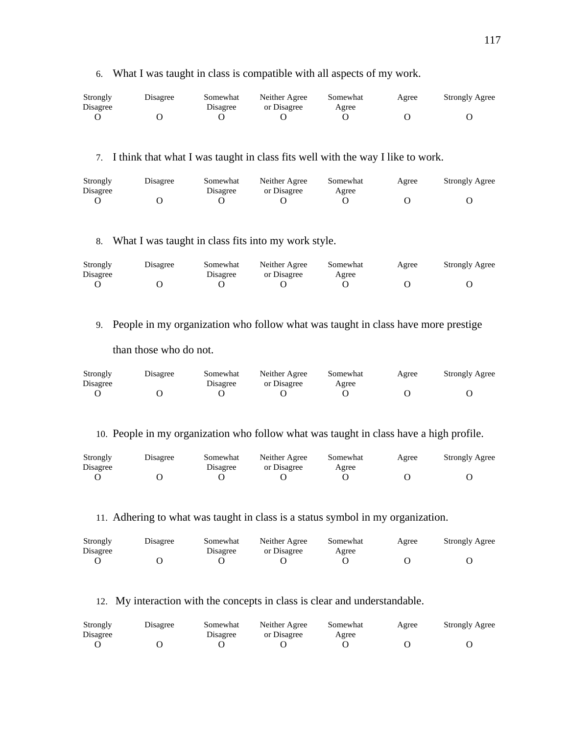| Strongly | Disagree | Somewhat | Neither Agree | Somewhat | Agree | <b>Strongly Agree</b> |
|----------|----------|----------|---------------|----------|-------|-----------------------|
| Disagree |          | Disagree | or Disagree   | Agree    |       |                       |
|          |          |          |               |          |       |                       |

7. I think that what I was taught in class fits well with the way I like to work.

6. What I was taught in class is compatible with all aspects of my work.

| Strongly<br>Disagree | Disagree | Somewhat<br>Disagree | Neither Agree<br>or Disagree | Somewhat<br>Agree | Agree | <b>Strongly Agree</b> |
|----------------------|----------|----------------------|------------------------------|-------------------|-------|-----------------------|
|                      |          |                      |                              |                   |       |                       |

8. What I was taught in class fits into my work style.

| Strongly | Disagree | Somewhat | Neither Agree | Somewhat | Agree | <b>Strongly Agree</b> |
|----------|----------|----------|---------------|----------|-------|-----------------------|
| Disagree |          | Disagree | or Disagree   | Agree    |       |                       |
|          |          |          |               |          |       |                       |

9. People in my organization who follow what was taught in class have more prestige

than those who do not.

| Strongly<br>Disagree | Disagree | Somewhat<br>Disagree | Neither Agree<br>or Disagree | Somewhat<br>Agree | Agree | <b>Strongly Agree</b> |
|----------------------|----------|----------------------|------------------------------|-------------------|-------|-----------------------|
|                      |          |                      |                              |                   |       |                       |

10. People in my organization who follow what was taught in class have a high profile.

| Strongly<br>Disagree | Disagree | Somewhat<br>Disagree | Neither Agree<br>or Disagree | Somewhat<br>Agree | Agree | <b>Strongly Agree</b> |
|----------------------|----------|----------------------|------------------------------|-------------------|-------|-----------------------|
|                      |          |                      |                              |                   |       |                       |

11. Adhering to what was taught in class is a status symbol in my organization.

| Strongly | Disagree | Somewhat | Neither Agree | Somewhat | Agree | <b>Strongly Agree</b> |
|----------|----------|----------|---------------|----------|-------|-----------------------|
| Disagree |          | Disagree | or Disagree   | Agree    |       |                       |
|          |          |          |               |          |       |                       |

12. My interaction with the concepts in class is clear and understandable.

| Strongly<br>Disagree | Disagree | Somewhat<br>Disagree | Neither Agree<br>or Disagree | Somewhat<br>Agree | Agree | <b>Strongly Agree</b> |
|----------------------|----------|----------------------|------------------------------|-------------------|-------|-----------------------|
|                      |          |                      |                              |                   |       |                       |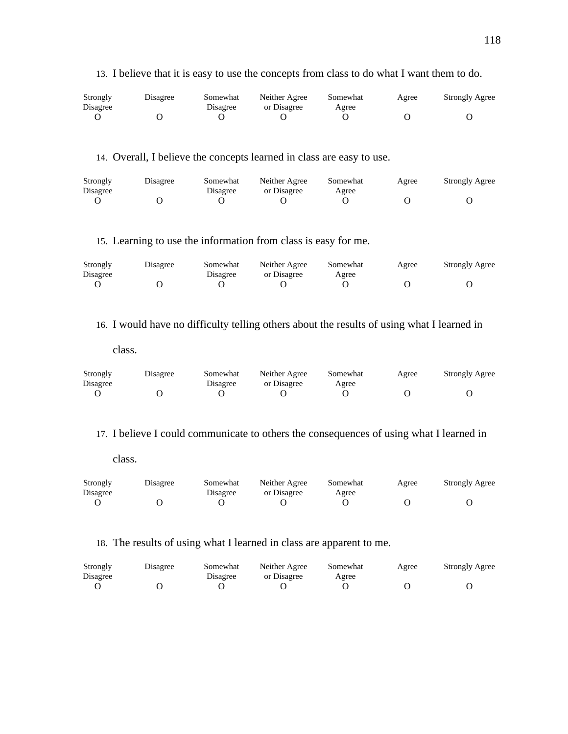| Strongly | Disagree | Somewhat | Neither Agree | Somewhat | Agree | <b>Strongly Agree</b> |
|----------|----------|----------|---------------|----------|-------|-----------------------|
| Disagree |          | Disagree | or Disagree   | Agree    |       |                       |
|          |          |          |               |          |       |                       |

13. I believe that it is easy to use the concepts from class to do what I want them to do.

# 14. Overall, I believe the concepts learned in class are easy to use.

| Strongly<br>Disagree | Disagree | Somewhat<br>Disagree | Neither Agree<br>or Disagree | Somewhat<br>Agree | Agree | <b>Strongly Agree</b> |
|----------------------|----------|----------------------|------------------------------|-------------------|-------|-----------------------|
|                      |          |                      |                              |                   |       |                       |

15. Learning to use the information from class is easy for me.

| Strongly | Disagree | Somewhat | Neither Agree | Somewhat | Agree | <b>Strongly Agree</b> |
|----------|----------|----------|---------------|----------|-------|-----------------------|
| Disagree |          | Disagree | or Disagree   | Agree    |       |                       |
|          |          |          |               |          |       |                       |

16. I would have no difficulty telling others about the results of using what I learned in

class.

| Strongly<br>Disagree | Disagree | Somewhat<br>Disagree | Neither Agree<br>or Disagree | Somewhat<br>Agree | Agree | <b>Strongly Agree</b> |
|----------------------|----------|----------------------|------------------------------|-------------------|-------|-----------------------|
|                      |          |                      |                              |                   |       |                       |

17. I believe I could communicate to others the consequences of using what I learned in

class.

| Strongly<br>Disagree | Disagree | Somewhat<br>Disagree | Neither Agree<br>or Disagree | Somewhat<br>Agree | Agree | <b>Strongly Agree</b> |
|----------------------|----------|----------------------|------------------------------|-------------------|-------|-----------------------|
|                      |          |                      |                              |                   |       |                       |

# 18. The results of using what I learned in class are apparent to me.

| Strongly<br>Disagree | Disagree | Somewhat<br>Disagree | Neither Agree<br>or Disagree | Somewhat<br>Agree | Agree | <b>Strongly Agree</b> |
|----------------------|----------|----------------------|------------------------------|-------------------|-------|-----------------------|
|                      |          |                      |                              |                   |       |                       |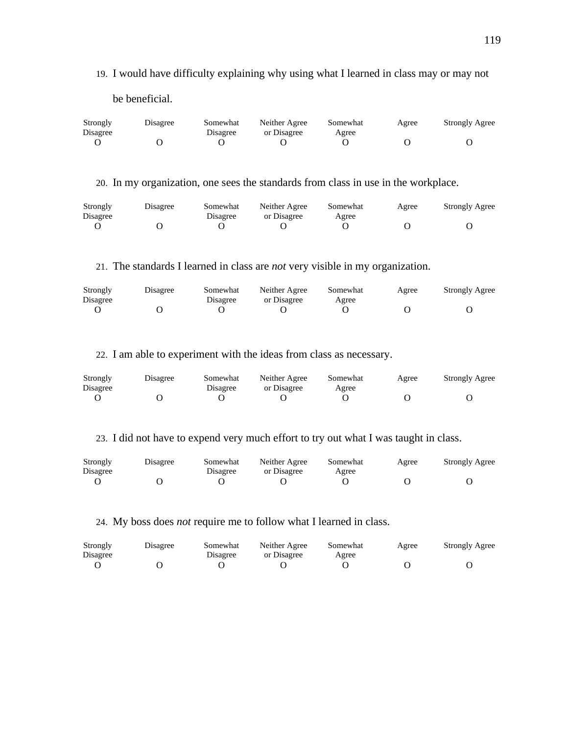19. I would have difficulty explaining why using what I learned in class may or may not

be beneficial.

| Strongly<br>Disagree | Disagree | Somewhat<br>Disagree | Neither Agree<br>or Disagree | Somewhat<br>Agree | Agree | <b>Strongly Agree</b> |
|----------------------|----------|----------------------|------------------------------|-------------------|-------|-----------------------|
|                      |          |                      |                              |                   |       |                       |

20. In my organization, one sees the standards from class in use in the workplace.

| Strongly<br>Disagree | Disagree | Somewhat<br>Disagree | Neither Agree<br>or Disagree | Somewhat<br>Agree | Agree | <b>Strongly Agree</b> |
|----------------------|----------|----------------------|------------------------------|-------------------|-------|-----------------------|
|                      |          |                      |                              |                   |       |                       |

21. The standards I learned in class are *not* very visible in my organization.

| Strongly | Disagree | Somewhat | Neither Agree | Somewhat | Agree | <b>Strongly Agree</b> |
|----------|----------|----------|---------------|----------|-------|-----------------------|
| Disagree |          | Disagree | or Disagree   | Agree    |       |                       |
|          |          |          |               |          |       |                       |

22. I am able to experiment with the ideas from class as necessary.

| Strongly | Disagree | Somewhat | Neither Agree | Somewhat | Agree | <b>Strongly Agree</b> |
|----------|----------|----------|---------------|----------|-------|-----------------------|
| Disagree |          | Disagree | or Disagree   | Agree    |       |                       |
|          |          |          |               |          |       |                       |

23. I did not have to expend very much effort to try out what I was taught in class.

| Strongly<br>Disagree | Disagree | Somewhat<br>Disagree | Neither Agree<br>or Disagree | Somewhat<br>Agree | Agree | <b>Strongly Agree</b> |
|----------------------|----------|----------------------|------------------------------|-------------------|-------|-----------------------|
|                      |          |                      |                              |                   |       |                       |

24. My boss does *not* require me to follow what I learned in class.

| Strongly | Disagree | Somewhat | Neither Agree | Somewhat | Agree | <b>Strongly Agree</b> |
|----------|----------|----------|---------------|----------|-------|-----------------------|
| Disagree |          | Disagree | or Disagree   | Agree    |       |                       |
|          |          |          |               |          |       |                       |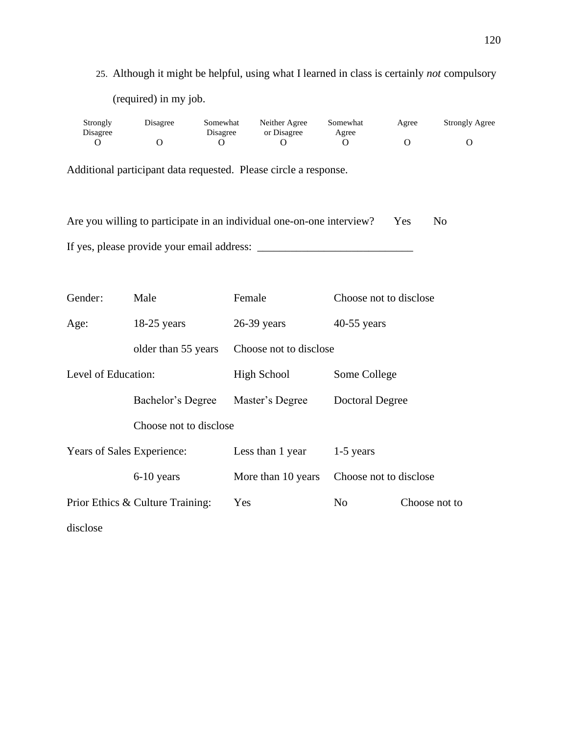25. Although it might be helpful, using what I learned in class is certainly *not* compulsory (required) in my job.

| Strongly | Disagree | Somewhat | Neither Agree | Somewhat | Agree | <b>Strongly Agree</b> |
|----------|----------|----------|---------------|----------|-------|-----------------------|
| Disagree |          | Disagree | or Disagree   | Agree    |       |                       |
|          |          |          |               |          |       |                       |

Additional participant data requested. Please circle a response.

| Are you willing to participate in an individual one-on-one interview? | Yes |  |
|-----------------------------------------------------------------------|-----|--|
| If yes, please provide your email address:                            |     |  |

| Gender:                    | Male                             | Female                 | Choose not to disclose |               |
|----------------------------|----------------------------------|------------------------|------------------------|---------------|
| Age:                       | $18-25$ years                    | $26-39$ years          | $40-55$ years          |               |
|                            | older than 55 years              | Choose not to disclose |                        |               |
| Level of Education:        |                                  | High School            | Some College           |               |
|                            | Bachelor's Degree                | Master's Degree        | Doctoral Degree        |               |
|                            | Choose not to disclose           |                        |                        |               |
| Years of Sales Experience: |                                  | Less than 1 year       | $1-5$ years            |               |
|                            | 6-10 years                       | More than 10 years     | Choose not to disclose |               |
|                            | Prior Ethics & Culture Training: | Yes                    | N <sub>0</sub>         | Choose not to |
| disclose                   |                                  |                        |                        |               |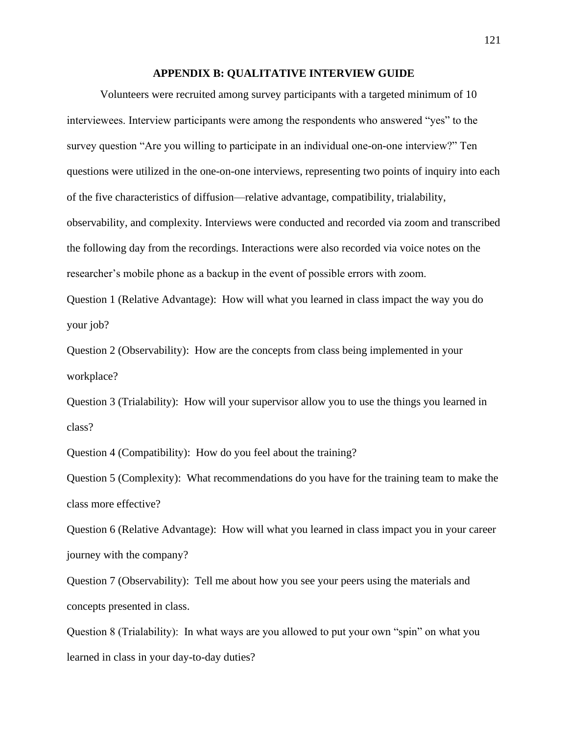### **APPENDIX B: QUALITATIVE INTERVIEW GUIDE**

Volunteers were recruited among survey participants with a targeted minimum of 10 interviewees. Interview participants were among the respondents who answered "yes" to the survey question "Are you willing to participate in an individual one-on-one interview?" Ten questions were utilized in the one-on-one interviews, representing two points of inquiry into each of the five characteristics of diffusion—relative advantage, compatibility, trialability, observability, and complexity. Interviews were conducted and recorded via zoom and transcribed the following day from the recordings. Interactions were also recorded via voice notes on the researcher's mobile phone as a backup in the event of possible errors with zoom.

Question 1 (Relative Advantage): How will what you learned in class impact the way you do your job?

Question 2 (Observability): How are the concepts from class being implemented in your workplace?

Question 3 (Trialability): How will your supervisor allow you to use the things you learned in class?

Question 4 (Compatibility): How do you feel about the training?

Question 5 (Complexity): What recommendations do you have for the training team to make the class more effective?

Question 6 (Relative Advantage): How will what you learned in class impact you in your career journey with the company?

Question 7 (Observability): Tell me about how you see your peers using the materials and concepts presented in class.

Question 8 (Trialability): In what ways are you allowed to put your own "spin" on what you learned in class in your day-to-day duties?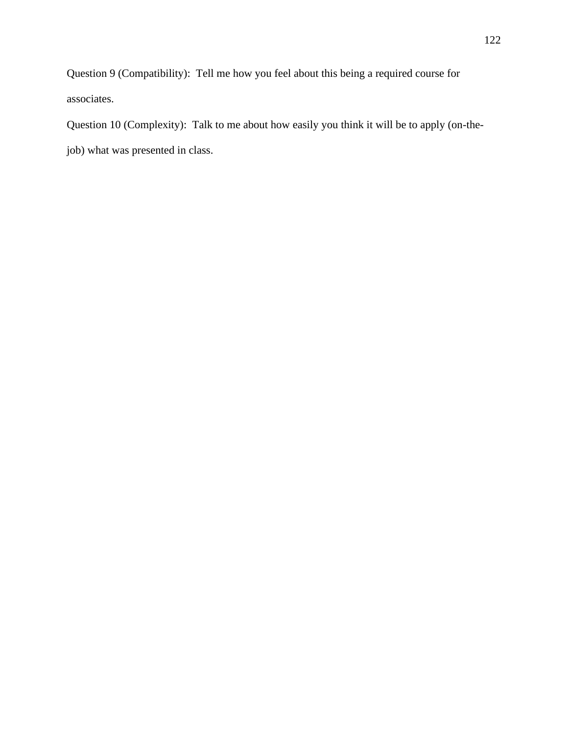Question 9 (Compatibility): Tell me how you feel about this being a required course for associates.

Question 10 (Complexity): Talk to me about how easily you think it will be to apply (on-thejob) what was presented in class.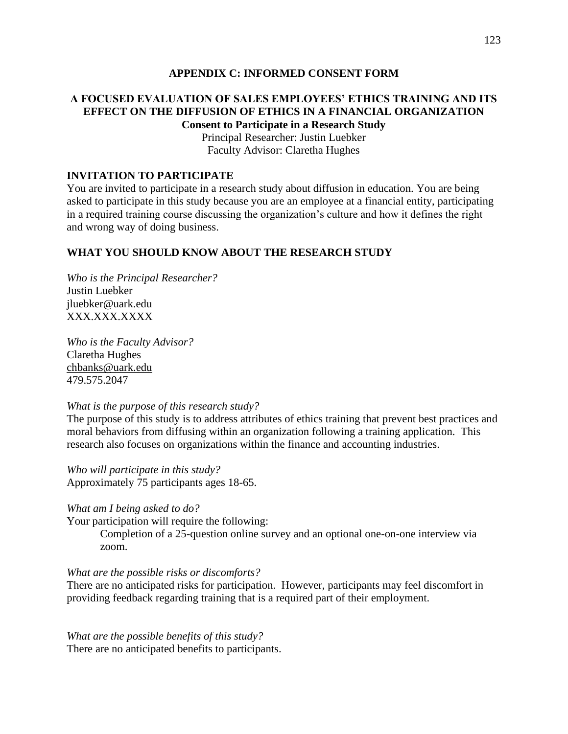### **APPENDIX C: INFORMED CONSENT FORM**

## **A FOCUSED EVALUATION OF SALES EMPLOYEES' ETHICS TRAINING AND ITS EFFECT ON THE DIFFUSION OF ETHICS IN A FINANCIAL ORGANIZATION Consent to Participate in a Research Study**

Principal Researcher: Justin Luebker Faculty Advisor: Claretha Hughes

### **INVITATION TO PARTICIPATE**

You are invited to participate in a research study about diffusion in education. You are being asked to participate in this study because you are an employee at a financial entity, participating in a required training course discussing the organization's culture and how it defines the right and wrong way of doing business.

## **WHAT YOU SHOULD KNOW ABOUT THE RESEARCH STUDY**

*Who is the Principal Researcher?* Justin Luebker [jluebker@uark.edu](mailto:jluebker@uark.edu) XXX.XXX.XXXX

*Who is the Faculty Advisor?* Claretha Hughes [chbanks@uark.edu](mailto:chbanks@uark.edu) 479.575.2047

#### *What is the purpose of this research study?*

The purpose of this study is to address attributes of ethics training that prevent best practices and moral behaviors from diffusing within an organization following a training application. This research also focuses on organizations within the finance and accounting industries.

*Who will participate in this study?* Approximately 75 participants ages 18-65.

### *What am I being asked to do?*

Your participation will require the following:

Completion of a 25-question online survey and an optional one-on-one interview via zoom.

#### *What are the possible risks or discomforts?*

There are no anticipated risks for participation. However, participants may feel discomfort in providing feedback regarding training that is a required part of their employment.

*What are the possible benefits of this study?* There are no anticipated benefits to participants.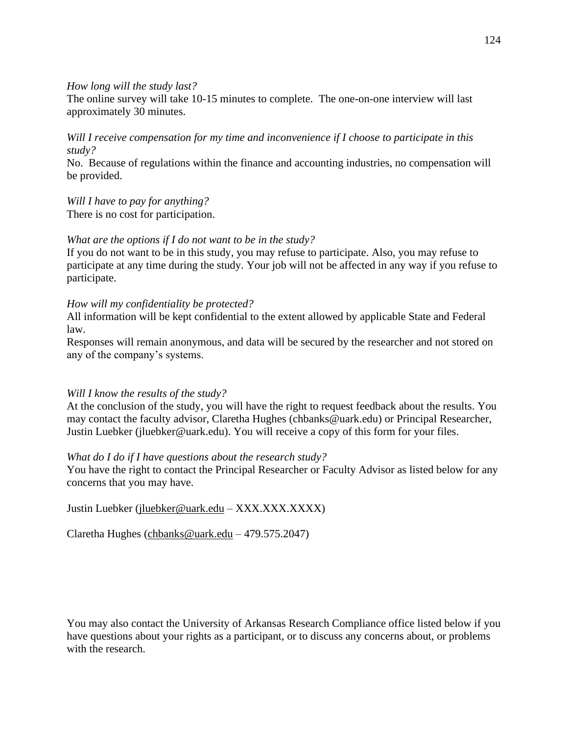### *How long will the study last?*

The online survey will take 10-15 minutes to complete. The one-on-one interview will last approximately 30 minutes.

# *Will I receive compensation for my time and inconvenience if I choose to participate in this study?*

No. Because of regulations within the finance and accounting industries, no compensation will be provided.

# *Will I have to pay for anything?*

There is no cost for participation.

## *What are the options if I do not want to be in the study?*

If you do not want to be in this study, you may refuse to participate. Also, you may refuse to participate at any time during the study. Your job will not be affected in any way if you refuse to participate.

## *How will my confidentiality be protected?*

All information will be kept confidential to the extent allowed by applicable State and Federal law.

Responses will remain anonymous, and data will be secured by the researcher and not stored on any of the company's systems.

## *Will I know the results of the study?*

At the conclusion of the study, you will have the right to request feedback about the results. You may contact the faculty advisor, Claretha Hughes (chbanks@uark.edu) or Principal Researcher, Justin Luebker (jluebker@uark.edu). You will receive a copy of this form for your files.

## *What do I do if I have questions about the research study?*

You have the right to contact the Principal Researcher or Faculty Advisor as listed below for any concerns that you may have.

Justin Luebker [\(jluebker@uark.edu](mailto:jluebker@uark.edu) – XXX.XXX.XXXX)

Claretha Hughes [\(chbanks@uark.edu](mailto:chbanks@uark.edu) – 479.575.2047)

You may also contact the University of Arkansas Research Compliance office listed below if you have questions about your rights as a participant, or to discuss any concerns about, or problems with the research.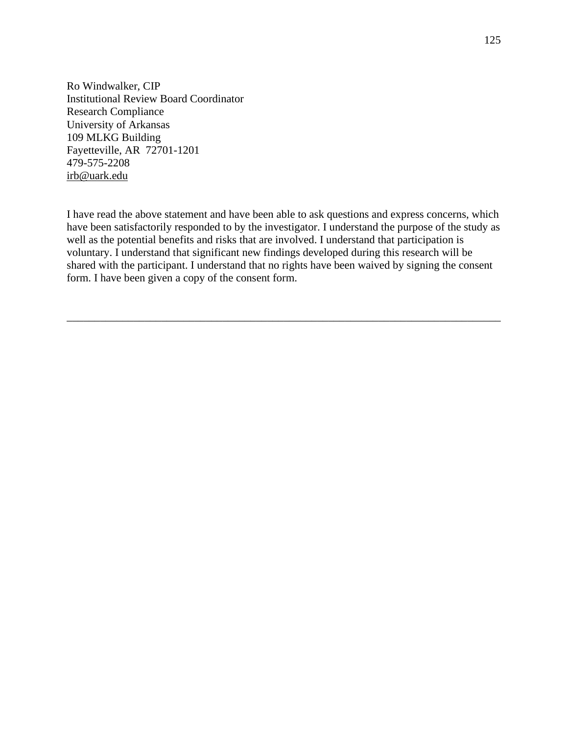Ro Windwalker, CIP Institutional Review Board Coordinator Research Compliance University of Arkansas 109 MLKG Building Fayetteville, AR 72701-1201 479-575-2208 [irb@uark.edu](mailto:irb@uark.edu)

I have read the above statement and have been able to ask questions and express concerns, which have been satisfactorily responded to by the investigator. I understand the purpose of the study as well as the potential benefits and risks that are involved. I understand that participation is voluntary. I understand that significant new findings developed during this research will be shared with the participant. I understand that no rights have been waived by signing the consent form. I have been given a copy of the consent form.

\_\_\_\_\_\_\_\_\_\_\_\_\_\_\_\_\_\_\_\_\_\_\_\_\_\_\_\_\_\_\_\_\_\_\_\_\_\_\_\_\_\_\_\_\_\_\_\_\_\_\_\_\_\_\_\_\_\_\_\_\_\_\_\_\_\_\_\_\_\_\_\_\_\_\_\_\_\_